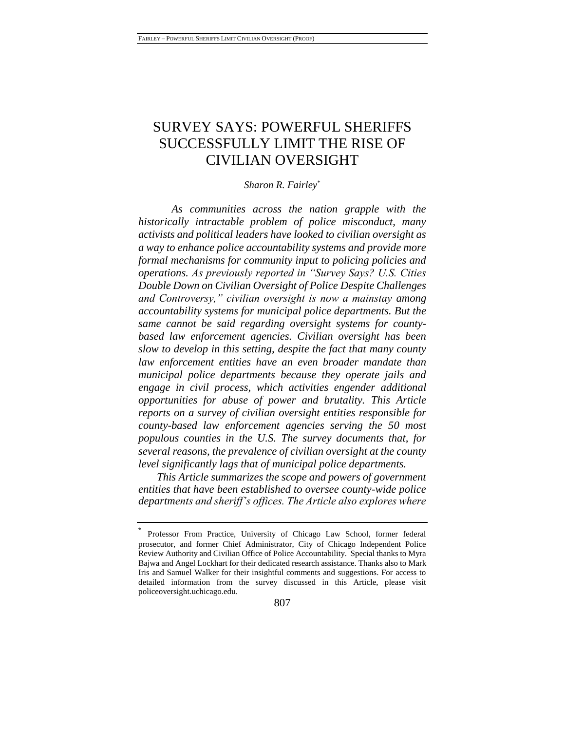# SURVEY SAYS: POWERFUL SHERIFFS SUCCESSFULLY LIMIT THE RISE OF CIVILIAN OVERSIGHT

#### *Sharon R. Fairley*\*

*As communities across the nation grapple with the historically intractable problem of police misconduct, many activists and political leaders have looked to civilian oversight as a way to enhance police accountability systems and provide more formal mechanisms for community input to policing policies and operations. As previously reported in "Survey Says? U.S. Cities Double Down on Civilian Oversight of Police Despite Challenges and Controversy," civilian oversight is now a mainstay among accountability systems for municipal police departments. But the same cannot be said regarding oversight systems for countybased law enforcement agencies. Civilian oversight has been slow to develop in this setting, despite the fact that many county law enforcement entities have an even broader mandate than municipal police departments because they operate jails and engage in civil process, which activities engender additional opportunities for abuse of power and brutality. This Article reports on a survey of civilian oversight entities responsible for county-based law enforcement agencies serving the 50 most populous counties in the U.S. The survey documents that, for several reasons, the prevalence of civilian oversight at the county level significantly lags that of municipal police departments.*

*This Article summarizes the scope and powers of government entities that have been established to oversee county-wide police departments and sheriff's offices. The Article also explores where* 

<sup>\*</sup> Professor From Practice, University of Chicago Law School, former federal prosecutor, and former Chief Administrator, City of Chicago Independent Police Review Authority and Civilian Office of Police Accountability. Special thanks to Myra Bajwa and Angel Lockhart for their dedicated research assistance. Thanks also to Mark Iris and Samuel Walker for their insightful comments and suggestions. For access to detailed information from the survey discussed in this Article, please visit policeoversight.uchicago.edu.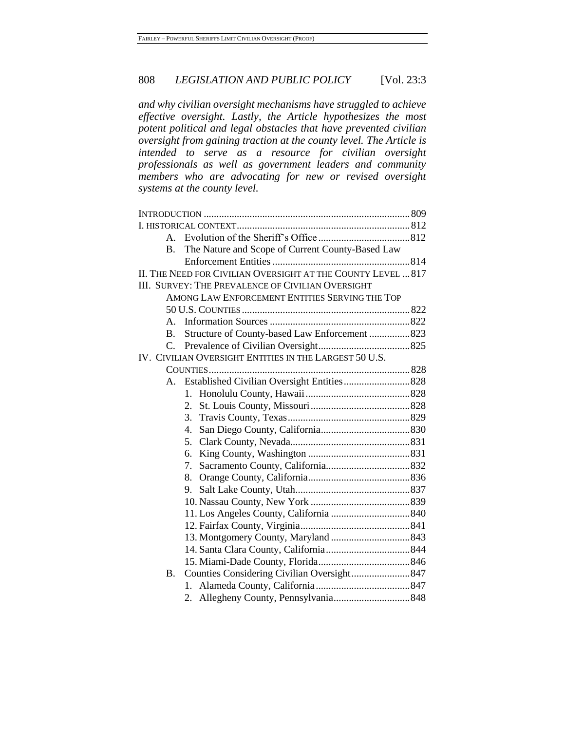*and why civilian oversight mechanisms have struggled to achieve effective oversight. Lastly, the Article hypothesizes the most potent political and legal obstacles that have prevented civilian oversight from gaining traction at the county level. The Article is intended to serve as a resource for civilian oversight professionals as well as government leaders and community members who are advocating for new or revised oversight systems at the county level.*

| A.             |                                                              |  |
|----------------|--------------------------------------------------------------|--|
| $\mathbf{B}$ . | The Nature and Scope of Current County-Based Law             |  |
|                |                                                              |  |
|                | II. THE NEED FOR CIVILIAN OVERSIGHT AT THE COUNTY LEVEL  817 |  |
|                | III. SURVEY: THE PREVALENCE OF CIVILIAN OVERSIGHT            |  |
|                | AMONG LAW ENFORCEMENT ENTITIES SERVING THE TOP               |  |
|                |                                                              |  |
| $A_{-}$        |                                                              |  |
| $\mathbf{B}$ . | Structure of County-based Law Enforcement 823                |  |
|                |                                                              |  |
|                | IV. CIVILIAN OVERSIGHT ENTITIES IN THE LARGEST 50 U.S.       |  |
|                |                                                              |  |
|                |                                                              |  |
|                | 1.                                                           |  |
|                | 2.                                                           |  |
|                | 3.                                                           |  |
|                | 4.                                                           |  |
|                | 5.                                                           |  |
|                | 6.                                                           |  |
|                | 7.                                                           |  |
|                | 8.                                                           |  |
|                | 9.                                                           |  |
|                |                                                              |  |
|                |                                                              |  |
|                |                                                              |  |
|                |                                                              |  |
|                |                                                              |  |
|                |                                                              |  |
| Β.             |                                                              |  |
|                | $1_{\cdot}$                                                  |  |
|                |                                                              |  |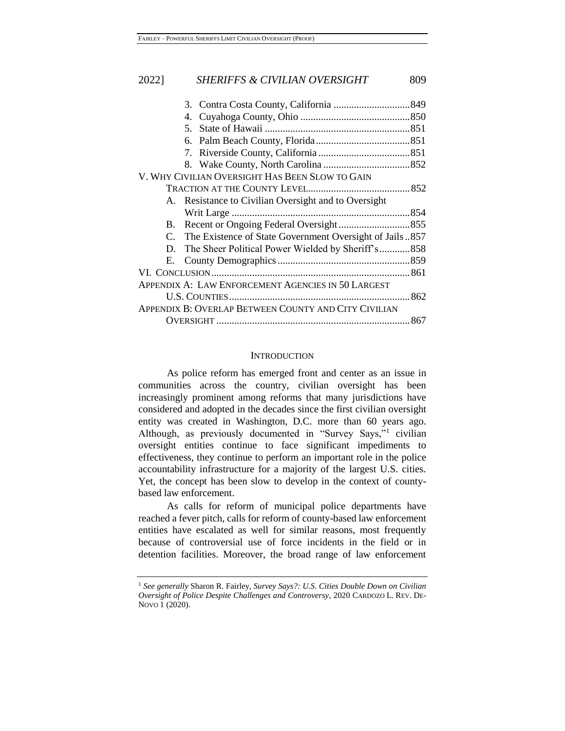|             | 4.                                                      |  |
|-------------|---------------------------------------------------------|--|
|             | 5.                                                      |  |
|             |                                                         |  |
|             |                                                         |  |
|             |                                                         |  |
|             | V. WHY CIVILIAN OVERSIGHT HAS BEEN SLOW TO GAIN         |  |
|             |                                                         |  |
|             | A. Resistance to Civilian Oversight and to Oversight    |  |
|             |                                                         |  |
| B.          |                                                         |  |
| $C_{\cdot}$ | The Existence of State Government Oversight of Jails857 |  |
|             | D. The Sheer Political Power Wielded by Sheriff's858    |  |
|             |                                                         |  |
|             |                                                         |  |
|             | APPENDIX A: LAW ENFORCEMENT AGENCIES IN 50 LARGEST      |  |
|             |                                                         |  |
|             | APPENDIX B: OVERLAP BETWEEN COUNTY AND CITY CIVILIAN    |  |
|             |                                                         |  |
|             |                                                         |  |

# <span id="page-2-0"></span>**INTRODUCTION**

As police reform has emerged front and center as an issue in communities across the country, civilian oversight has been increasingly prominent among reforms that many jurisdictions have considered and adopted in the decades since the first civilian oversight entity was created in Washington, D.C. more than 60 years ago. Although, as previously documented in "Survey Says,"<sup>1</sup> civilian oversight entities continue to face significant impediments to effectiveness, they continue to perform an important role in the police accountability infrastructure for a majority of the largest U.S. cities. Yet, the concept has been slow to develop in the context of countybased law enforcement.

As calls for reform of municipal police departments have reached a fever pitch, calls for reform of county-based law enforcement entities have escalated as well for similar reasons, most frequently because of controversial use of force incidents in the field or in detention facilities. Moreover, the broad range of law enforcement

<sup>1</sup> *See generally* Sharon R. Fairley, *Survey Says?: U.S. Cities Double Down on Civilian Oversight of Police Despite Challenges and Controversy*, 2020 CARDOZO L. REV. DE-NOVO 1 (2020).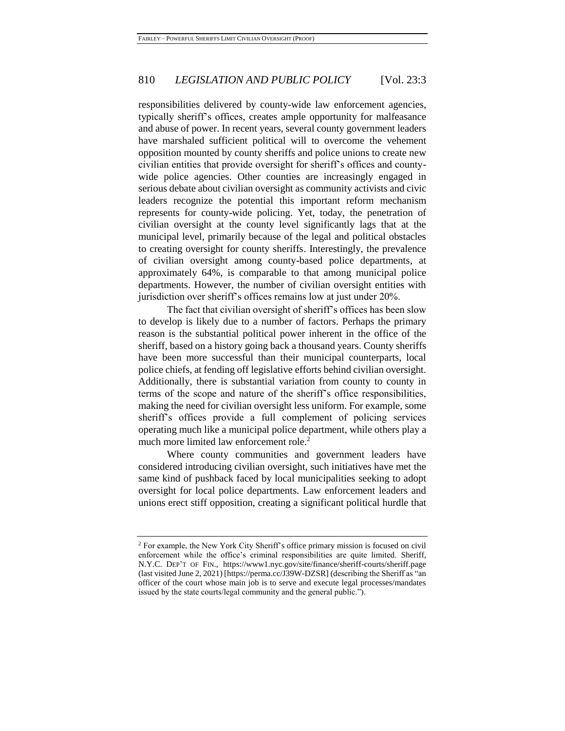responsibilities delivered by county-wide law enforcement agencies, typically sheriff's offices, creates ample opportunity for malfeasance and abuse of power. In recent years, several county government leaders have marshaled sufficient political will to overcome the vehement opposition mounted by county sheriffs and police unions to create new civilian entities that provide oversight for sheriff's offices and countywide police agencies. Other counties are increasingly engaged in serious debate about civilian oversight as community activists and civic leaders recognize the potential this important reform mechanism represents for county-wide policing. Yet, today, the penetration of civilian oversight at the county level significantly lags that at the municipal level, primarily because of the legal and political obstacles to creating oversight for county sheriffs. Interestingly, the prevalence of civilian oversight among county-based police departments, at approximately 64%, is comparable to that among municipal police departments. However, the number of civilian oversight entities with jurisdiction over sheriff's offices remains low at just under 20%.

The fact that civilian oversight of sheriff's offices has been slow to develop is likely due to a number of factors. Perhaps the primary reason is the substantial political power inherent in the office of the sheriff, based on a history going back a thousand years. County sheriffs have been more successful than their municipal counterparts, local police chiefs, at fending off legislative efforts behind civilian oversight. Additionally, there is substantial variation from county to county in terms of the scope and nature of the sheriff's office responsibilities, making the need for civilian oversight less uniform. For example, some sheriff's offices provide a full complement of policing services operating much like a municipal police department, while others play a much more limited law enforcement role.<sup>2</sup>

Where county communities and government leaders have considered introducing civilian oversight, such initiatives have met the same kind of pushback faced by local municipalities seeking to adopt oversight for local police departments. Law enforcement leaders and unions erect stiff opposition, creating a significant political hurdle that

<sup>2</sup> For example, the New York City Sheriff's office primary mission is focused on civil enforcement while the office's criminal responsibilities are quite limited. Sheriff, N.Y.C. DEP'T OF FIN., https://www1.nyc.gov/site/finance/sheriff-courts/sheriff.page (last visited June 2, 2021) [https://perma.cc/J39W-DZSR] (describing the Sheriff as "an officer of the court whose main job is to serve and execute legal processes/mandates issued by the state courts/legal community and the general public.").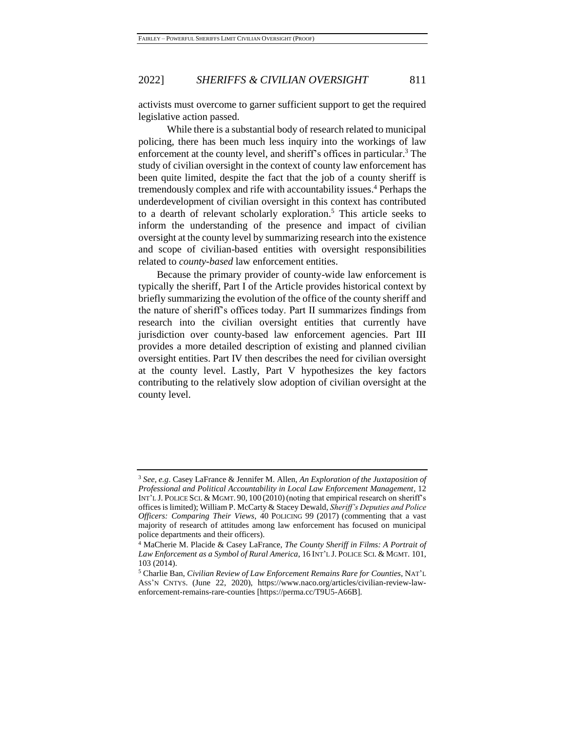activists must overcome to garner sufficient support to get the required legislative action passed.

<span id="page-4-1"></span><span id="page-4-0"></span>While there is a substantial body of research related to municipal policing, there has been much less inquiry into the workings of law enforcement at the county level, and sheriff's offices in particular.<sup>3</sup> The study of civilian oversight in the context of county law enforcement has been quite limited, despite the fact that the job of a county sheriff is tremendously complex and rife with accountability issues.<sup>4</sup> Perhaps the underdevelopment of civilian oversight in this context has contributed to a dearth of relevant scholarly exploration.<sup>5</sup> This article seeks to inform the understanding of the presence and impact of civilian oversight at the county level by summarizing research into the existence and scope of civilian-based entities with oversight responsibilities related to *county-based* law enforcement entities.

<span id="page-4-2"></span>Because the primary provider of county-wide law enforcement is typically the sheriff, Part I of the Article provides historical context by briefly summarizing the evolution of the office of the county sheriff and the nature of sheriff's offices today. Part II summarizes findings from research into the civilian oversight entities that currently have jurisdiction over county-based law enforcement agencies. Part III provides a more detailed description of existing and planned civilian oversight entities. Part IV then describes the need for civilian oversight at the county level. Lastly, Part V hypothesizes the key factors contributing to the relatively slow adoption of civilian oversight at the county level.

<sup>3</sup> *See, e.g*. Casey LaFrance & Jennifer M. Allen, *An Exploration of the Juxtaposition of Professional and Political Accountability in Local Law Enforcement Management*, 12 INT'L J. POLICE SCI. & MGMT. 90, 100 (2010)(noting that empirical research on sheriff's offices is limited); William P. McCarty & Stacey Dewald, *Sheriff's Deputies and Police Officers: Comparing Their Views*, 40 POLICING 99 (2017) (commenting that a vast majority of research of attitudes among law enforcement has focused on municipal police departments and their officers).

<sup>4</sup> MaCherie M. Placide & Casey LaFrance, *The County Sheriff in Films: A Portrait of Law Enforcement as a Symbol of Rural America*, 16 INT'L J. POLICE SCI. & MGMT. 101, 103 (2014).

<sup>5</sup> Charlie Ban, *Civilian Review of Law Enforcement Remains Rare for Counties*, NAT'L ASS'N CNTYS. (June 22, 2020), https://www.naco.org/articles/civilian-review-lawenforcement-remains-rare-counties [https://perma.cc/T9U5-A66B].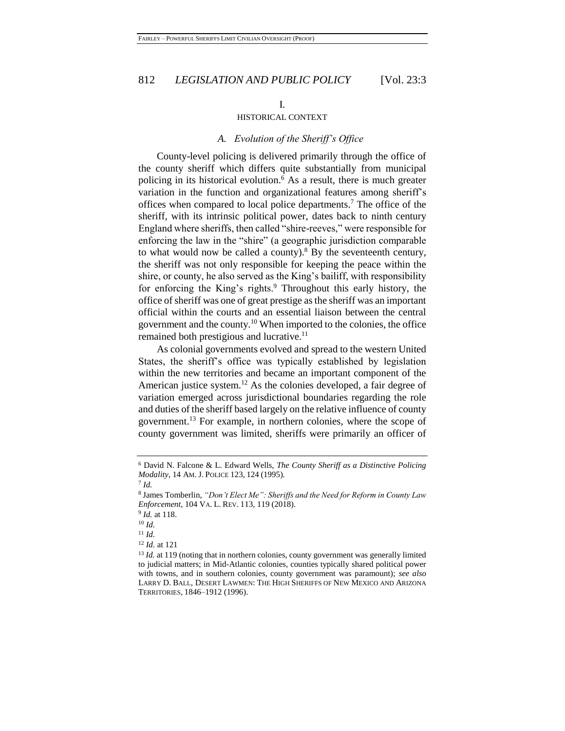# <span id="page-5-1"></span>I.

#### HISTORICAL CONTEXT

#### <span id="page-5-0"></span>*A. Evolution of the Sheriff's Office*

County-level policing is delivered primarily through the office of the county sheriff which differs quite substantially from municipal policing in its historical evolution.<sup>6</sup> As a result, there is much greater variation in the function and organizational features among sheriff's offices when compared to local police departments.<sup>7</sup> The office of the sheriff, with its intrinsic political power, dates back to ninth century England where sheriffs, then called "shire-reeves," were responsible for enforcing the law in the "shire" (a geographic jurisdiction comparable to what would now be called a county).<sup>8</sup> By the seventeenth century, the sheriff was not only responsible for keeping the peace within the shire, or county, he also served as the King's bailiff, with responsibility for enforcing the King's rights.<sup>9</sup> Throughout this early history, the office of sheriff was one of great prestige as the sheriff was an important official within the courts and an essential liaison between the central government and the county.<sup>10</sup> When imported to the colonies, the office remained both prestigious and lucrative.<sup>11</sup>

As colonial governments evolved and spread to the western United States, the sheriff's office was typically established by legislation within the new territories and became an important component of the American justice system.<sup>12</sup> As the colonies developed, a fair degree of variation emerged across jurisdictional boundaries regarding the role and duties of the sheriff based largely on the relative influence of county government.<sup>13</sup> For example, in northern colonies, where the scope of county government was limited, sheriffs were primarily an officer of

<sup>6</sup> David N. Falcone & L. Edward Wells, *The County Sheriff as a Distinctive Policing Modality*, 14 AM. J. POLICE 123, 124 (1995).

<sup>7</sup> *Id.*

<sup>8</sup> James Tomberlin, *"Don't Elect Me": Sheriffs and the Need for Reform in County Law Enforcement*, 104 VA. L. REV. 113, 119 (2018).

<sup>9</sup> *Id.* at 118.

<sup>10</sup> *Id.*

<sup>11</sup> *Id.*

<sup>12</sup> *Id.* at 121

<sup>&</sup>lt;sup>13</sup> *Id.* at 119 (noting that in northern colonies, county government was generally limited to judicial matters; in Mid-Atlantic colonies, counties typically shared political power with towns, and in southern colonies, county government was paramount); *see also* LARRY D. BALL, DESERT LAWMEN: THE HIGH SHERIFFS OF NEW MEXICO AND ARIZONA TERRITORIES, 1846–1912 (1996).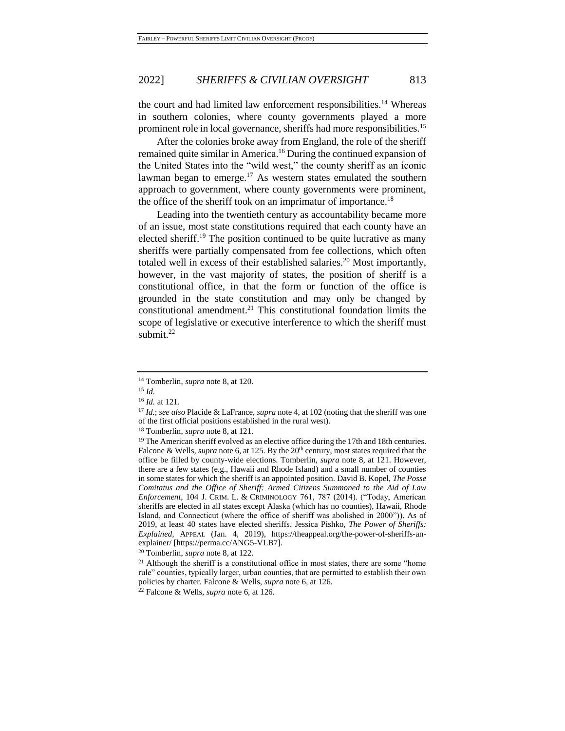the court and had limited law enforcement responsibilities.<sup>14</sup> Whereas in southern colonies, where county governments played a more prominent role in local governance, sheriffs had more responsibilities.<sup>15</sup>

After the colonies broke away from England, the role of the sheriff remained quite similar in America.<sup>16</sup> During the continued expansion of the United States into the "wild west," the county sheriff as an iconic lawman began to emerge.<sup>17</sup> As western states emulated the southern approach to government, where county governments were prominent, the office of the sheriff took on an imprimatur of importance.<sup>18</sup>

<span id="page-6-0"></span>Leading into the twentieth century as accountability became more of an issue, most state constitutions required that each county have an elected sheriff.<sup>19</sup> The position continued to be quite lucrative as many sheriffs were partially compensated from fee collections, which often totaled well in excess of their established salaries.<sup>20</sup> Most importantly, however, in the vast majority of states, the position of sheriff is a constitutional office, in that the form or function of the office is grounded in the state constitution and may only be changed by constitutional amendment. <sup>21</sup> This constitutional foundation limits the scope of legislative or executive interference to which the sheriff must submit. 22

<sup>14</sup> Tomberlin, *supra* not[e 8,](#page-5-0) at 120.

<sup>15</sup> *Id.*

<sup>16</sup> *Id.* at 121.

<sup>17</sup> *Id.*; *see also* Placide & LaFrance, *supra* not[e 4,](#page-4-0) at 102 (noting that the sheriff was one of the first official positions established in the rural west).

<sup>18</sup> Tomberlin, *supra* not[e 8,](#page-5-0) at 121.

<sup>&</sup>lt;sup>19</sup> The American sheriff evolved as an elective office during the 17th and 18th centuries. Falcone & Wells, *supra* not[e 6,](#page-5-1) at 125. By the 20<sup>th</sup> century, most states required that the office be filled by county-wide elections. Tomberlin, *supra* note [8,](#page-5-0) at 121. However, there are a few states (e.g., Hawaii and Rhode Island) and a small number of counties in some states for which the sheriff is an appointed position. David B. Kopel, *The Posse Comitatus and the Office of Sheriff: Armed Citizens Summoned to the Aid of Law Enforcement*, 104 J. CRIM. L. & CRIMINOLOGY 761, 787 (2014). ("Today, American sheriffs are elected in all states except Alaska (which has no counties), Hawaii, Rhode Island, and Connecticut (where the office of sheriff was abolished in 2000")). As of 2019, at least 40 states have elected sheriffs. Jessica Pishko, *The Power of Sheriffs: Explained,* APPEAL (Jan. 4, 2019), https://theappeal.org/the-power-of-sheriffs-anexplainer/ [https://perma.cc/ANG5-VLB7].

<sup>20</sup> Tomberlin, *supra* note 8, at 122.

 $21$  Although the sheriff is a constitutional office in most states, there are some "home rule" counties, typically larger, urban counties, that are permitted to establish their own policies by charter. Falcone & Wells, *supra* note [6,](#page-5-1) at 126.

<sup>22</sup> Falcone & Wells, *supra* not[e 6,](#page-5-1) at 126.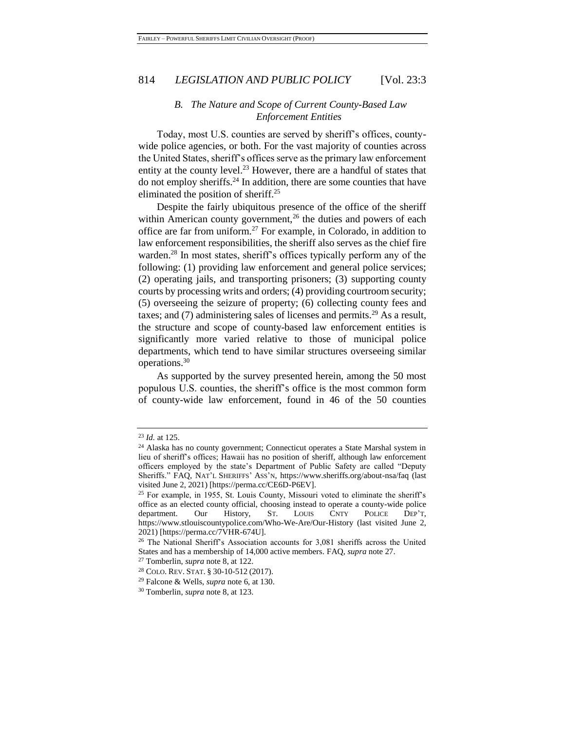# *B. The Nature and Scope of Current County-Based Law Enforcement Entities*

Today, most U.S. counties are served by sheriff's offices, countywide police agencies, or both. For the vast majority of counties across the United States, sheriff's offices serve as the primary law enforcement entity at the county level.<sup>23</sup> However, there are a handful of states that do not employ sheriffs.<sup>24</sup> In addition, there are some counties that have eliminated the position of sheriff.<sup>25</sup>

Despite the fairly ubiquitous presence of the office of the sheriff within American county government,<sup>26</sup> the duties and powers of each office are far from uniform.<sup>27</sup> For example, in Colorado, in addition to law enforcement responsibilities, the sheriff also serves as the chief fire warden.<sup>28</sup> In most states, sheriff's offices typically perform any of the following: (1) providing law enforcement and general police services; (2) operating jails, and transporting prisoners; (3) supporting county courts by processing writs and orders; (4) providing courtroom security; (5) overseeing the seizure of property; (6) collecting county fees and taxes; and (7) administering sales of licenses and permits.<sup>29</sup> As a result, the structure and scope of county-based law enforcement entities is significantly more varied relative to those of municipal police departments, which tend to have similar structures overseeing similar operations.<sup>30</sup>

As supported by the survey presented herein, among the 50 most populous U.S. counties, the sheriff's office is the most common form of county-wide law enforcement, found in 46 of the 50 counties

<sup>23</sup> *Id.* at 125.

<sup>24</sup> Alaska has no county government; Connecticut operates a State Marshal system in lieu of sheriff's offices; Hawaii has no position of sheriff, although law enforcement officers employed by the state's Department of Public Safety are called "Deputy Sheriffs." FAQ, NAT'L SHERIFFS' ASS'N, https://www.sheriffs.org/about-nsa/faq (last visited June 2, 2021) [https://perma.cc/CE6D-P6EV].

<sup>25</sup> For example, in 1955, St. Louis County, Missouri voted to eliminate the sheriff's office as an elected county official, choosing instead to operate a county-wide police department. Our History, ST. LOUIS CNTY POLICE DEP'T, https://www.stlouiscountypolice.com/Who-We-Are/Our-History (last visited June 2, 2021) [https://perma.cc/7VHR-674U].

<sup>26</sup> The National Sheriff's Association accounts for 3,081 sheriffs across the United States and has a membership of 14,000 active members. FAQ, *supra* note 27.

<sup>27</sup> Tomberlin, *supra* not[e 8,](#page-5-0) at 122.

<sup>28</sup> COLO. REV. STAT. § 30-10-512 (2017).

<sup>29</sup> Falcone & Wells, *supra* not[e 6,](#page-5-1) at 130.

<sup>30</sup> Tomberlin, *supra* not[e 8,](#page-5-0) at 123.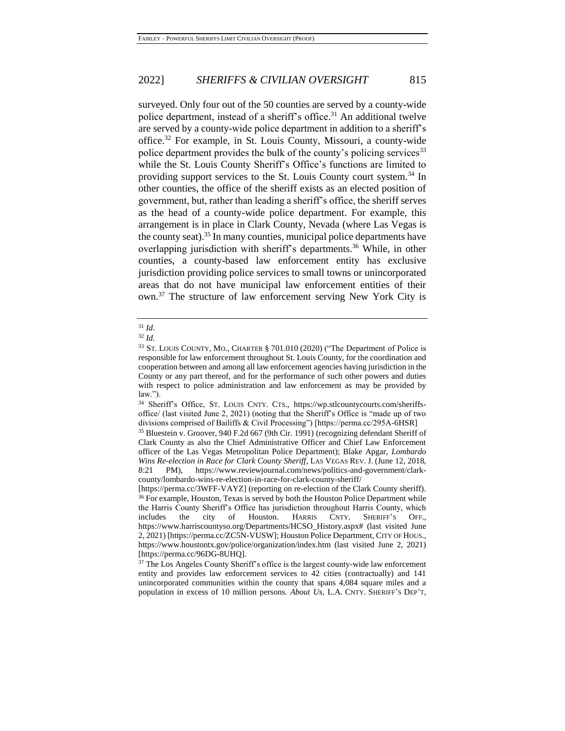surveyed. Only four out of the 50 counties are served by a county-wide police department, instead of a sheriff's office.<sup>31</sup> An additional twelve are served by a county-wide police department in addition to a sheriff's office.<sup>32</sup> For example, in St. Louis County, Missouri, a county-wide police department provides the bulk of the county's policing services<sup>33</sup> while the St. Louis County Sheriff's Office's functions are limited to providing support services to the St. Louis County court system.<sup>34</sup> In other counties, the office of the sheriff exists as an elected position of government, but, rather than leading a sheriff's office, the sheriff serves as the head of a county-wide police department. For example, this arrangement is in place in Clark County, Nevada (where Las Vegas is the county seat).<sup>35</sup> In many counties, municipal police departments have overlapping jurisdiction with sheriff's departments.<sup>36</sup> While, in other counties, a county-based law enforcement entity has exclusive jurisdiction providing police services to small towns or unincorporated areas that do not have municipal law enforcement entities of their own.<sup>37</sup> The structure of law enforcement serving New York City is

#### <sup>31</sup> *Id.*

<sup>32</sup> *Id.*

<sup>33</sup> ST. LOUIS COUNTY, MO., CHARTER § 701.010 (2020) ("The Department of Police is responsible for law enforcement throughout St. Louis County, for the coordination and cooperation between and among all law enforcement agencies having jurisdiction in the County or any part thereof, and for the performance of such other powers and duties with respect to police administration and law enforcement as may be provided by law.").

<sup>34</sup> Sheriff's Office, ST. LOUIS CNTY. CTS., https://wp.stlcountycourts.com/sheriffsoffice/ (last visited June 2, 2021) (noting that the Sheriff's Office is "made up of two divisions comprised of Bailiffs & Civil Processing") [https://perma.cc/295A-6HSR]

<sup>35</sup> Bluestein v. Groover, 940 F.2d 667 (9th Cir. 1991) (recognizing defendant Sheriff of Clark County as also the Chief Administrative Officer and Chief Law Enforcement officer of the Las Vegas Metropolitan Police Department); Blake Apgar, *Lombardo Wins Re-election in Race for Clark County Sheriff*, LAS VEGAS REV. J. (June 12, 2018, 8:21 PM), https://www.reviewjournal.com/news/politics-and-government/clarkcounty/lombardo-wins-re-election-in-race-for-clark-county-sheriff/

<sup>[</sup>https://perma.cc/3WFF-VAYZ] (reporting on re-election of the Clark County sheriff). <sup>36</sup> For example, Houston, Texas is served by both the Houston Police Department while the Harris County Sheriff's Office has jurisdiction throughout Harris County, which includes the city of Houston. HARRIS CNTY. SHERIFF'S OFF., https://www.harriscountyso.org/Departments/HCSO\_History.aspx# (last visited June 2, 2021) [https://perma.cc/ZC5N-VUSW]; Houston Police Department, CITY OF HOUS., https://www.houstontx.gov/police/organization/index.htm (last visited June 2, 2021) [https://perma.cc/96DG-8UHQ].

<sup>&</sup>lt;sup>37</sup> The Los Angeles County Sheriff's office is the largest county-wide law enforcement entity and provides law enforcement services to 42 cities (contractually) and 141 unincorporated communities within the county that spans 4,084 square miles and a population in excess of 10 million persons. *About Us*, L.A. CNTY. SHERIFF'S DEP'T,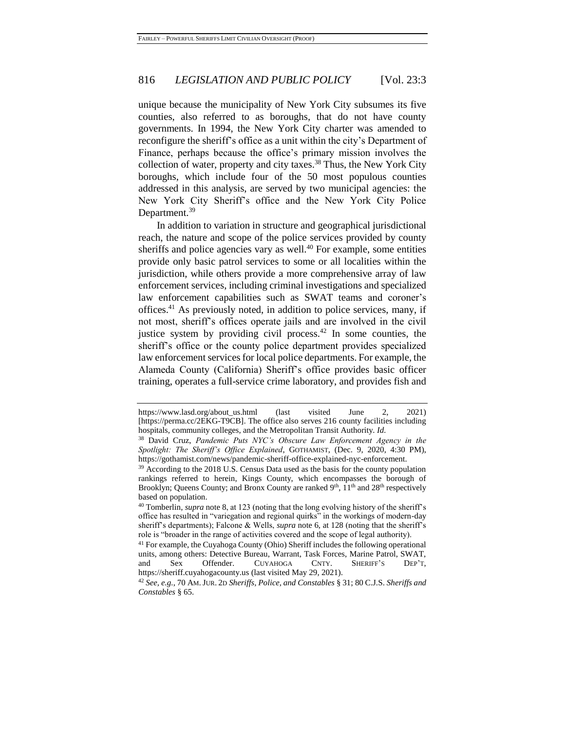unique because the municipality of New York City subsumes its five counties, also referred to as boroughs, that do not have county governments. In 1994, the New York City charter was amended to reconfigure the sheriff's office as a unit within the city's Department of Finance, perhaps because the office's primary mission involves the collection of water, property and city taxes.<sup>38</sup> Thus, the New York City boroughs, which include four of the 50 most populous counties addressed in this analysis, are served by two municipal agencies: the New York City Sheriff's office and the New York City Police Department.<sup>39</sup>

In addition to variation in structure and geographical jurisdictional reach, the nature and scope of the police services provided by county sheriffs and police agencies vary as well. $40$  For example, some entities provide only basic patrol services to some or all localities within the jurisdiction, while others provide a more comprehensive array of law enforcement services, including criminal investigations and specialized law enforcement capabilities such as SWAT teams and coroner's offices. <sup>41</sup> As previously noted, in addition to police services, many, if not most, sheriff's offices operate jails and are involved in the civil justice system by providing civil process.<sup>42</sup> In some counties, the sheriff's office or the county police department provides specialized law enforcement services for local police departments. For example, the Alameda County (California) Sheriff's office provides basic officer training, operates a full-service crime laboratory, and provides fish and

https://www.lasd.org/about\_us.html (last visited June 2, 2021) [https://perma.cc/2EKG-T9CB]. The office also serves 216 county facilities including hospitals, community colleges, and the Metropolitan Transit Authority. *Id.*

<sup>38</sup> David Cruz, *Pandemic Puts NYC's Obscure Law Enforcement Agency in the Spotlight: The Sheriff's Office Explained*, GOTHAMIST, (Dec. 9, 2020, 4:30 PM), https://gothamist.com/news/pandemic-sheriff-office-explained-nyc-enforcement.

<sup>&</sup>lt;sup>39</sup> According to the 2018 U.S. Census Data used as the basis for the county population rankings referred to herein, Kings County, which encompasses the borough of Brooklyn; Queens County; and Bronx County are ranked 9<sup>th</sup>, 11<sup>th</sup> and 28<sup>th</sup> respectively based on population.

<sup>40</sup> Tomberlin, *supra* note 8, at 123 (noting that the long evolving history of the sheriff's office has resulted in "variegation and regional quirks" in the workings of modern-day sheriff's departments); Falcone & Wells, *supra* not[e 6,](#page-5-1) at 128 (noting that the sheriff's role is "broader in the range of activities covered and the scope of legal authority).

<sup>41</sup> For example, the Cuyahoga County (Ohio) Sheriff includes the following operational units, among others: Detective Bureau, Warrant, Task Forces, Marine Patrol, SWAT, and Sex Offender. CUYAHOGA CNTY. SHERIFF'S DEP'T, https://sheriff.cuyahogacounty.us (last visited May 29, 2021).

<sup>42</sup> *See, e.g.*, 70 AM.JUR. 2D *Sheriffs, Police, and Constables* § 31; 80 C.J.S. *Sheriffs and Constables* § 65.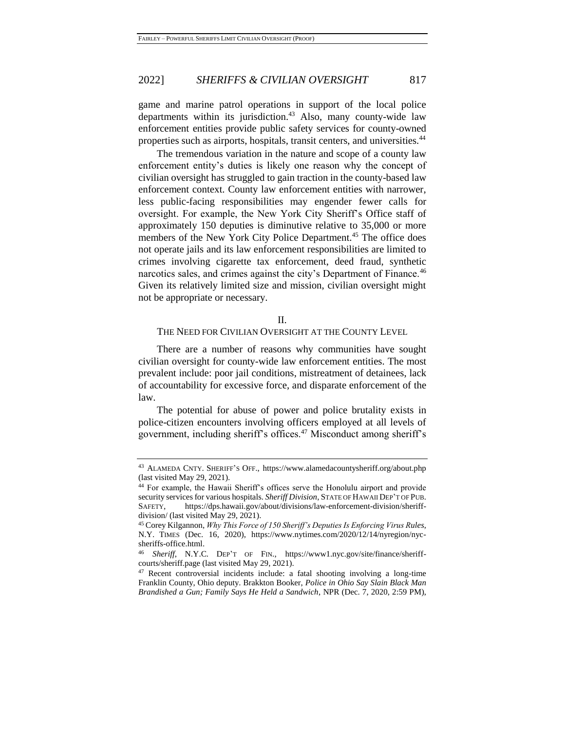game and marine patrol operations in support of the local police departments within its jurisdiction. $43$  Also, many county-wide law enforcement entities provide public safety services for county-owned properties such as airports, hospitals, transit centers, and universities.<sup>44</sup>

The tremendous variation in the nature and scope of a county law enforcement entity's duties is likely one reason why the concept of civilian oversight has struggled to gain traction in the county-based law enforcement context. County law enforcement entities with narrower, less public-facing responsibilities may engender fewer calls for oversight. For example, the New York City Sheriff's Office staff of approximately 150 deputies is diminutive relative to 35,000 or more members of the New York City Police Department.<sup>45</sup> The office does not operate jails and its law enforcement responsibilities are limited to crimes involving cigarette tax enforcement, deed fraud, synthetic narcotics sales, and crimes against the city's Department of Finance.<sup>46</sup> Given its relatively limited size and mission, civilian oversight might not be appropriate or necessary.

#### II.

## THE NEED FOR CIVILIAN OVERSIGHT AT THE COUNTY LEVEL

There are a number of reasons why communities have sought civilian oversight for county-wide law enforcement entities. The most prevalent include: poor jail conditions, mistreatment of detainees, lack of accountability for excessive force, and disparate enforcement of the law.

The potential for abuse of power and police brutality exists in police-citizen encounters involving officers employed at all levels of government, including sheriff's offices.<sup>47</sup> Misconduct among sheriff's

<sup>43</sup> ALAMEDA CNTY. SHERIFF'S OFF., https://www.alamedacountysheriff.org/about.php (last visited May 29, 2021).

<sup>44</sup> For example, the Hawaii Sheriff's offices serve the Honolulu airport and provide security services for various hospitals. *Sheriff Division*, STATE OF HAWAII DEP'T OF PUB. SAFETY, https://dps.hawaii.gov/about/divisions/law-enforcement-division/sheriffdivision/ (last visited May 29, 2021).

<sup>45</sup> Corey Kilgannon, *Why This Force of 150 Sheriff's Deputies Is Enforcing Virus Rules*, N.Y. TIMES (Dec. 16, 2020), https://www.nytimes.com/2020/12/14/nyregion/nycsheriffs-office.html.

<sup>46</sup> *Sheriff*, N.Y.C. DEP'T OF FIN., https://www1.nyc.gov/site/finance/sheriffcourts/sheriff.page (last visited May 29, 2021).

<sup>47</sup> Recent controversial incidents include: a fatal shooting involving a long-time Franklin County, Ohio deputy. Brakkton Booker, *Police in Ohio Say Slain Black Man Brandished a Gun; Family Says He Held a Sandwich*, NPR (Dec. 7, 2020, 2:59 PM),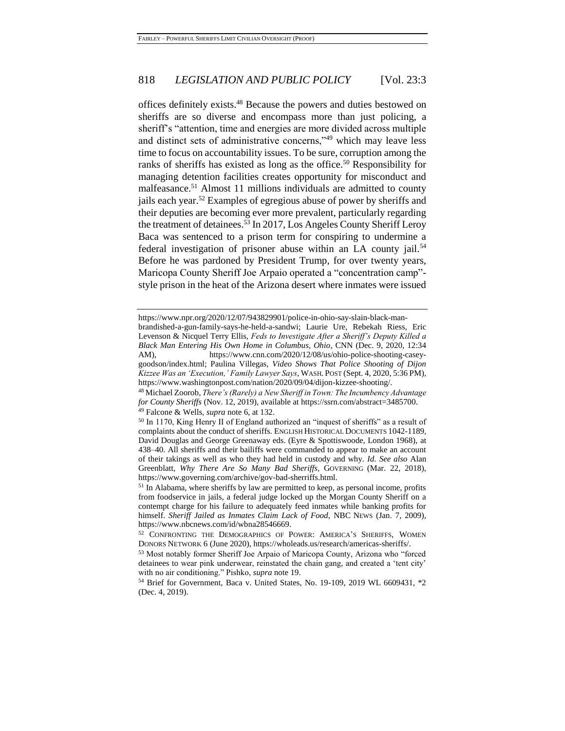<span id="page-11-2"></span><span id="page-11-1"></span><span id="page-11-0"></span>offices definitely exists.<sup>48</sup> Because the powers and duties bestowed on sheriffs are so diverse and encompass more than just policing, a sheriff's "attention, time and energies are more divided across multiple and distinct sets of administrative concerns,"<sup>49</sup> which may leave less time to focus on accountability issues. To be sure, corruption among the ranks of sheriffs has existed as long as the office.<sup>50</sup> Responsibility for managing detention facilities creates opportunity for misconduct and malfeasance.<sup>51</sup> Almost 11 millions individuals are admitted to county jails each year.<sup>52</sup> Examples of egregious abuse of power by sheriffs and their deputies are becoming ever more prevalent, particularly regarding the treatment of detainees.<sup>53</sup> In 2017, Los Angeles County Sheriff Leroy Baca was sentenced to a prison term for conspiring to undermine a federal investigation of prisoner abuse within an LA county jail.<sup>54</sup> Before he was pardoned by President Trump, for over twenty years, Maricopa County Sheriff Joe Arpaio operated a "concentration camp" style prison in the heat of the Arizona desert where inmates were issued

https://www.npr.org/2020/12/07/943829901/police-in-ohio-say-slain-black-manbrandished-a-gun-family-says-he-held-a-sandwi; Laurie Ure, Rebekah Riess, Eric Levenson & Nicquel Terry Ellis, *Feds to Investigate After a Sheriff's Deputy Killed a Black Man Entering His Own Home in Columbus, Ohio*, CNN (Dec. 9, 2020, 12:34 AM), https://www.cnn.com/2020/12/08/us/ohio-police-shooting-caseygoodson/index.html; Paulina Villegas, *Video Shows That Police Shooting of Dijon Kizzee Was an 'Execution,' Family Lawyer Says*, WASH. POST (Sept. 4, 2020, 5:36 PM), https://www.washingtonpost.com/nation/2020/09/04/dijon-kizzee-shooting/.

<sup>48</sup> Michael Zoorob, *There's (Rarely) a New Sheriff in Town: The Incumbency Advantage for County Sheriffs* (Nov. 12, 2019), available at https://ssrn.com/abstract=3485700. <sup>49</sup> Falcone & Wells, *supra* not[e 6,](#page-5-1) at 132.

<sup>50</sup> In 1170, King Henry II of England authorized an "inquest of sheriffs" as a result of complaints about the conduct of sheriffs. ENGLISH HISTORICAL DOCUMENTS 1042-1189*,*  David Douglas and George Greenaway eds. (Eyre & Spottiswoode, London 1968), at 438–40. All sheriffs and their bailiffs were commanded to appear to make an account of their takings as well as who they had held in custody and why. *Id. See also* Alan Greenblatt, *Why There Are So Many Bad Sheriffs*, GOVERNING (Mar. 22, 2018), https://www.governing.com/archive/gov-bad-sherriffs.html.

 $51$  In Alabama, where sheriffs by law are permitted to keep, as personal income, profits from foodservice in jails, a federal judge locked up the Morgan County Sheriff on a contempt charge for his failure to adequately feed inmates while banking profits for himself. *Sheriff Jailed as Inmates Claim Lack of Food*, NBC NEWS (Jan. 7, 2009), https://www.nbcnews.com/id/wbna28546669.

<sup>52</sup> CONFRONTING THE DEMOGRAPHICS OF POWER: AMERICA'S SHERIFFS, WOMEN DONORS NETWORK 6 (June 2020), https://wholeads.us/research/americas-sheriffs/.

<sup>53</sup> Most notably former Sheriff Joe Arpaio of Maricopa County, Arizona who "forced detainees to wear pink underwear, reinstated the chain gang, and created a 'tent city' with no air conditioning." Pishko, *supra* note [19.](#page-6-0)

<sup>54</sup> Brief for Government, Baca v. United States, No. 19-109, 2019 WL 6609431, \*2 (Dec. 4, 2019).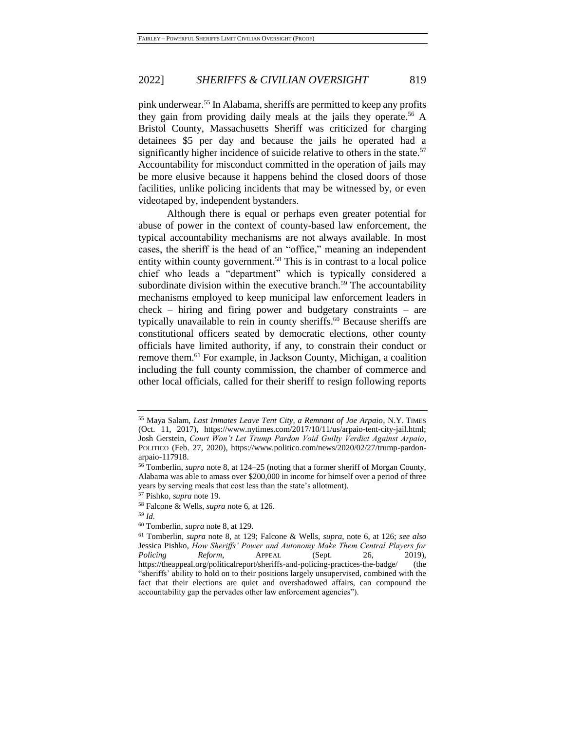pink underwear.<sup>55</sup> In Alabama, sheriffs are permitted to keep any profits they gain from providing daily meals at the jails they operate.<sup>56</sup> A Bristol County, Massachusetts Sheriff was criticized for charging detainees \$5 per day and because the jails he operated had a significantly higher incidence of suicide relative to others in the state.<sup>57</sup> Accountability for misconduct committed in the operation of jails may be more elusive because it happens behind the closed doors of those facilities, unlike policing incidents that may be witnessed by, or even videotaped by, independent bystanders.

Although there is equal or perhaps even greater potential for abuse of power in the context of county-based law enforcement, the typical accountability mechanisms are not always available. In most cases, the sheriff is the head of an "office," meaning an independent entity within county government.<sup>58</sup> This is in contrast to a local police chief who leads a "department" which is typically considered a subordinate division within the executive branch.<sup>59</sup> The accountability mechanisms employed to keep municipal law enforcement leaders in check – hiring and firing power and budgetary constraints – are typically unavailable to rein in county sheriffs. <sup>60</sup> Because sheriffs are constitutional officers seated by democratic elections, other county officials have limited authority, if any, to constrain their conduct or remove them.<sup>61</sup> For example, in Jackson County, Michigan, a coalition including the full county commission, the chamber of commerce and other local officials, called for their sheriff to resign following reports

<span id="page-12-0"></span><sup>55</sup> Maya Salam, *Last Inmates Leave Tent City, a Remnant of Joe Arpaio*, N.Y. TIMES (Oct. 11, 2017), https://www.nytimes.com/2017/10/11/us/arpaio-tent-city-jail.html; Josh Gerstein, *Court Won't Let Trump Pardon Void Guilty Verdict Against Arpaio*, POLITICO (Feb. 27, 2020), https://www.politico.com/news/2020/02/27/trump-pardonarpaio-117918.

<sup>56</sup> Tomberlin, *supra* note [8,](#page-5-0) at 124–25 (noting that a former sheriff of Morgan County, Alabama was able to amass over \$200,000 in income for himself over a period of three years by serving meals that cost less than the state's allotment).

<sup>57</sup> Pishko, *supra* note [19.](#page-6-0)

<sup>58</sup> Falcone & Wells, *supra* not[e 6,](#page-5-1) at 126.

*<sup>59</sup> Id.*

<sup>60</sup> Tomberlin, *supra* not[e 8,](#page-5-0) at 129.

<sup>61</sup> Tomberlin, *supra* note [8,](#page-5-0) at 129; Falcone & Wells, *supra*, note [6,](#page-5-1) at 126; *see also* Jessica Pishko, *How Sheriffs' Power and Autonomy Make Them Central Players for Policing Reform*, APPEAL (Sept. 26, 2019), https://theappeal.org/politicalreport/sheriffs-and-policing-practices-the-badge/ (the "sheriffs' ability to hold on to their positions largely unsupervised, combined with the fact that their elections are quiet and overshadowed affairs, can compound the accountability gap the pervades other law enforcement agencies").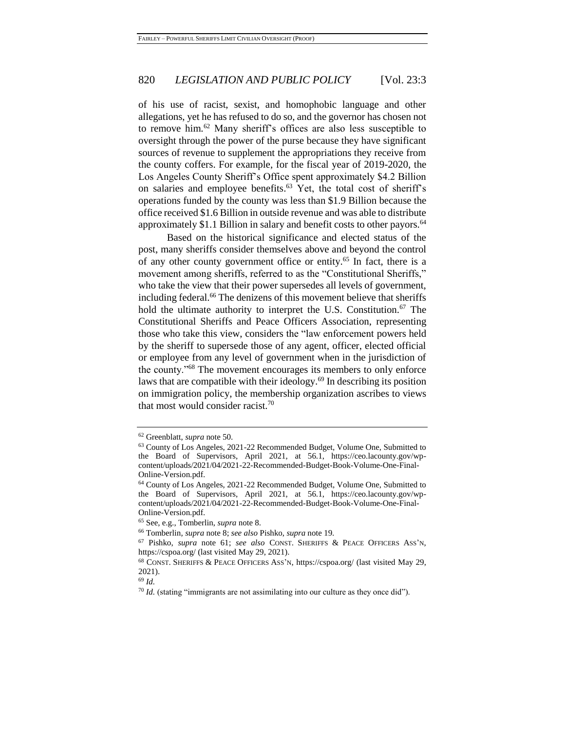of his use of racist, sexist, and homophobic language and other allegations, yet he has refused to do so, and the governor has chosen not to remove him.<sup>62</sup> Many sheriff's offices are also less susceptible to oversight through the power of the purse because they have significant sources of revenue to supplement the appropriations they receive from the county coffers. For example, for the fiscal year of 2019-2020, the Los Angeles County Sheriff's Office spent approximately \$4.2 Billion on salaries and employee benefits. <sup>63</sup> Yet, the total cost of sheriff's operations funded by the county was less than \$1.9 Billion because the office received \$1.6 Billion in outside revenue and was able to distribute approximately \$1.1 Billion in salary and benefit costs to other payors.<sup>64</sup>

Based on the historical significance and elected status of the post, many sheriffs consider themselves above and beyond the control of any other county government office or entity.<sup>65</sup> In fact, there is a movement among sheriffs, referred to as the "Constitutional Sheriffs," who take the view that their power supersedes all levels of government, including federal.<sup>66</sup> The denizens of this movement believe that sheriffs hold the ultimate authority to interpret the U.S. Constitution.<sup>67</sup> The Constitutional Sheriffs and Peace Officers Association, representing those who take this view, considers the "law enforcement powers held by the sheriff to supersede those of any agent, officer, elected official or employee from any level of government when in the jurisdiction of the county."<sup>68</sup> The movement encourages its members to only enforce laws that are compatible with their ideology.<sup>69</sup> In describing its position on immigration policy, the membership organization ascribes to views that most would consider racist.<sup>70</sup>

<sup>62</sup> Greenblatt, *supra* not[e 50.](#page-11-0)

<sup>63</sup> County of Los Angeles, 2021-22 Recommended Budget, Volume One, Submitted to the Board of Supervisors, April 2021, at 56.1, https://ceo.lacounty.gov/wpcontent/uploads/2021/04/2021-22-Recommended-Budget-Book-Volume-One-Final-Online-Version.pdf.

<sup>64</sup> County of Los Angeles, 2021-22 Recommended Budget, Volume One, Submitted to the Board of Supervisors, April 2021, at 56.1, https://ceo.lacounty.gov/wpcontent/uploads/2021/04/2021-22-Recommended-Budget-Book-Volume-One-Final-Online-Version.pdf.

<sup>65</sup> See, e.g., Tomberlin, *supra* not[e 8.](#page-5-0)

<sup>66</sup> Tomberlin, *supra* not[e 8;](#page-5-0) *see also* Pishko, *supra* note [19.](#page-6-0)

<sup>67</sup> Pishko, *supra* note [61;](#page-12-0) *see also* CONST. SHERIFFS & PEACE OFFICERS ASS'N, https://cspoa.org/ (last visited May 29, 2021).

<sup>68</sup> CONST. SHERIFFS & PEACE OFFICERS ASS'N, https://cspoa.org/ (last visited May 29, 2021).

<sup>69</sup> *Id.*

<sup>&</sup>lt;sup>70</sup> *Id.* (stating "immigrants are not assimilating into our culture as they once did").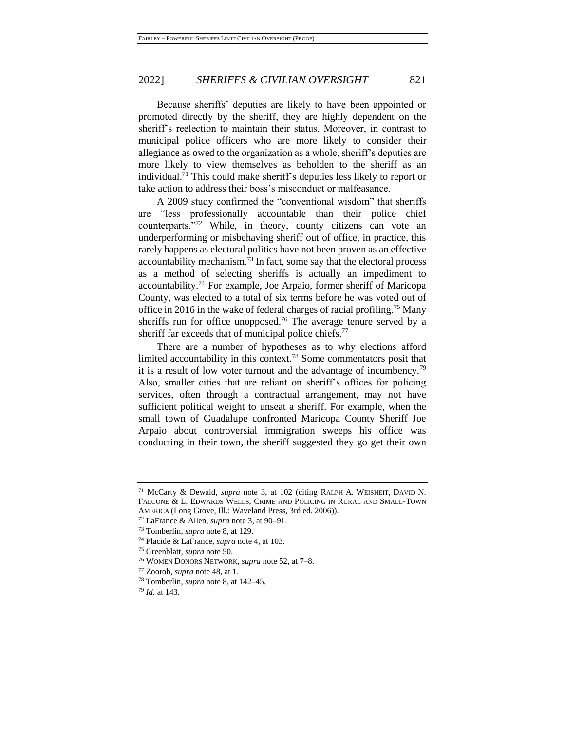Because sheriffs' deputies are likely to have been appointed or promoted directly by the sheriff, they are highly dependent on the sheriff's reelection to maintain their status. Moreover, in contrast to municipal police officers who are more likely to consider their allegiance as owed to the organization as a whole, sheriff's deputies are more likely to view themselves as beholden to the sheriff as an individual. <sup>71</sup> This could make sheriff's deputies less likely to report or take action to address their boss's misconduct or malfeasance.

A 2009 study confirmed the "conventional wisdom" that sheriffs are "less professionally accountable than their police chief counterparts."<sup>72</sup> While, in theory, county citizens can vote an underperforming or misbehaving sheriff out of office, in practice, this rarely happens as electoral politics have not been proven as an effective accountability mechanism.<sup>73</sup> In fact, some say that the electoral process as a method of selecting sheriffs is actually an impediment to accountability.<sup>74</sup> For example, Joe Arpaio, former sheriff of Maricopa County, was elected to a total of six terms before he was voted out of office in 2016 in the wake of federal charges of racial profiling.<sup>75</sup> Many sheriffs run for office unopposed.<sup>76</sup> The average tenure served by a sheriff far exceeds that of municipal police chiefs.<sup>77</sup>

There are a number of hypotheses as to why elections afford limited accountability in this context.<sup>78</sup> Some commentators posit that it is a result of low voter turnout and the advantage of incumbency.<sup>79</sup> Also, smaller cities that are reliant on sheriff's offices for policing services, often through a contractual arrangement, may not have sufficient political weight to unseat a sheriff. For example, when the small town of Guadalupe confronted Maricopa County Sheriff Joe Arpaio about controversial immigration sweeps his office was conducting in their town, the sheriff suggested they go get their own

<sup>71</sup> McCarty & Dewald, *supra* note [3,](#page-4-1) at 102 (citing RALPH A. WEISHEIT, DAVID N. FALCONE & L. EDWARDS WELLS, CRIME AND POLICING IN RURAL AND SMALL-TOWN AMERICA (Long Grove, Ill.: Waveland Press, 3rd ed. 2006)).

<sup>72</sup> LaFrance & Allen, *supra* not[e 3,](#page-4-1) at 90–91.

<sup>73</sup> Tomberlin, *supra* note 8, at 129.

<sup>74</sup> Placide & LaFrance, *supra* note 4, at 103.

<sup>75</sup> Greenblatt, *supra* not[e 50.](#page-11-0)

<sup>76</sup> WOMEN DONORS NETWORK, *supra* not[e 52,](#page-11-1) at 7–8.

<sup>77</sup> Zoorob, *supra* not[e 48,](#page-11-2) at 1.

<sup>78</sup> Tomberlin, *supra* not[e 8,](#page-5-0) at 142–45.

<sup>79</sup> *Id.* at 143.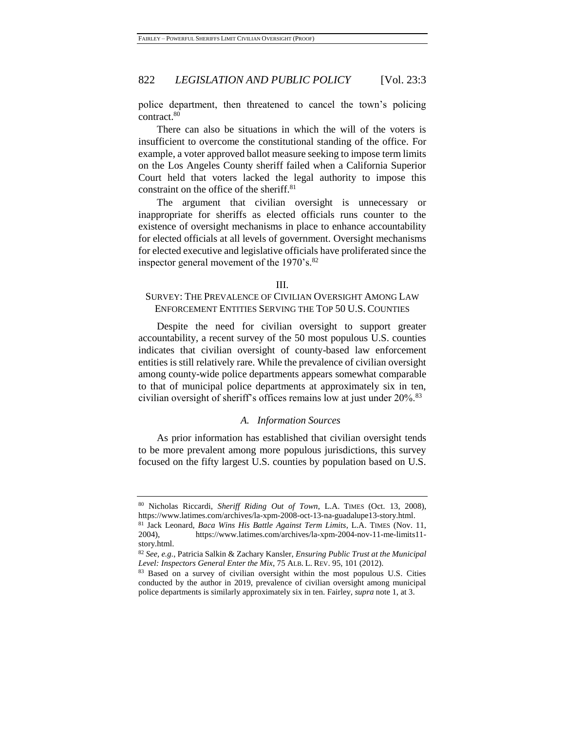police department, then threatened to cancel the town's policing contract.<sup>80</sup>

There can also be situations in which the will of the voters is insufficient to overcome the constitutional standing of the office. For example, a voter approved ballot measure seeking to impose term limits on the Los Angeles County sheriff failed when a California Superior Court held that voters lacked the legal authority to impose this constraint on the office of the sheriff.<sup>81</sup>

The argument that civilian oversight is unnecessary or inappropriate for sheriffs as elected officials runs counter to the existence of oversight mechanisms in place to enhance accountability for elected officials at all levels of government. Oversight mechanisms for elected executive and legislative officials have proliferated since the inspector general movement of the 1970's.<sup>82</sup>

#### III.

# SURVEY: THE PREVALENCE OF CIVILIAN OVERSIGHT AMONG LAW ENFORCEMENT ENTITIES SERVING THE TOP 50 U.S. COUNTIES

Despite the need for civilian oversight to support greater accountability, a recent survey of the 50 most populous U.S. counties indicates that civilian oversight of county-based law enforcement entities is still relatively rare. While the prevalence of civilian oversight among county-wide police departments appears somewhat comparable to that of municipal police departments at approximately six in ten, civilian oversight of sheriff's offices remains low at just under 20%.<sup>83</sup>

# *A. Information Sources*

As prior information has established that civilian oversight tends to be more prevalent among more populous jurisdictions, this survey focused on the fifty largest U.S. counties by population based on U.S.

<sup>80</sup> Nicholas Riccardi, *Sheriff Riding Out of Town*, L.A. TIMES (Oct. 13, 2008), https://www.latimes.com/archives/la-xpm-2008-oct-13-na-guadalupe13-story.html.

<sup>81</sup> Jack Leonard, *Baca Wins His Battle Against Term Limits*, L.A. TIMES (Nov. 11, 2004), https://www.latimes.com/archives/la-xpm-2004-nov-11-me-limits11 story.html.

<sup>82</sup> *See, e.g.*, Patricia Salkin & Zachary Kansler, *Ensuring Public Trust at the Municipal Level: Inspectors General Enter the Mix*, 75 ALB. L. REV. 95, 101 (2012).

<sup>83</sup> Based on a survey of civilian oversight within the most populous U.S. Cities conducted by the author in 2019, prevalence of civilian oversight among municipal police departments is similarly approximately six in ten. Fairley, *supra* not[e 1,](#page-2-0) at 3.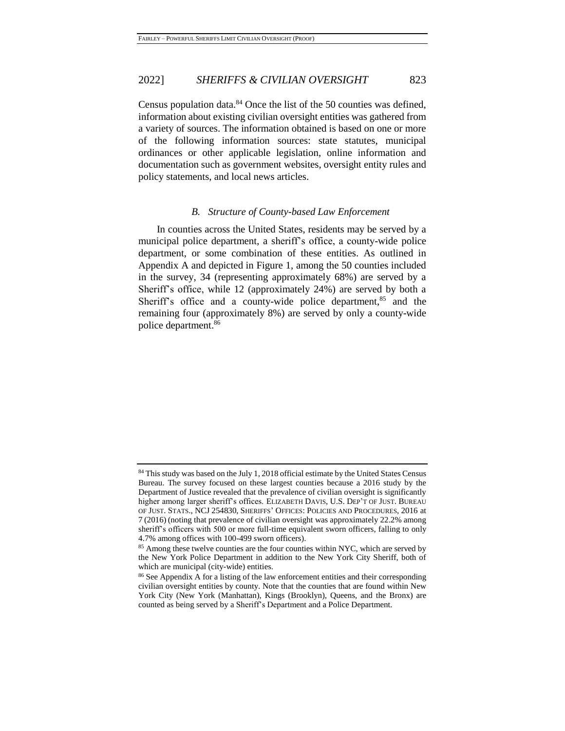Census population data.<sup>84</sup> Once the list of the 50 counties was defined, information about existing civilian oversight entities was gathered from a variety of sources. The information obtained is based on one or more of the following information sources: state statutes, municipal ordinances or other applicable legislation, online information and documentation such as government websites, oversight entity rules and policy statements, and local news articles.

#### *B. Structure of County-based Law Enforcement*

In counties across the United States, residents may be served by a municipal police department, a sheriff's office, a county-wide police department, or some combination of these entities. As outlined in Appendix A and depicted in Figure 1, among the 50 counties included in the survey, 34 (representing approximately 68%) are served by a Sheriff's office, while 12 (approximately 24%) are served by both a Sheriff's office and a county-wide police department, $85$  and the remaining four (approximately 8%) are served by only a county-wide police department.<sup>86</sup>

<sup>&</sup>lt;sup>84</sup> This study was based on the July 1, 2018 official estimate by the United States Census Bureau. The survey focused on these largest counties because a 2016 study by the Department of Justice revealed that the prevalence of civilian oversight is significantly higher among larger sheriff's offices. ELIZABETH DAVIS, U.S. DEP'T OF JUST. BUREAU OF JUST. STATS., NCJ 254830, SHERIFFS' OFFICES: POLICIES AND PROCEDURES, 2016 at 7 (2016) (noting that prevalence of civilian oversight was approximately 22.2% among sheriff's officers with 500 or more full-time equivalent sworn officers, falling to only 4.7% among offices with 100-499 sworn officers).

<sup>&</sup>lt;sup>85</sup> Among these twelve counties are the four counties within NYC, which are served by the New York Police Department in addition to the New York City Sheriff, both of which are municipal (city-wide) entities.

<sup>&</sup>lt;sup>86</sup> See Appendix A for a listing of the law enforcement entities and their corresponding civilian oversight entities by county. Note that the counties that are found within New York City (New York (Manhattan), Kings (Brooklyn), Queens, and the Bronx) are counted as being served by a Sheriff's Department and a Police Department.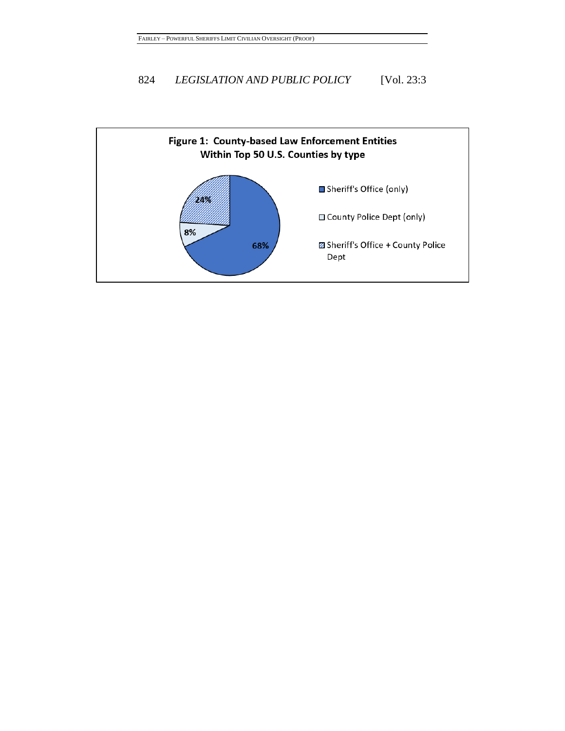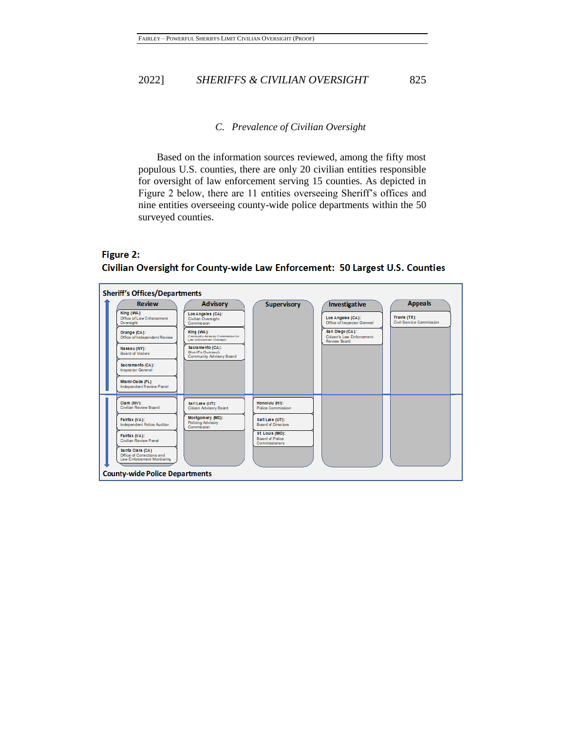# *C. Prevalence of Civilian Oversight*

Based on the information sources reviewed, among the fifty most populous U.S. counties, there are only 20 civilian entities responsible for oversight of law enforcement serving 15 counties. As depicted in Figure 2 below, there are 11 entities overseeing Sheriff's offices and nine entities overseeing county-wide police departments within the 50 surveyed counties.

# Figure 2:

Civilian Oversight for County-wide Law Enforcement: 50 Largest U.S. Counties

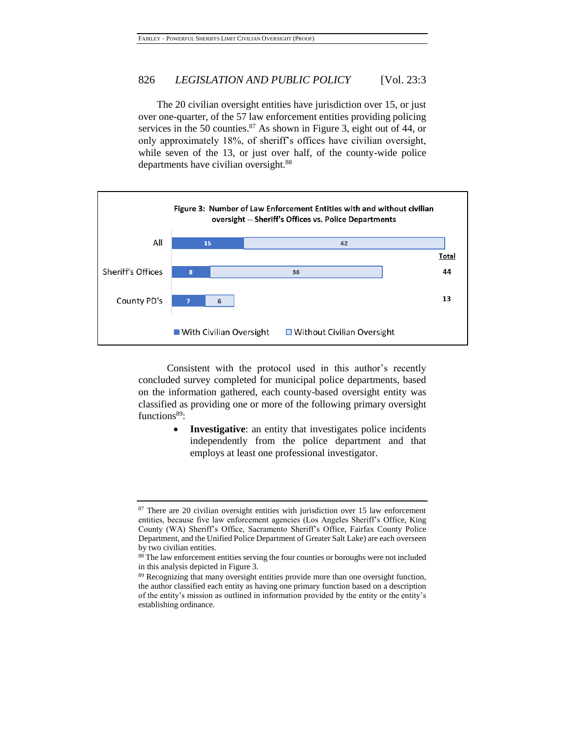The 20 civilian oversight entities have jurisdiction over 15, or just over one-quarter, of the 57 law enforcement entities providing policing services in the 50 counties. $87$  As shown in Figure 3, eight out of 44, or only approximately 18%, of sheriff's offices have civilian oversight, while seven of the 13, or just over half, of the county-wide police departments have civilian oversight.<sup>88</sup>



Consistent with the protocol used in this author's recently concluded survey completed for municipal police departments, based on the information gathered, each county-based oversight entity was classified as providing one or more of the following primary oversight functions<sup>89</sup>:

> **Investigative**: an entity that investigates police incidents independently from the police department and that employs at least one professional investigator.

<sup>&</sup>lt;sup>87</sup> There are 20 civilian oversight entities with jurisdiction over 15 law enforcement entities, because five law enforcement agencies (Los Angeles Sheriff's Office, King County (WA) Sheriff's Office, Sacramento Sheriff's Office, Fairfax County Police Department, and the Unified Police Department of Greater Salt Lake) are each overseen by two civilian entities.

<sup>88</sup> The law enforcement entities serving the four counties or boroughs were not included in this analysis depicted in Figure 3.

<sup>&</sup>lt;sup>89</sup> Recognizing that many oversight entities provide more than one oversight function, the author classified each entity as having one primary function based on a description of the entity's mission as outlined in information provided by the entity or the entity's establishing ordinance.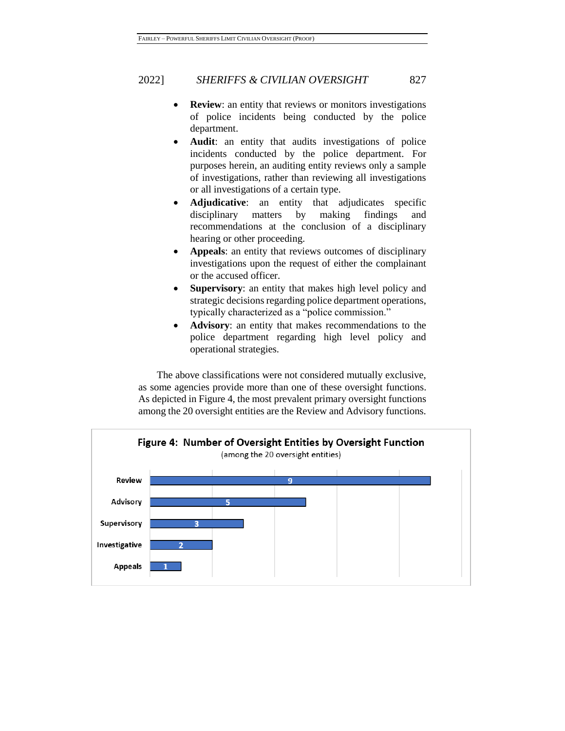- **Review**: an entity that reviews or monitors investigations of police incidents being conducted by the police department.
- **Audit**: an entity that audits investigations of police incidents conducted by the police department. For purposes herein, an auditing entity reviews only a sample of investigations, rather than reviewing all investigations or all investigations of a certain type.
- **Adjudicative**: an entity that adjudicates specific disciplinary matters by making findings and recommendations at the conclusion of a disciplinary hearing or other proceeding.
- **Appeals**: an entity that reviews outcomes of disciplinary investigations upon the request of either the complainant or the accused officer.
- **Supervisory**: an entity that makes high level policy and strategic decisions regarding police department operations, typically characterized as a "police commission."
- **Advisory**: an entity that makes recommendations to the police department regarding high level policy and operational strategies.

The above classifications were not considered mutually exclusive, as some agencies provide more than one of these oversight functions. As depicted in Figure 4, the most prevalent primary oversight functions among the 20 oversight entities are the Review and Advisory functions.

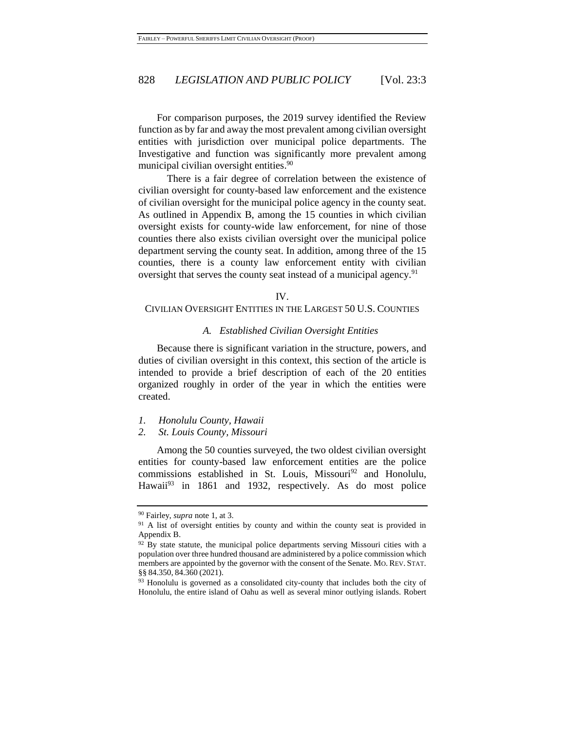For comparison purposes, the 2019 survey identified the Review function as by far and away the most prevalent among civilian oversight entities with jurisdiction over municipal police departments. The Investigative and function was significantly more prevalent among municipal civilian oversight entities.<sup>90</sup>

There is a fair degree of correlation between the existence of civilian oversight for county-based law enforcement and the existence of civilian oversight for the municipal police agency in the county seat. As outlined in Appendix B, among the 15 counties in which civilian oversight exists for county-wide law enforcement, for nine of those counties there also exists civilian oversight over the municipal police department serving the county seat. In addition, among three of the 15 counties, there is a county law enforcement entity with civilian oversight that serves the county seat instead of a municipal agency.<sup>91</sup>

#### IV.

# CIVILIAN OVERSIGHT ENTITIES IN THE LARGEST 50 U.S. COUNTIES

#### *A. Established Civilian Oversight Entities*

Because there is significant variation in the structure, powers, and duties of civilian oversight in this context, this section of the article is intended to provide a brief description of each of the 20 entities organized roughly in order of the year in which the entities were created.

*1. Honolulu County, Hawaii*

#### *2. St. Louis County, Missouri*

Among the 50 counties surveyed, the two oldest civilian oversight entities for county-based law enforcement entities are the police commissions established in St. Louis, Missouri<sup>92</sup> and Honolulu, Hawaii<sup>93</sup> in 1861 and 1932, respectively. As do most police

<sup>90</sup> Fairley, *supra* not[e 1,](#page-2-0) at 3.

<sup>&</sup>lt;sup>91</sup> A list of oversight entities by county and within the county seat is provided in Appendix B.

<sup>&</sup>lt;sup>92</sup> By state statute, the municipal police departments serving Missouri cities with a population over three hundred thousand are administered by a police commission which members are appointed by the governor with the consent of the Senate. MO. REV. STAT. §§ 84.350, 84.360 (2021).

<sup>&</sup>lt;sup>93</sup> Honolulu is governed as a consolidated city-county that includes both the city of Honolulu, the entire island of Oahu as well as several minor outlying islands. Robert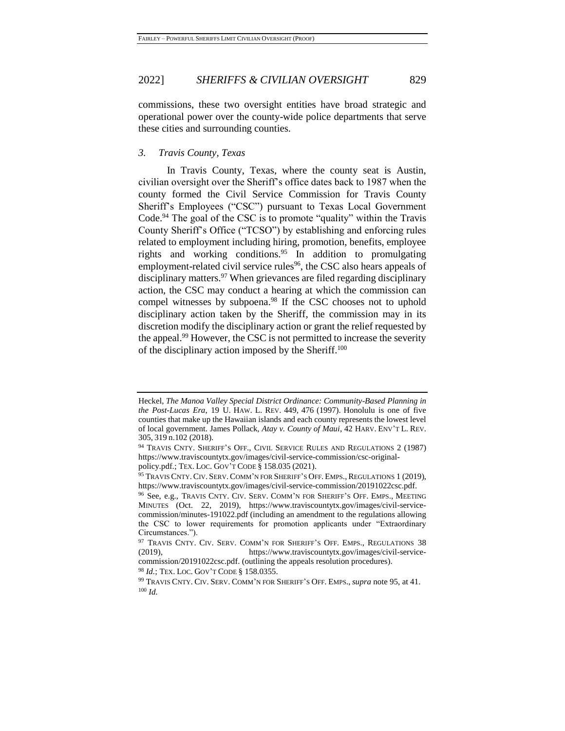commissions, these two oversight entities have broad strategic and operational power over the county-wide police departments that serve these cities and surrounding counties.

### *3. Travis County, Texas*

<span id="page-22-0"></span>In Travis County, Texas, where the county seat is Austin, civilian oversight over the Sheriff's office dates back to 1987 when the county formed the Civil Service Commission for Travis County Sheriff's Employees ("CSC") pursuant to Texas Local Government Code.<sup>94</sup> The goal of the CSC is to promote "quality" within the Travis County Sheriff's Office ("TCSO") by establishing and enforcing rules related to employment including hiring, promotion, benefits, employee rights and working conditions.<sup>95</sup> In addition to promulgating employment-related civil service rules<sup>96</sup>, the CSC also hears appeals of disciplinary matters.<sup>97</sup> When grievances are filed regarding disciplinary action, the CSC may conduct a hearing at which the commission can compel witnesses by subpoena.<sup>98</sup> If the CSC chooses not to uphold disciplinary action taken by the Sheriff, the commission may in its discretion modify the disciplinary action or grant the relief requested by the appeal.<sup>99</sup> However, the CSC is not permitted to increase the severity of the disciplinary action imposed by the Sheriff.<sup>100</sup>

<sup>98</sup> *Id.*; TEX. LOC. GOV'T CODE § 158.0355.

Heckel, *The Manoa Valley Special District Ordinance: Community-Based Planning in the Post-Lucas Era*, 19 U. HAW. L. REV. 449, 476 (1997). Honolulu is one of five counties that make up the Hawaiian islands and each county represents the lowest level of local government. James Pollack, *Atay v. County of Maui*, 42 HARV. ENV'T L. REV. 305, 319 n.102 (2018).

<sup>&</sup>lt;sup>94</sup> TRAVIS CNTY. SHERIFF'S OFF., CIVIL SERVICE RULES AND REGULATIONS 2 (1987) https://www.traviscountytx.gov/images/civil-service-commission/csc-originalpolicy.pdf.; TEX. LOC. GOV'T CODE § 158.035 (2021).

<sup>95</sup> TRAVIS CNTY. CIV. SERV. COMM'N FOR SHERIFF'S OFF. EMPS., REGULATIONS 1 (2019), https://www.traviscountytx.gov/images/civil-service-commission/20191022csc.pdf.

<sup>96</sup> See, e.g., TRAVIS CNTY. CIV. SERV. COMM'N FOR SHERIFF'S OFF. EMPS., MEETING MINUTES (Oct. 22, 2019), https://www.traviscountytx.gov/images/civil-servicecommission/minutes-191022.pdf (including an amendment to the regulations allowing the CSC to lower requirements for promotion applicants under "Extraordinary Circumstances.").

<sup>97</sup> TRAVIS CNTY. CIV. SERV. COMM'N FOR SHERIFF'S OFF. EMPS., REGULATIONS 38 (2019), https://www.traviscountytx.gov/images/civil-servicecommission/20191022csc.pdf. (outlining the appeals resolution procedures).

<sup>99</sup> TRAVIS CNTY. CIV. SERV. COMM'N FOR SHERIFF'S OFF. EMPS., *supra* not[e 95,](#page-22-0) at 41. <sup>100</sup> *Id.*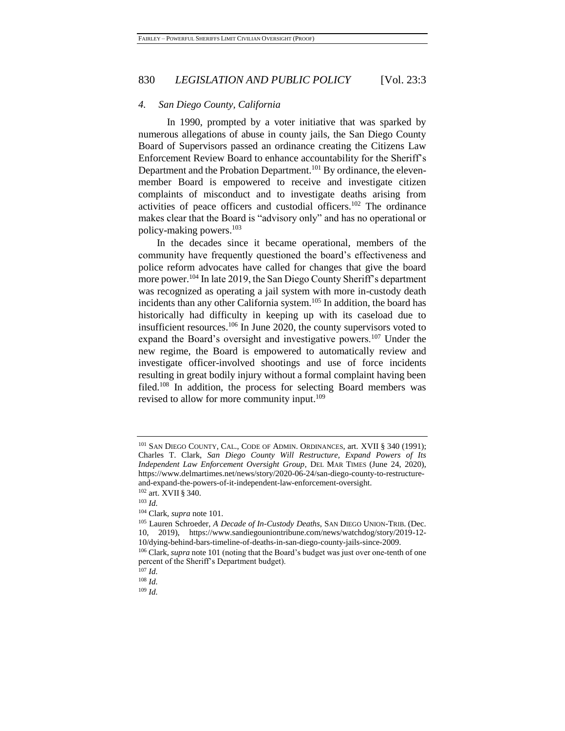#### *4. San Diego County, California*

<span id="page-23-0"></span>In 1990, prompted by a voter initiative that was sparked by numerous allegations of abuse in county jails, the San Diego County Board of Supervisors passed an ordinance creating the Citizens Law Enforcement Review Board to enhance accountability for the Sheriff's Department and the Probation Department.<sup>101</sup> By ordinance, the elevenmember Board is empowered to receive and investigate citizen complaints of misconduct and to investigate deaths arising from activities of peace officers and custodial officers.<sup>102</sup> The ordinance makes clear that the Board is "advisory only" and has no operational or policy-making powers. $103$ 

In the decades since it became operational, members of the community have frequently questioned the board's effectiveness and police reform advocates have called for changes that give the board more power.<sup>104</sup> In late 2019, the San Diego County Sheriff's department was recognized as operating a jail system with more in-custody death incidents than any other California system.<sup>105</sup> In addition, the board has historically had difficulty in keeping up with its caseload due to insufficient resources.<sup>106</sup> In June 2020, the county supervisors voted to expand the Board's oversight and investigative powers.<sup>107</sup> Under the new regime, the Board is empowered to automatically review and investigate officer-involved shootings and use of force incidents resulting in great bodily injury without a formal complaint having been filed.<sup>108</sup> In addition, the process for selecting Board members was revised to allow for more community input.<sup>109</sup>

<sup>&</sup>lt;sup>101</sup> SAN DIEGO COUNTY, CAL., CODE OF ADMIN. ORDINANCES, art. XVII § 340 (1991); Charles T. Clark, *San Diego County Will Restructure, Expand Powers of Its Independent Law Enforcement Oversight Group*, DEL MAR TIMES (June 24, 2020), https://www.delmartimes.net/news/story/2020-06-24/san-diego-county-to-restructureand-expand-the-powers-of-it-independent-law-enforcement-oversight.

<sup>102</sup> art. XVII § 340.

<sup>103</sup> *Id.*

<sup>104</sup> Clark, *supra* not[e 101.](#page-23-0)

<sup>105</sup> Lauren Schroeder, *A Decade of In-Custody Deaths*, SAN DIEGO UNION-TRIB. (Dec. 10, 2019), https://www.sandiegouniontribune.com/news/watchdog/story/2019-12- 10/dying-behind-bars-timeline-of-deaths-in-san-diego-county-jails-since-2009.

<sup>106</sup> Clark, *supra* not[e 101](#page-23-0) (noting that the Board's budget was just over one-tenth of one percent of the Sheriff's Department budget).

 $107$  *Id.* 

<sup>108</sup> *Id.*

<sup>109</sup> *Id.*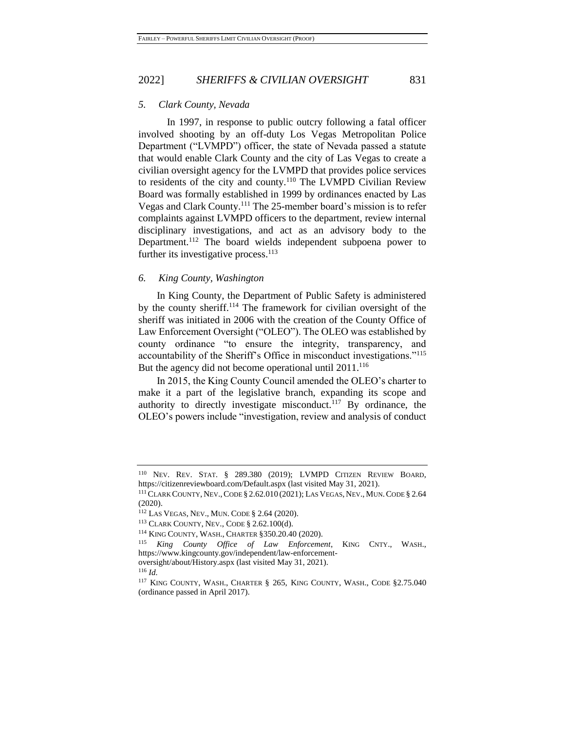#### *5. Clark County, Nevada*

In 1997, in response to public outcry following a fatal officer involved shooting by an off-duty Los Vegas Metropolitan Police Department ("LVMPD") officer, the state of Nevada passed a statute that would enable Clark County and the city of Las Vegas to create a civilian oversight agency for the LVMPD that provides police services to residents of the city and county.<sup>110</sup> The LVMPD Civilian Review Board was formally established in 1999 by ordinances enacted by Las Vegas and Clark County.<sup>111</sup> The 25-member board's mission is to refer complaints against LVMPD officers to the department, review internal disciplinary investigations, and act as an advisory body to the Department.<sup>112</sup> The board wields independent subpoena power to further its investigative process.<sup>113</sup>

#### *6. King County, Washington*

In King County, the Department of Public Safety is administered by the county sheriff.<sup>114</sup> The framework for civilian oversight of the sheriff was initiated in 2006 with the creation of the County Office of Law Enforcement Oversight ("OLEO"). The OLEO was established by county ordinance "to ensure the integrity, transparency, and accountability of the Sheriff's Office in misconduct investigations."<sup>115</sup> But the agency did not become operational until 2011.<sup>116</sup>

In 2015, the King County Council amended the OLEO's charter to make it a part of the legislative branch, expanding its scope and authority to directly investigate misconduct.<sup>117</sup> By ordinance, the OLEO's powers include "investigation, review and analysis of conduct

<sup>116</sup> *Id.*

<sup>110</sup> NEV. REV. STAT. § 289.380 (2019); LVMPD CITIZEN REVIEW BOARD, https://citizenreviewboard.com/Default.aspx (last visited May 31, 2021).

<sup>111</sup>CLARK COUNTY, NEV.,CODE § 2.62.010 (2021); LAS VEGAS, NEV., MUN.CODE § 2.64 (2020).

<sup>112</sup> LAS VEGAS, NEV., MUN. CODE § 2.64 (2020).

<sup>113</sup> CLARK COUNTY, NEV., CODE § 2.62.100(d).

<sup>114</sup> KING COUNTY, WASH., CHARTER §350.20.40 (2020).

<sup>115</sup> *King County Office of Law Enforcement*, KING CNTY., WASH., https://www.kingcounty.gov/independent/law-enforcement-

oversight/about/History.aspx (last visited May 31, 2021).

<sup>&</sup>lt;sup>117</sup> KING COUNTY, WASH., CHARTER § 265, KING COUNTY, WASH., CODE §2.75.040 (ordinance passed in April 2017).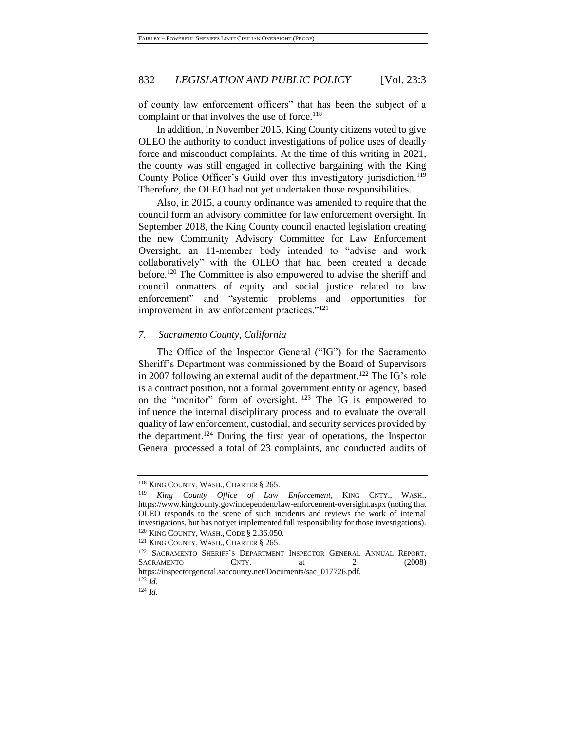of county law enforcement officers" that has been the subject of a complaint or that involves the use of force.<sup>118</sup>

In addition, in November 2015, King County citizens voted to give OLEO the authority to conduct investigations of police uses of deadly force and misconduct complaints. At the time of this writing in 2021, the county was still engaged in collective bargaining with the King County Police Officer's Guild over this investigatory jurisdiction.<sup>119</sup> Therefore, the OLEO had not yet undertaken those responsibilities.

<span id="page-25-0"></span>Also, in 2015, a county ordinance was amended to require that the council form an advisory committee for law enforcement oversight. In September 2018, the King County council enacted legislation creating the new Community Advisory Committee for Law Enforcement Oversight, an 11-member body intended to "advise and work collaboratively" with the OLEO that had been created a decade before.<sup>120</sup> The Committee is also empowered to advise the sheriff and council onmatters of equity and social justice related to law enforcement" and "systemic problems and opportunities for improvement in law enforcement practices."<sup>121</sup>

#### *7. Sacramento County, California*

The Office of the Inspector General ("IG") for the Sacramento Sheriff's Department was commissioned by the Board of Supervisors in 2007 following an external audit of the department.<sup>122</sup> The IG's role is a contract position, not a formal government entity or agency, based on the "monitor" form of oversight. <sup>123</sup> The IG is empowered to influence the internal disciplinary process and to evaluate the overall quality of law enforcement, custodial, and security services provided by the department.<sup>124</sup> During the first year of operations, the Inspector General processed a total of 23 complaints, and conducted audits of

<sup>&</sup>lt;sup>118</sup> KING COUNTY, WASH., CHARTER § 265.

<sup>119</sup> *King County Office of Law Enforcement*, KING CNTY., WASH., https://www.kingcounty.gov/independent/law-enforcement-oversight.aspx (noting that OLEO responds to the scene of such incidents and reviews the work of internal investigations, but has not yet implemented full responsibility for those investigations). <sup>120</sup> KING COUNTY, WASH., CODE § 2.36.050.

<sup>&</sup>lt;sup>121</sup> KING COUNTY, WASH., CHARTER § 265.

<sup>&</sup>lt;sup>122</sup> SACRAMENTO SHERIFF'S DEPARTMENT INSPECTOR GENERAL ANNUAL REPORT, SACRAMENTO CNTY. at 2 (2008) https://inspectorgeneral.saccounty.net/Documents/sac\_017726.pdf.

<sup>123</sup> *Id*.

<sup>124</sup> *Id*.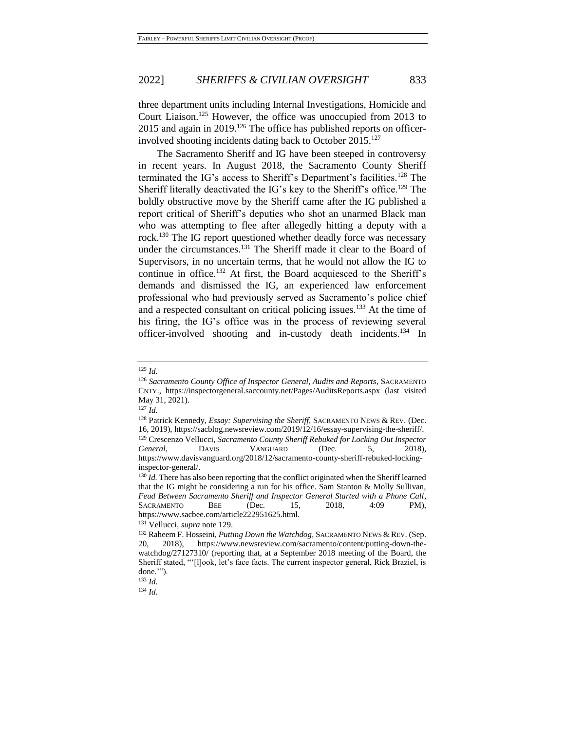three department units including Internal Investigations, Homicide and Court Liaison.<sup>125</sup> However, the office was unoccupied from 2013 to 2015 and again in 2019.<sup>126</sup> The office has published reports on officerinvolved shooting incidents dating back to October 2015.<sup>127</sup>

<span id="page-26-1"></span><span id="page-26-0"></span>The Sacramento Sheriff and IG have been steeped in controversy in recent years. In August 2018, the Sacramento County Sheriff terminated the IG's access to Sheriff's Department's facilities.<sup>128</sup> The Sheriff literally deactivated the IG's key to the Sheriff's office.<sup>129</sup> The boldly obstructive move by the Sheriff came after the IG published a report critical of Sheriff's deputies who shot an unarmed Black man who was attempting to flee after allegedly hitting a deputy with a rock.<sup>130</sup> The IG report questioned whether deadly force was necessary under the circumstances.<sup>131</sup> The Sheriff made it clear to the Board of Supervisors, in no uncertain terms, that he would not allow the IG to continue in office.<sup>132</sup> At first, the Board acquiesced to the Sheriff's demands and dismissed the IG, an experienced law enforcement professional who had previously served as Sacramento's police chief and a respected consultant on critical policing issues.<sup>133</sup> At the time of his firing, the IG's office was in the process of reviewing several officer-involved shooting and in-custody death incidents.<sup>134</sup> In

<sup>125</sup> *Id.*

<sup>126</sup> *Sacramento County Office of Inspector General, Audits and Reports*, SACRAMENTO CNTY., https://inspectorgeneral.saccounty.net/Pages/AuditsReports.aspx (last visited May 31, 2021).

<sup>127</sup> *Id.*

<sup>128</sup> Patrick Kennedy, *Essay: Supervising the Sheriff*, SACRAMENTO NEWS & REV. (Dec. 16, 2019), https://sacblog.newsreview.com/2019/12/16/essay-supervising-the-sheriff/. <sup>129</sup> Crescenzo Vellucci, *Sacramento County Sheriff Rebuked for Locking Out Inspector* 

*General*, DAVIS VANGUARD (Dec. 5, 2018), https://www.davisvanguard.org/2018/12/sacramento-county-sheriff-rebuked-lockinginspector-general/.

<sup>&</sup>lt;sup>130</sup> *Id.* There has also been reporting that the conflict originated when the Sheriff learned that the IG might be considering a run for his office. Sam Stanton & Molly Sullivan, *Feud Between Sacramento Sheriff and Inspector General Started with a Phone Call*, SACRAMENTO BEE (Dec. 15, 2018, 4:09 PM), https://www.sacbee.com/article222951625.html.

<sup>131</sup> Vellucci, *supra* note [129.](#page-26-0)

<sup>132</sup> Raheem F. Hosseini, *Putting Down the Watchdog*, SACRAMENTO NEWS & REV. (Sep. 20, 2018), https://www.newsreview.com/sacramento/content/putting-down-thewatchdog/27127310/ (reporting that, at a September 2018 meeting of the Board, the Sheriff stated, "'[l]ook, let's face facts. The current inspector general, Rick Braziel, is done.'").

<sup>133</sup> *Id.*

<sup>134</sup> *Id.*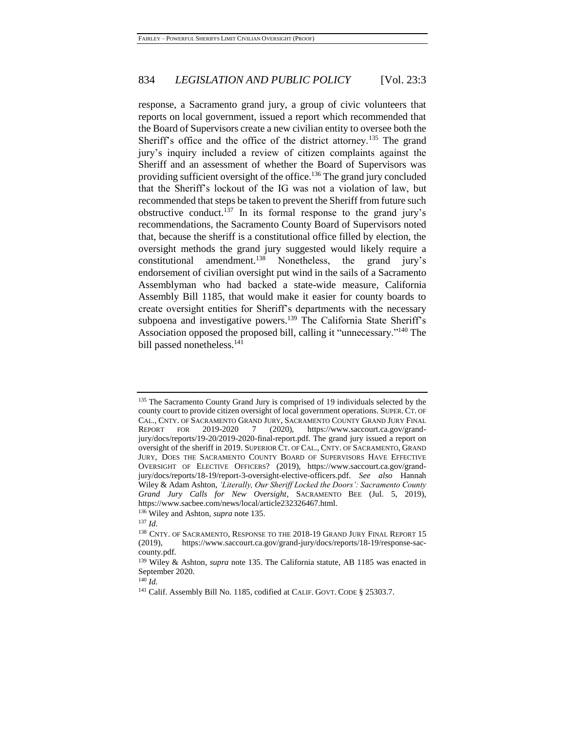<span id="page-27-0"></span>response, a Sacramento grand jury, a group of civic volunteers that reports on local government, issued a report which recommended that the Board of Supervisors create a new civilian entity to oversee both the Sheriff's office and the office of the district attorney.<sup>135</sup> The grand jury's inquiry included a review of citizen complaints against the Sheriff and an assessment of whether the Board of Supervisors was providing sufficient oversight of the office.<sup>136</sup> The grand jury concluded that the Sheriff's lockout of the IG was not a violation of law, but recommended that steps be taken to prevent the Sheriff from future such obstructive conduct.<sup>137</sup> In its formal response to the grand jury's recommendations, the Sacramento County Board of Supervisors noted that, because the sheriff is a constitutional office filled by election, the oversight methods the grand jury suggested would likely require a constitutional amendment.<sup>138</sup> Nonetheless, the grand jury's endorsement of civilian oversight put wind in the sails of a Sacramento Assemblyman who had backed a state-wide measure, California Assembly Bill 1185, that would make it easier for county boards to create oversight entities for Sheriff's departments with the necessary subpoena and investigative powers.<sup>139</sup> The California State Sheriff's Association opposed the proposed bill, calling it "unnecessary."<sup>140</sup> The bill passed nonetheless.<sup>141</sup>

<sup>136</sup> Wiley and Ashton, *supra* note [135.](#page-27-0)

<sup>&</sup>lt;sup>135</sup> The Sacramento County Grand Jury is comprised of 19 individuals selected by the county court to provide citizen oversight of local government operations. SUPER. CT. OF CAL., CNTY. OF SACRAMENTO GRAND JURY, SACRAMENTO COUNTY GRAND JURY FINAL REPORT FOR 2019-2020 7 (2020), https://www.saccourt.ca.gov/grand-REPORT FOR 2019-2020 7 (2020), https://www.saccourt.ca.gov/grandjury/docs/reports/19-20/2019-2020-final-report.pdf. The grand jury issued a report on oversight of the sheriff in 2019. SUPERIOR CT. OF CAL., CNTY. OF SACRAMENTO, GRAND JURY, DOES THE SACRAMENTO COUNTY BOARD OF SUPERVISORS HAVE EFFECTIVE OVERSIGHT OF ELECTIVE OFFICERS? (2019), https://www.saccourt.ca.gov/grandjury/docs/reports/18-19/report-3-oversight-elective-officers.pdf. *See also* Hannah Wiley & Adam Ashton, *'Literally, Our Sheriff Locked the Doors': Sacramento County Grand Jury Calls for New Oversight*, SACRAMENTO BEE (Jul. 5, 2019), https://www.sacbee.com/news/local/article232326467.html.

<sup>137</sup> *Id.*

<sup>&</sup>lt;sup>138</sup> CNTY. OF SACRAMENTO, RESPONSE TO THE 2018-19 GRAND JURY FINAL REPORT 15 (2019), https://www.saccourt.ca.gov/grand-jury/docs/reports/18-19/response-saccounty.pdf.

<sup>139</sup> Wiley & Ashton, *supra* note [135.](#page-27-0) The California statute, AB 1185 was enacted in September 2020.

<sup>140</sup> *Id.*

<sup>&</sup>lt;sup>141</sup> Calif. Assembly Bill No. 1185, codified at CALIF. GOVT. CODE § 25303.7.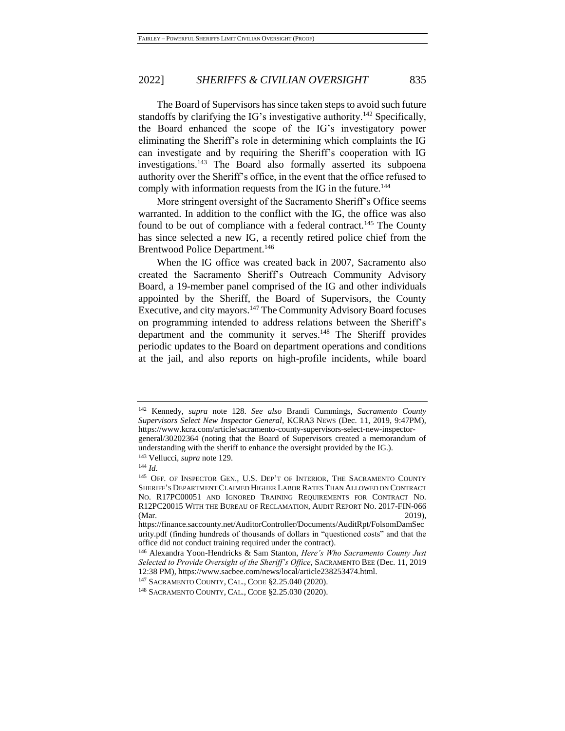The Board of Supervisors has since taken steps to avoid such future standoffs by clarifying the IG's investigative authority.<sup>142</sup> Specifically, the Board enhanced the scope of the IG's investigatory power eliminating the Sheriff's role in determining which complaints the IG can investigate and by requiring the Sheriff's cooperation with IG investigations.<sup>143</sup> The Board also formally asserted its subpoena authority over the Sheriff's office, in the event that the office refused to comply with information requests from the IG in the future.<sup>144</sup>

More stringent oversight of the Sacramento Sheriff's Office seems warranted. In addition to the conflict with the IG, the office was also found to be out of compliance with a federal contract.<sup>145</sup> The County has since selected a new IG, a recently retired police chief from the Brentwood Police Department.<sup>146</sup>

When the IG office was created back in 2007, Sacramento also created the Sacramento Sheriff's Outreach Community Advisory Board, a 19-member panel comprised of the IG and other individuals appointed by the Sheriff, the Board of Supervisors, the County Executive, and city mayors.<sup>147</sup> The Community Advisory Board focuses on programming intended to address relations between the Sheriff's department and the community it serves.<sup>148</sup> The Sheriff provides periodic updates to the Board on department operations and conditions at the jail, and also reports on high-profile incidents, while board

<sup>142</sup> Kennedy, *supra* note [128.](#page-26-1) *See also* Brandi Cummings, *Sacramento County Supervisors Select New Inspector General*, KCRA3 NEWS (Dec. 11, 2019, 9:47PM), https://www.kcra.com/article/sacramento-county-supervisors-select-new-inspectorgeneral/30202364 (noting that the Board of Supervisors created a memorandum of understanding with the sheriff to enhance the oversight provided by the IG.).

<sup>143</sup> Vellucci, *supra* note [129.](#page-26-0)

<sup>144</sup> *Id.*

<sup>145</sup> OFF. OF INSPECTOR GEN., U.S. DEP'T OF INTERIOR, THE SACRAMENTO COUNTY SHERIFF'S DEPARTMENT CLAIMED HIGHER LABOR RATES THAN ALLOWED ON CONTRACT NO. R17PC00051 AND IGNORED TRAINING REQUIREMENTS FOR CONTRACT NO. R12PC20015 WITH THE BUREAU OF RECLAMATION, AUDIT REPORT NO. 2017-FIN-066 (Mar. 2019),

https://finance.saccounty.net/AuditorController/Documents/AuditRpt/FolsomDamSec urity.pdf (finding hundreds of thousands of dollars in "questioned costs" and that the office did not conduct training required under the contract).

<sup>146</sup> Alexandra Yoon-Hendricks & Sam Stanton, *Here's Who Sacramento County Just Selected to Provide Oversight of the Sheriff's Office*, SACRAMENTO BEE (Dec. 11, 2019 12:38 PM), https://www.sacbee.com/news/local/article238253474.html.

<sup>147</sup> SACRAMENTO COUNTY, CAL., CODE §2.25.040 (2020).

<sup>148</sup> SACRAMENTO COUNTY, CAL., CODE §2.25.030 (2020).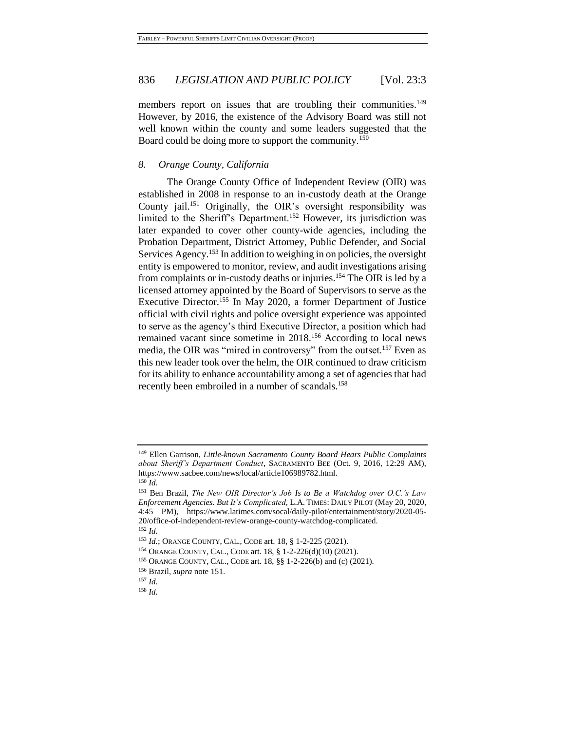members report on issues that are troubling their communities.<sup>149</sup> However, by 2016, the existence of the Advisory Board was still not well known within the county and some leaders suggested that the Board could be doing more to support the community.<sup>150</sup>

### *8. Orange County, California*

<span id="page-29-0"></span>The Orange County Office of Independent Review (OIR) was established in 2008 in response to an in-custody death at the Orange County jail.<sup>151</sup> Originally, the OIR's oversight responsibility was limited to the Sheriff's Department.<sup>152</sup> However, its jurisdiction was later expanded to cover other county-wide agencies, including the Probation Department, District Attorney, Public Defender, and Social Services Agency.<sup>153</sup> In addition to weighing in on policies, the oversight entity is empowered to monitor, review, and audit investigations arising from complaints or in-custody deaths or injuries.<sup>154</sup> The OIR is led by a licensed attorney appointed by the Board of Supervisors to serve as the Executive Director.<sup>155</sup> In May 2020, a former Department of Justice official with civil rights and police oversight experience was appointed to serve as the agency's third Executive Director, a position which had remained vacant since sometime in 2018.<sup>156</sup> According to local news media, the OIR was "mired in controversy" from the outset.<sup>157</sup> Even as this new leader took over the helm, the OIR continued to draw criticism for its ability to enhance accountability among a set of agencies that had recently been embroiled in a number of scandals.<sup>158</sup>

<sup>149</sup> Ellen Garrison, *Little-known Sacramento County Board Hears Public Complaints about Sheriff's Department Conduct*, SACRAMENTO BEE (Oct. 9, 2016, 12:29 AM), https://www.sacbee.com/news/local/article106989782.html. <sup>150</sup> *Id.*

<sup>151</sup> Ben Brazil, *The New OIR Director's Job Is to Be a Watchdog over O.C.'s Law Enforcement Agencies. But It's Complicated*, L.A. TIMES: DAILY PILOT (May 20, 2020, 4:45 PM), https://www.latimes.com/socal/daily-pilot/entertainment/story/2020-05- 20/office-of-independent-review-orange-county-watchdog-complicated. <sup>152</sup> *Id.*

<sup>153</sup> *Id.*; ORANGE COUNTY, CAL., CODE art. 18, § 1-2-225 (2021).

<sup>154</sup> ORANGE COUNTY, CAL., CODE art. 18, § 1-2-226(d)(10) (2021).

<sup>155</sup> ORANGE COUNTY, CAL., CODE art. 18, §§ 1-2-226(b) and (c) (2021).

<sup>156</sup> Brazil, *supra* note [151.](#page-29-0)

<sup>157</sup> *Id.*

<sup>158</sup> *Id.*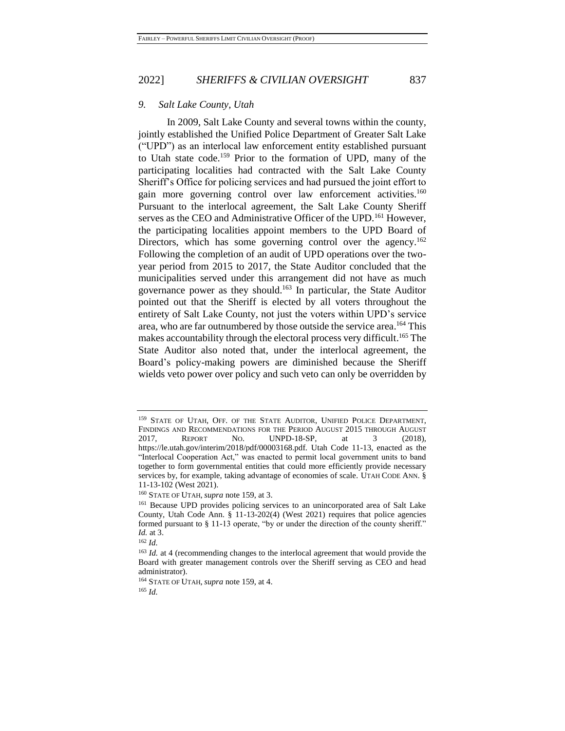#### *9. Salt Lake County, Utah*

<span id="page-30-0"></span>In 2009, Salt Lake County and several towns within the county, jointly established the Unified Police Department of Greater Salt Lake ("UPD") as an interlocal law enforcement entity established pursuant to Utah state code.<sup>159</sup> Prior to the formation of UPD, many of the participating localities had contracted with the Salt Lake County Sheriff's Office for policing services and had pursued the joint effort to gain more governing control over law enforcement activities.<sup>160</sup> Pursuant to the interlocal agreement, the Salt Lake County Sheriff serves as the CEO and Administrative Officer of the UPD.<sup>161</sup> However, the participating localities appoint members to the UPD Board of Directors, which has some governing control over the agency.<sup>162</sup> Following the completion of an audit of UPD operations over the twoyear period from 2015 to 2017, the State Auditor concluded that the municipalities served under this arrangement did not have as much governance power as they should.<sup>163</sup> In particular, the State Auditor pointed out that the Sheriff is elected by all voters throughout the entirety of Salt Lake County, not just the voters within UPD's service area, who are far outnumbered by those outside the service area. <sup>164</sup> This makes accountability through the electoral process very difficult. <sup>165</sup> The State Auditor also noted that, under the interlocal agreement, the Board's policy-making powers are diminished because the Sheriff wields veto power over policy and such veto can only be overridden by

<sup>&</sup>lt;sup>159</sup> STATE OF UTAH, OFF. OF THE STATE AUDITOR, UNIFIED POLICE DEPARTMENT, FINDINGS AND RECOMMENDATIONS FOR THE PERIOD AUGUST 2015 THROUGH AUGUST 2017, REPORT NO. UNPD-18-SP, at 3 (2018), https://le.utah.gov/interim/2018/pdf/00003168.pdf. Utah Code 11-13, enacted as the "Interlocal Cooperation Act," was enacted to permit local government units to band together to form governmental entities that could more efficiently provide necessary services by, for example, taking advantage of economies of scale. UTAH CODE ANN. § 11-13-102 (West 2021).

<sup>160</sup> STATE OF UTAH, *supra* note [159,](#page-30-0) at 3.

<sup>161</sup> Because UPD provides policing services to an unincorporated area of Salt Lake County, Utah Code Ann. § 11-13-202(4) (West 2021) requires that police agencies formed pursuant to § 11-13 operate, "by or under the direction of the county sheriff." *Id.* at 3.

<sup>162</sup> *Id.*

<sup>&</sup>lt;sup>163</sup> *Id.* at 4 (recommending changes to the interlocal agreement that would provide the Board with greater management controls over the Sheriff serving as CEO and head administrator).

<sup>164</sup> STATE OF UTAH, *supra* note [159,](#page-30-0) at 4.

<sup>165</sup> *Id.*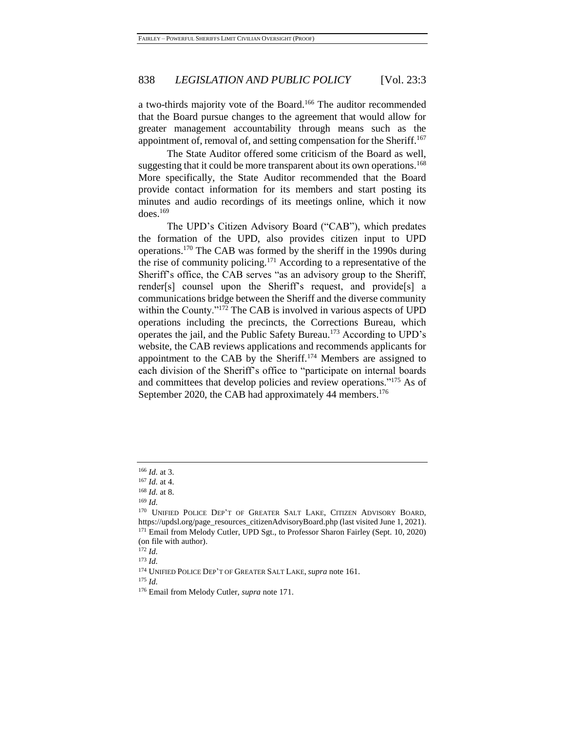a two-thirds majority vote of the Board.<sup>166</sup> The auditor recommended that the Board pursue changes to the agreement that would allow for greater management accountability through means such as the appointment of, removal of, and setting compensation for the Sheriff.<sup>167</sup>

The State Auditor offered some criticism of the Board as well, suggesting that it could be more transparent about its own operations.<sup>168</sup> More specifically, the State Auditor recommended that the Board provide contact information for its members and start posting its minutes and audio recordings of its meetings online, which it now  $does.<sup>169</sup>$ 

<span id="page-31-0"></span>The UPD's Citizen Advisory Board ("CAB"), which predates the formation of the UPD, also provides citizen input to UPD operations.<sup>170</sup> The CAB was formed by the sheriff in the 1990s during the rise of community policing.<sup>171</sup> According to a representative of the Sheriff's office, the CAB serves "as an advisory group to the Sheriff, render[s] counsel upon the Sheriff's request, and provide[s] a communications bridge between the Sheriff and the diverse community within the County."<sup>172</sup> The CAB is involved in various aspects of UPD operations including the precincts, the Corrections Bureau, which operates the jail, and the Public Safety Bureau.<sup>173</sup> According to UPD's website, the CAB reviews applications and recommends applicants for appointment to the CAB by the Sheriff.<sup>174</sup> Members are assigned to each division of the Sheriff's office to "participate on internal boards and committees that develop policies and review operations."<sup>175</sup> As of September 2020, the CAB had approximately 44 members.<sup>176</sup>

<sup>175</sup> *Id.*

<sup>166</sup> *Id.* at 3.

<sup>167</sup> *Id.* at 4.

<sup>168</sup> *Id.* at 8.

<sup>169</sup> *Id.*

<sup>&</sup>lt;sup>170</sup> UNIFIED POLICE DEP'T OF GREATER SALT LAKE, CITIZEN ADVISORY BOARD, https://updsl.org/page\_resources\_citizenAdvisoryBoard.php (last visited June 1, 2021). <sup>171</sup> Email from Melody Cutler, UPD Sgt., to Professor Sharon Fairley (Sept. 10, 2020) (on file with author).

<sup>172</sup> *Id.*

<sup>173</sup> *Id.*

<sup>174</sup> UNIFIED POLICE DEP'T OF GREATER SALT LAKE, *supra* note 161.

<sup>176</sup> Email from Melody Cutler, *supra* note [171.](#page-31-0)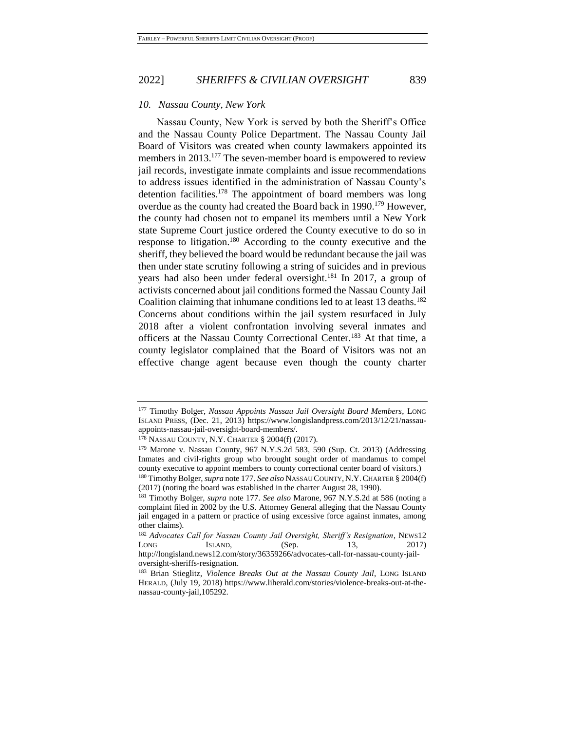#### *10. Nassau County, New York*

<span id="page-32-0"></span>Nassau County, New York is served by both the Sheriff's Office and the Nassau County Police Department. The Nassau County Jail Board of Visitors was created when county lawmakers appointed its members in 2013.<sup>177</sup> The seven-member board is empowered to review jail records, investigate inmate complaints and issue recommendations to address issues identified in the administration of Nassau County's detention facilities.<sup>178</sup> The appointment of board members was long overdue as the county had created the Board back in 1990.<sup>179</sup> However, the county had chosen not to empanel its members until a New York state Supreme Court justice ordered the County executive to do so in response to litigation.<sup>180</sup> According to the county executive and the sheriff, they believed the board would be redundant because the jail was then under state scrutiny following a string of suicides and in previous years had also been under federal oversight.<sup>181</sup> In 2017, a group of activists concerned about jail conditions formed the Nassau County Jail Coalition claiming that inhumane conditions led to at least 13 deaths.<sup>182</sup> Concerns about conditions within the jail system resurfaced in July 2018 after a violent confrontation involving several inmates and officers at the Nassau County Correctional Center.<sup>183</sup> At that time, a county legislator complained that the Board of Visitors was not an effective change agent because even though the county charter

<sup>177</sup> Timothy Bolger, *Nassau Appoints Nassau Jail Oversight Board Members*, LONG ISLAND PRESS, (Dec. 21, 2013) https://www.longislandpress.com/2013/12/21/nassauappoints-nassau-jail-oversight-board-members/.

<sup>178</sup> NASSAU COUNTY, N.Y. CHARTER § 2004(f) (2017).

<sup>179</sup> Marone v. Nassau County, 967 N.Y.S.2d 583, 590 (Sup. Ct. 2013) (Addressing Inmates and civil-rights group who brought sought order of mandamus to compel county executive to appoint members to county correctional center board of visitors.) <sup>180</sup> Timothy Bolger, *supra* note [177.](#page-32-0) *See also* NASSAU COUNTY, N.Y.CHARTER § 2004(f)

<sup>(2017) (</sup>noting the board was established in the charter August 28, 1990).

<sup>181</sup> Timothy Bolger, *supra* note [177.](#page-32-0) *See also* Marone, 967 N.Y.S.2d at 586 (noting a complaint filed in 2002 by the U.S. Attorney General alleging that the Nassau County jail engaged in a pattern or practice of using excessive force against inmates, among other claims).

<sup>182</sup> *Advocates Call for Nassau County Jail Oversight, Sheriff's Resignation*, NEWS12 LONG ISLAND, (Sep. 13, 2017) http://longisland.news12.com/story/36359266/advocates-call-for-nassau-county-jail-

oversight-sheriffs-resignation.

<sup>183</sup> Brian Stieglitz, *Violence Breaks Out at the Nassau County Jail*, LONG ISLAND HERALD, (July 19, 2018) https://www.liherald.com/stories/violence-breaks-out-at-thenassau-county-jail,105292.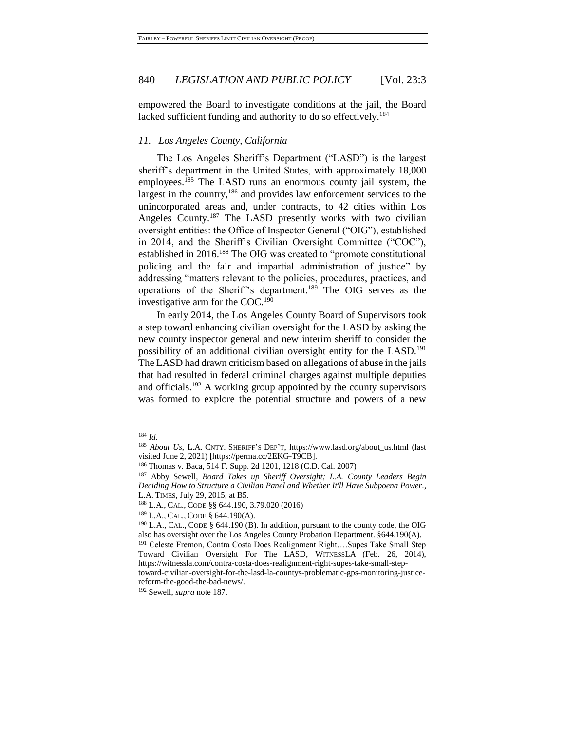empowered the Board to investigate conditions at the jail, the Board lacked sufficient funding and authority to do so effectively.<sup>184</sup>

#### *11. Los Angeles County, California*

<span id="page-33-0"></span>The Los Angeles Sheriff's Department ("LASD") is the largest sheriff's department in the United States, with approximately 18,000 employees.<sup>185</sup> The LASD runs an enormous county jail system, the largest in the country,<sup>186</sup> and provides law enforcement services to the unincorporated areas and, under contracts, to 42 cities within Los Angeles County.<sup>187</sup> The LASD presently works with two civilian oversight entities: the Office of Inspector General ("OIG"), established in 2014, and the Sheriff's Civilian Oversight Committee ("COC"), established in 2016.<sup>188</sup> The OIG was created to "promote constitutional policing and the fair and impartial administration of justice" by addressing "matters relevant to the policies, procedures, practices, and operations of the Sheriff's department.<sup>189</sup> The OIG serves as the investigative arm for the COC.<sup>190</sup>

In early 2014, the Los Angeles County Board of Supervisors took a step toward enhancing civilian oversight for the LASD by asking the new county inspector general and new interim sheriff to consider the possibility of an additional civilian oversight entity for the LASD.<sup>191</sup> The LASD had drawn criticism based on allegations of abuse in the jails that had resulted in federal criminal charges against multiple deputies and officials.<sup>192</sup> A working group appointed by the county supervisors was formed to explore the potential structure and powers of a new

<sup>184</sup> *Id.*

<sup>185</sup> *About Us*, L.A. CNTY. SHERIFF'S DEP'T, https://www.lasd.org/about\_us.html (last visited June 2, 2021) [https://perma.cc/2EKG-T9CB].

<sup>186</sup> Thomas v. Baca, 514 F. Supp. 2d 1201, 1218 (C.D. Cal. 2007)

<sup>187</sup> Abby Sewell, *Board Takes up Sheriff Oversight; L.A. County Leaders Begin Deciding How to Structure a Civilian Panel and Whether It'll Have Subpoena Power.*, L.A. TIMES, July 29, 2015, at B5.

<sup>188</sup> L.A., CAL., CODE §§ 644.190, 3.79.020 (2016)

<sup>189</sup> L.A., CAL., CODE § 644.190(A).

<sup>190</sup> L.A., CAL., CODE § 644.190 (B). In addition, pursuant to the county code, the OIG also has oversight over the Los Angeles County Probation Department. §644.190(A).

<sup>191</sup> Celeste Fremon, Contra Costa Does Realignment Right….Supes Take Small Step Toward Civilian Oversight For The LASD, WITNESSLA (Feb. 26, 2014), https://witnessla.com/contra-costa-does-realignment-right-supes-take-small-step-

toward-civilian-oversight-for-the-lasd-la-countys-problematic-gps-monitoring-justicereform-the-good-the-bad-news/.

<sup>192</sup> Sewell, *supra* note [187.](#page-33-0)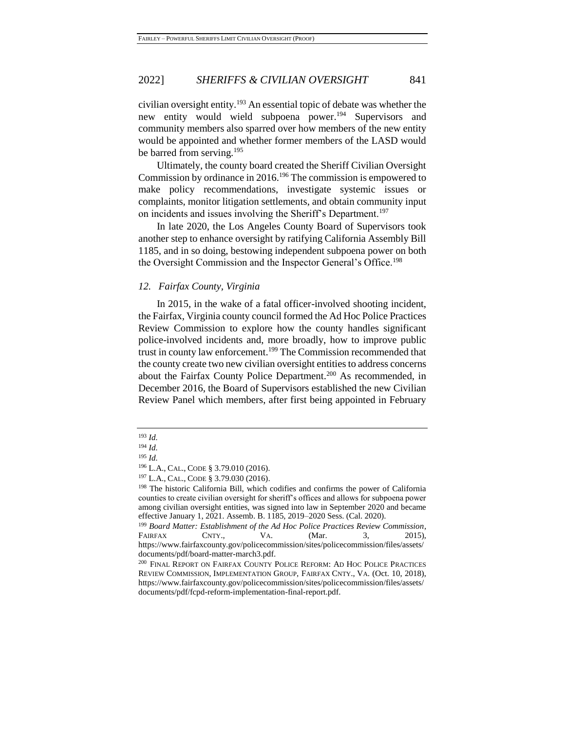civilian oversight entity.<sup>193</sup> An essential topic of debate was whether the new entity would wield subpoena power.<sup>194</sup> Supervisors and community members also sparred over how members of the new entity would be appointed and whether former members of the LASD would be barred from serving.<sup>195</sup>

Ultimately, the county board created the Sheriff Civilian Oversight Commission by ordinance in 2016.<sup>196</sup> The commission is empowered to make policy recommendations, investigate systemic issues or complaints, monitor litigation settlements, and obtain community input on incidents and issues involving the Sheriff's Department.<sup>197</sup>

In late 2020, the Los Angeles County Board of Supervisors took another step to enhance oversight by ratifying California Assembly Bill 1185, and in so doing, bestowing independent subpoena power on both the Oversight Commission and the Inspector General's Office.<sup>198</sup>

#### *12. Fairfax County, Virginia*

<span id="page-34-0"></span>In 2015, in the wake of a fatal officer-involved shooting incident, the Fairfax, Virginia county council formed the Ad Hoc Police Practices Review Commission to explore how the county handles significant police-involved incidents and, more broadly, how to improve public trust in county law enforcement.<sup>199</sup> The Commission recommended that the county create two new civilian oversight entities to address concerns about the Fairfax County Police Department.<sup>200</sup> As recommended, in December 2016, the Board of Supervisors established the new Civilian Review Panel which members, after first being appointed in February

<sup>193</sup> *Id.*

<sup>194</sup> *Id.*

<sup>195</sup> *Id.*

<sup>196</sup> L.A., CAL., CODE § 3.79.010 (2016).

<sup>197</sup> L.A., CAL., CODE § 3.79.030 (2016).

<sup>198</sup> The historic California Bill, which codifies and confirms the power of California counties to create civilian oversight for sheriff's offices and allows for subpoena power among civilian oversight entities, was signed into law in September 2020 and became effective January 1, 2021. Assemb. B. 1185, 2019–2020 Sess. (Cal. 2020).

<sup>199</sup> *Board Matter: Establishment of the Ad Hoc Police Practices Review Commission*, FAIRFAX CNTY., VA. (Mar. 3, 2015), https://www.fairfaxcounty.gov/policecommission/sites/policecommission/files/assets/ documents/pdf/board-matter-march3.pdf.

<sup>200</sup> FINAL REPORT ON FAIRFAX COUNTY POLICE REFORM: AD HOC POLICE PRACTICES REVIEW COMMISSION, IMPLEMENTATION GROUP, FAIRFAX CNTY., VA. (Oct. 10, 2018), https://www.fairfaxcounty.gov/policecommission/sites/policecommission/files/assets/ documents/pdf/fcpd-reform-implementation-final-report.pdf.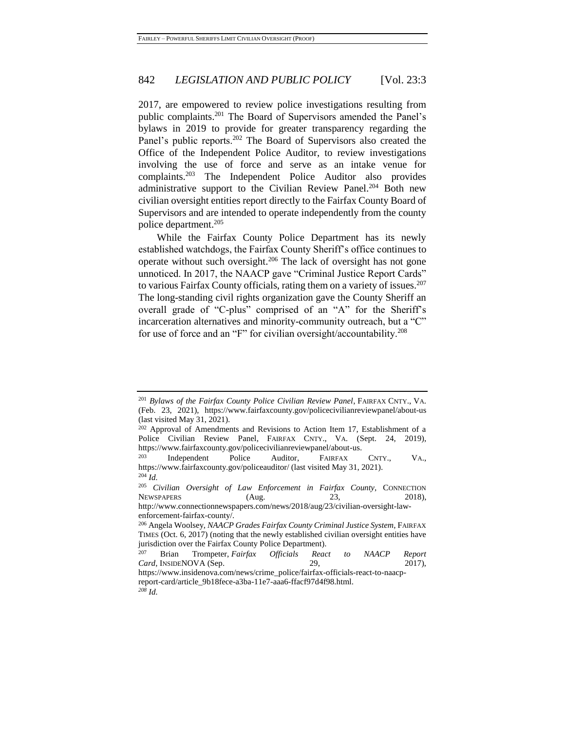2017, are empowered to review police investigations resulting from public complaints.<sup>201</sup> The Board of Supervisors amended the Panel's bylaws in 2019 to provide for greater transparency regarding the Panel's public reports.<sup>202</sup> The Board of Supervisors also created the Office of the Independent Police Auditor, to review investigations involving the use of force and serve as an intake venue for complaints.<sup>203</sup> The Independent Police Auditor also provides administrative support to the Civilian Review Panel.<sup>204</sup> Both new civilian oversight entities report directly to the Fairfax County Board of Supervisors and are intended to operate independently from the county police department.<sup>205</sup>

While the Fairfax County Police Department has its newly established watchdogs, the Fairfax County Sheriff's office continues to operate without such oversight.<sup>206</sup> The lack of oversight has not gone unnoticed. In 2017, the NAACP gave "Criminal Justice Report Cards" to various Fairfax County officials, rating them on a variety of issues.<sup>207</sup> The long-standing civil rights organization gave the County Sheriff an overall grade of "C-plus" comprised of an "A" for the Sheriff's incarceration alternatives and minority-community outreach, but a "C" for use of force and an "F" for civilian oversight/accountability.<sup>208</sup>

<sup>201</sup> *Bylaws of the Fairfax County Police Civilian Review Panel*, FAIRFAX CNTY., VA. (Feb. 23, 2021), https://www.fairfaxcounty.gov/policecivilianreviewpanel/about-us (last visited May 31, 2021).

 $202$  Approval of Amendments and Revisions to Action Item 17, Establishment of a Police Civilian Review Panel, FAIRFAX CNTY., VA. (Sept. 24, 2019), https://www.fairfaxcounty.gov/policecivilianreviewpanel/about-us.

<sup>203</sup> Independent Police Auditor, FAIRFAX CNTY., VA., https://www.fairfaxcounty.gov/policeauditor/ (last visited May 31, 2021). <sup>204</sup> *Id.*

<sup>205</sup> *Civilian Oversight of Law Enforcement in Fairfax County*, CONNECTION NEWSPAPERS (Aug. 23, 2018),

http://www.connectionnewspapers.com/news/2018/aug/23/civilian-oversight-lawenforcement-fairfax-county/.

<sup>206</sup> Angela Woolsey, *NAACP Grades Fairfax County Criminal Justice System*, FAIRFAX TIMES (Oct. 6, 2017) (noting that the newly established civilian oversight entities have jurisdiction over the Fairfax County Police Department).<br><sup>207</sup> Prior – Trampstar Fairfax – Officials – Page

<sup>207</sup> Brian Trompeter, *Fairfax Officials React to NAACP Report Card*, INSIDENOVA (Sep. 29, 2017),

https://www.insidenova.com/news/crime\_police/fairfax-officials-react-to-naacpreport-card/article\_9b18fece-a3ba-11e7-aaa6-ffacf97d4f98.html.

*<sup>208</sup> Id.*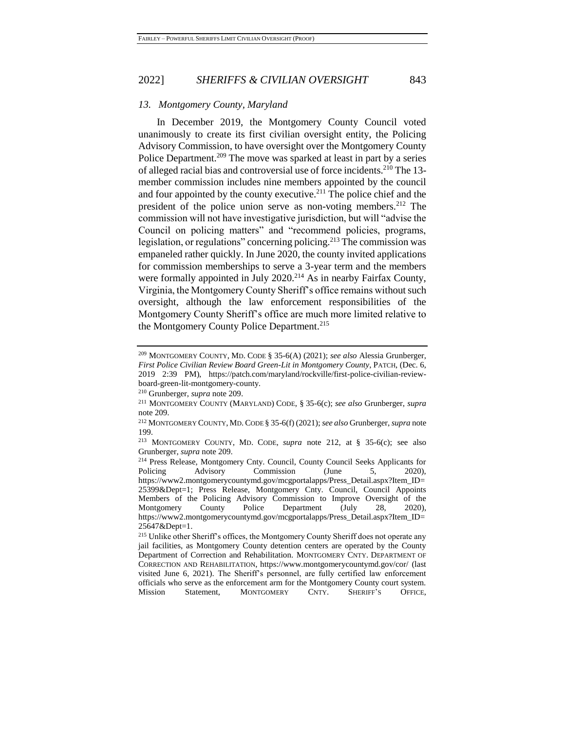#### *13. Montgomery County, Maryland*

<span id="page-36-1"></span><span id="page-36-0"></span>In December 2019, the Montgomery County Council voted unanimously to create its first civilian oversight entity, the Policing Advisory Commission, to have oversight over the Montgomery County Police Department.<sup>209</sup> The move was sparked at least in part by a series of alleged racial bias and controversial use of force incidents.<sup>210</sup> The 13 member commission includes nine members appointed by the council and four appointed by the county executive.<sup>211</sup> The police chief and the president of the police union serve as non-voting members.<sup>212</sup> The commission will not have investigative jurisdiction, but will "advise the Council on policing matters" and "recommend policies, programs, legislation, or regulations" concerning policing.<sup>213</sup> The commission was empaneled rather quickly. In June 2020, the county invited applications for commission memberships to serve a 3-year term and the members were formally appointed in July 2020.<sup>214</sup> As in nearby Fairfax County, Virginia, the Montgomery County Sheriff's office remains without such oversight, although the law enforcement responsibilities of the Montgomery County Sheriff's office are much more limited relative to the Montgomery County Police Department.<sup>215</sup>

<sup>209</sup> MONTGOMERY COUNTY, MD. CODE § 35-6(A) (2021); *see also* Alessia Grunberger, *First Police Civilian Review Board Green-Lit in Montgomery County*, PATCH, (Dec. 6, 2019 2:39 PM), https://patch.com/maryland/rockville/first-police-civilian-reviewboard-green-lit-montgomery-county.

<sup>210</sup> Grunberger, *supra* note [209.](#page-36-0)

<sup>211</sup> MONTGOMERY COUNTY (MARYLAND) CODE, § 35-6(c); *see also* Grunberger, *supra* note [209.](#page-36-0)

<sup>212</sup> MONTGOMERY COUNTY, MD.CODE § 35-6(f) (2021); *see also* Grunberger, *supra* note 199.

<sup>213</sup> MONTGOMERY COUNTY, MD. CODE, *supra* note [212,](#page-36-1) at § 35-6(c); see also Grunberger, *supra* not[e 209.](#page-36-0)

<sup>&</sup>lt;sup>214</sup> Press Release, Montgomery Cnty. Council, County Council Seeks Applicants for<br>Policing Advisory Commission (June 5. 2020). Advisory Commission (June 5, 2020), https://www2.montgomerycountymd.gov/mcgportalapps/Press\_Detail.aspx?Item\_ID= 25399&Dept=1; Press Release, Montgomery Cnty. Council, Council Appoints Members of the Policing Advisory Commission to Improve Oversight of the Montgomery County Police Department (July 28, 2020), https://www2.montgomerycountymd.gov/mcgportalapps/Press\_Detail.aspx?Item\_ID= 25647&Dept=1.

<sup>&</sup>lt;sup>215</sup> Unlike other Sheriff's offices, the Montgomery County Sheriff does not operate any jail facilities, as Montgomery County detention centers are operated by the County Department of Correction and Rehabilitation. MONTGOMERY CNTY. DEPARTMENT OF CORRECTION AND REHABILITATION, https://www.montgomerycountymd.gov/cor/ (last visited June 6, 2021). The Sheriff's personnel, are fully certified law enforcement officials who serve as the enforcement arm for the Montgomery County court system. Mission Statement, MONTGOMERY CNTY. SHERIFF'S OFFICE,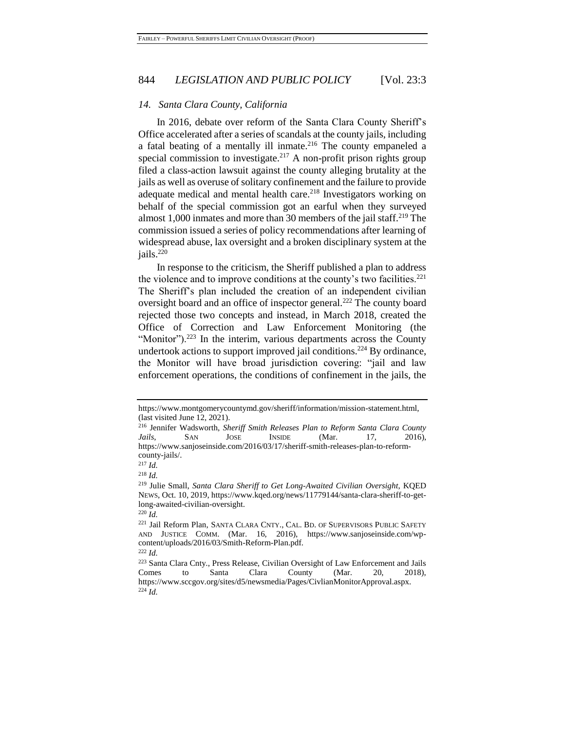#### *14. Santa Clara County, California*

<span id="page-37-1"></span>In 2016, debate over reform of the Santa Clara County Sheriff's Office accelerated after a series of scandals at the county jails, including a fatal beating of a mentally ill inmate.<sup>216</sup> The county empaneled a special commission to investigate.<sup>217</sup> A non-profit prison rights group filed a class-action lawsuit against the county alleging brutality at the jails as well as overuse of solitary confinement and the failure to provide adequate medical and mental health care.<sup>218</sup> Investigators working on behalf of the special commission got an earful when they surveyed almost 1,000 inmates and more than 30 members of the jail staff.<sup>219</sup> The commission issued a series of policy recommendations after learning of widespread abuse, lax oversight and a broken disciplinary system at the jails.<sup>220</sup>

<span id="page-37-0"></span>In response to the criticism, the Sheriff published a plan to address the violence and to improve conditions at the county's two facilities.<sup>221</sup> The Sheriff's plan included the creation of an independent civilian oversight board and an office of inspector general.<sup>222</sup> The county board rejected those two concepts and instead, in March 2018, created the Office of Correction and Law Enforcement Monitoring (the "Monitor").<sup>223</sup> In the interim, various departments across the County undertook actions to support improved jail conditions.<sup>224</sup> By ordinance, the Monitor will have broad jurisdiction covering: "jail and law enforcement operations, the conditions of confinement in the jails, the

<sup>217</sup> *Id.*

https://www.montgomerycountymd.gov/sheriff/information/mission-statement.html, (last visited June 12, 2021).

<sup>216</sup> Jennifer Wadsworth, *Sheriff Smith Releases Plan to Reform Santa Clara County Jails*, SAN JOSE INSIDE (Mar. 17, 2016), https://www.sanjoseinside.com/2016/03/17/sheriff-smith-releases-plan-to-reformcounty-jails/.

<sup>218</sup> *Id.*

<sup>219</sup> Julie Small, *Santa Clara Sheriff to Get Long-Awaited Civilian Oversight*, KQED NEWS, Oct. 10, 2019, https://www.kqed.org/news/11779144/santa-clara-sheriff-to-getlong-awaited-civilian-oversight.

<sup>220</sup> *Id.*

<sup>&</sup>lt;sup>221</sup> Jail Reform Plan, SANTA CLARA CNTY., CAL. BD. OF SUPERVISORS PUBLIC SAFETY AND JUSTICE COMM. (Mar. 16, 2016), https://www.sanjoseinside.com/wpcontent/uploads/2016/03/Smith-Reform-Plan.pdf.

<sup>222</sup> *Id.*

<sup>223</sup> Santa Clara Cnty., Press Release, Civilian Oversight of Law Enforcement and Jails Comes to Santa Clara County (Mar. 20, 2018), https://www.sccgov.org/sites/d5/newsmedia/Pages/CivlianMonitorApproval.aspx. <sup>224</sup> *Id.*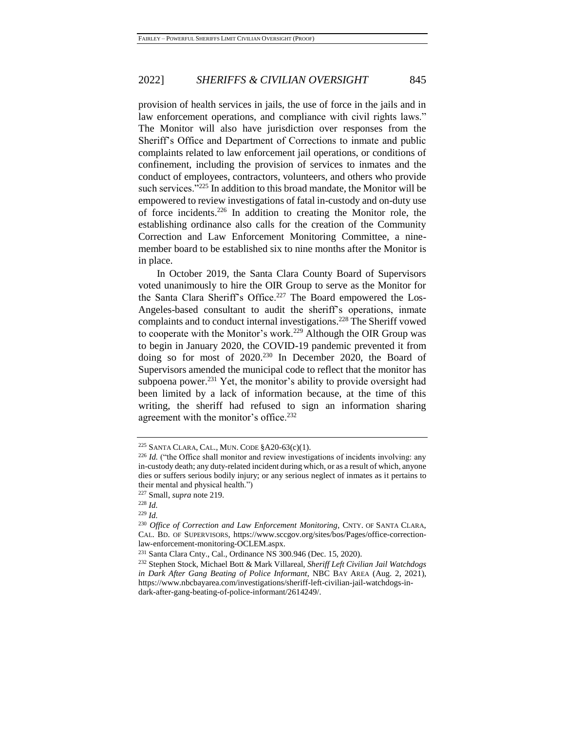provision of health services in jails, the use of force in the jails and in law enforcement operations, and compliance with civil rights laws." The Monitor will also have jurisdiction over responses from the Sheriff's Office and Department of Corrections to inmate and public complaints related to law enforcement jail operations, or conditions of confinement, including the provision of services to inmates and the conduct of employees, contractors, volunteers, and others who provide such services."<sup>225</sup> In addition to this broad mandate, the Monitor will be empowered to review investigations of fatal in-custody and on-duty use of force incidents.<sup>226</sup> In addition to creating the Monitor role, the establishing ordinance also calls for the creation of the Community Correction and Law Enforcement Monitoring Committee, a ninemember board to be established six to nine months after the Monitor is in place.

In October 2019, the Santa Clara County Board of Supervisors voted unanimously to hire the OIR Group to serve as the Monitor for the Santa Clara Sheriff's Office.<sup>227</sup> The Board empowered the Los-Angeles-based consultant to audit the sheriff's operations, inmate complaints and to conduct internal investigations.<sup>228</sup> The Sheriff vowed to cooperate with the Monitor's work.<sup>229</sup> Although the OIR Group was to begin in January 2020, the COVID-19 pandemic prevented it from doing so for most of 2020.<sup>230</sup> In December 2020, the Board of Supervisors amended the municipal code to reflect that the monitor has subpoena power.<sup>231</sup> Yet, the monitor's ability to provide oversight had been limited by a lack of information because, at the time of this writing, the sheriff had refused to sign an information sharing agreement with the monitor's office.<sup>232</sup>

<sup>225</sup> SANTA CLARA, CAL., MUN. CODE §A20-63(c)(1).

<sup>226</sup> *Id.* ("the Office shall monitor and review investigations of incidents involving: any in-custody death; any duty-related incident during which, or as a result of which, anyone dies or suffers serious bodily injury; or any serious neglect of inmates as it pertains to their mental and physical health.")

<sup>227</sup> Small, *supra* note [219.](#page-37-0)

<sup>228</sup> *Id.*

<sup>229</sup> *Id.*

<sup>&</sup>lt;sup>230</sup> Office of Correction and Law Enforcement Monitoring, CNTY. OF SANTA CLARA, CAL. BD. OF SUPERVISORS, https://www.sccgov.org/sites/bos/Pages/office-correctionlaw-enforcement-monitoring-OCLEM.aspx.

<sup>231</sup> Santa Clara Cnty., Cal., Ordinance NS 300.946 (Dec. 15, 2020).

<sup>232</sup> Stephen Stock, Michael Bott & Mark Villareal, *Sheriff Left Civilian Jail Watchdogs in Dark After Gang Beating of Police Informant*, NBC BAY AREA (Aug. 2, 2021), https://www.nbcbayarea.com/investigations/sheriff-left-civilian-jail-watchdogs-indark-after-gang-beating-of-police-informant/2614249/.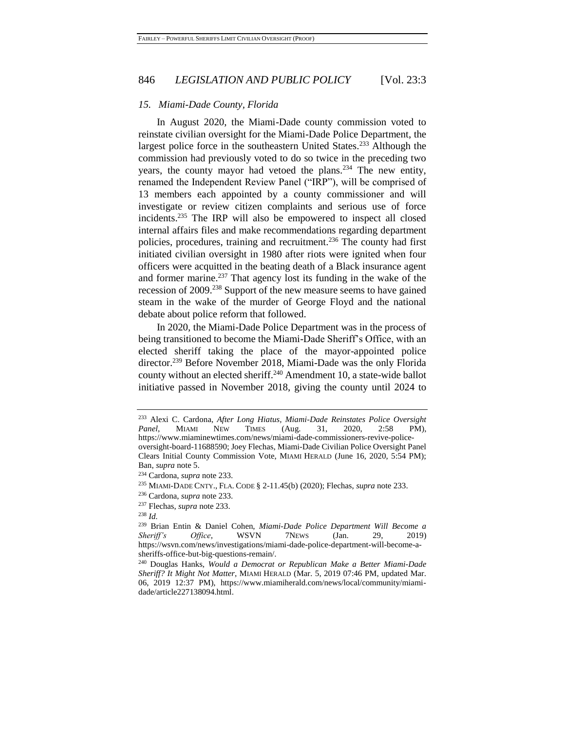#### *15. Miami-Dade County, Florida*

<span id="page-39-0"></span>In August 2020, the Miami-Dade county commission voted to reinstate civilian oversight for the Miami-Dade Police Department, the largest police force in the southeastern United States.<sup>233</sup> Although the commission had previously voted to do so twice in the preceding two years, the county mayor had vetoed the plans.<sup>234</sup> The new entity, renamed the Independent Review Panel ("IRP"), will be comprised of 13 members each appointed by a county commissioner and will investigate or review citizen complaints and serious use of force incidents.<sup>235</sup> The IRP will also be empowered to inspect all closed internal affairs files and make recommendations regarding department policies, procedures, training and recruitment.<sup>236</sup> The county had first initiated civilian oversight in 1980 after riots were ignited when four officers were acquitted in the beating death of a Black insurance agent and former marine.<sup>237</sup> That agency lost its funding in the wake of the recession of 2009.<sup>238</sup> Support of the new measure seems to have gained steam in the wake of the murder of George Floyd and the national debate about police reform that followed.

<span id="page-39-1"></span>In 2020, the Miami-Dade Police Department was in the process of being transitioned to become the Miami-Dade Sheriff's Office, with an elected sheriff taking the place of the mayor-appointed police director.<sup>239</sup> Before November 2018, Miami-Dade was the only Florida county without an elected sheriff.<sup>240</sup> Amendment 10, a state-wide ballot initiative passed in November 2018, giving the county until 2024 to

<sup>233</sup> Alexi C. Cardona, *After Long Hiatus, Miami-Dade Reinstates Police Oversight Panel*, MIAMI NEW TIMES (Aug. 31, 2020, 2:58 PM), https://www.miaminewtimes.com/news/miami-dade-commissioners-revive-policeoversight-board-11688590; Joey Flechas, Miami-Dade Civilian Police Oversight Panel Clears Initial County Commission Vote, MIAMI HERALD (June 16, 2020, 5:54 PM); Ban, *supra* not[e 5.](#page-4-2)

<sup>234</sup> Cardona, *supra* not[e 233.](#page-39-0)

<sup>235</sup> MIAMI-DADE CNTY., FLA. CODE § 2-11.45(b) (2020); Flechas, *supra* not[e 233.](#page-39-0)

<sup>236</sup> Cardona, *supra* not[e 233.](#page-39-0)

<sup>237</sup> Flechas, *supra* not[e 233.](#page-39-0)

<sup>238</sup> *Id.*

<sup>239</sup> Brian Entin & Daniel Cohen, *Miami-Dade Police Department Will Become a Sheriff's Office*, WSVN 7NEWS (Jan. 29, 2019) https://wsvn.com/news/investigations/miami-dade-police-department-will-become-asheriffs-office-but-big-questions-remain/.

<sup>240</sup> Douglas Hanks, *Would a Democrat or Republican Make a Better Miami-Dade Sheriff? It Might Not Matter*, MIAMI HERALD (Mar. 5, 2019 07:46 PM, updated Mar. 06, 2019 12:37 PM), https://www.miamiherald.com/news/local/community/miamidade/article227138094.html.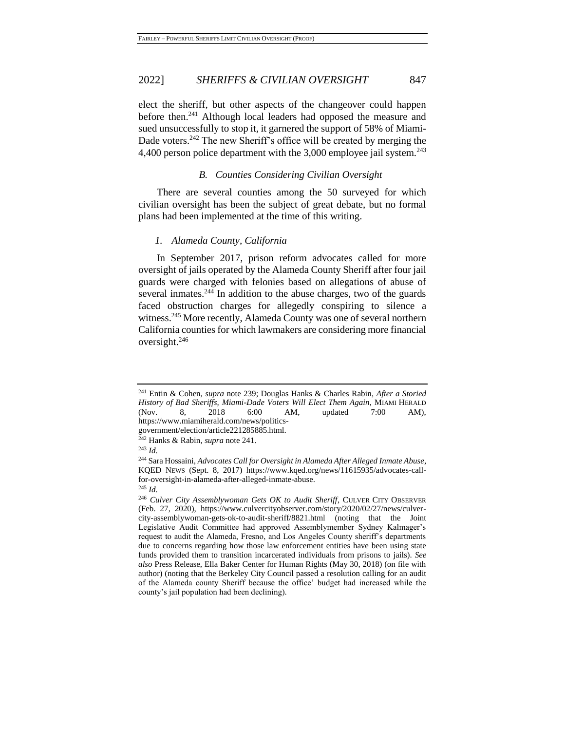<span id="page-40-0"></span>elect the sheriff, but other aspects of the changeover could happen before then.<sup>241</sup> Although local leaders had opposed the measure and sued unsuccessfully to stop it, it garnered the support of 58% of Miami-Dade voters.<sup>242</sup> The new Sheriff's office will be created by merging the 4,400 person police department with the  $3,000$  employee jail system.<sup>243</sup>

#### *B. Counties Considering Civilian Oversight*

There are several counties among the 50 surveyed for which civilian oversight has been the subject of great debate, but no formal plans had been implemented at the time of this writing.

#### *1. Alameda County, California*

In September 2017, prison reform advocates called for more oversight of jails operated by the Alameda County Sheriff after four jail guards were charged with felonies based on allegations of abuse of several inmates.<sup>244</sup> In addition to the abuse charges, two of the guards faced obstruction charges for allegedly conspiring to silence a witness.<sup>245</sup> More recently, Alameda County was one of several northern California counties for which lawmakers are considering more financial oversight.<sup>246</sup>

<sup>241</sup> Entin & Cohen, *supra* note [239;](#page-39-1) Douglas Hanks & Charles Rabin, *After a Storied History of Bad Sheriffs, Miami-Dade Voters Will Elect Them Again*, MIAMI HERALD (Nov. 8, 2018 6:00 AM, updated 7:00 AM), https://www.miamiherald.com/news/politics-

government/election/article221285885.html.

<sup>242</sup> Hanks & Rabin, *supra* note [241.](#page-40-0)

<sup>243</sup> *Id.*

<sup>244</sup> Sara Hossaini, *Advocates Call for Oversight in Alameda After Alleged Inmate Abuse*, KQED NEWS (Sept. 8, 2017) https://www.kqed.org/news/11615935/advocates-callfor-oversight-in-alameda-after-alleged-inmate-abuse.

<sup>245</sup> *Id.*

<sup>&</sup>lt;sup>246</sup> Culver City Assemblywoman Gets OK to Audit Sheriff, CULVER CITY OBSERVER (Feb. 27, 2020), https://www.culvercityobserver.com/story/2020/02/27/news/culvercity-assemblywoman-gets-ok-to-audit-sheriff/8821.html (noting that the Joint Legislative Audit Committee had approved Assemblymember Sydney Kalmager's request to audit the Alameda, Fresno, and Los Angeles County sheriff's departments due to concerns regarding how those law enforcement entities have been using state funds provided them to transition incarcerated individuals from prisons to jails). *See also* Press Release, Ella Baker Center for Human Rights (May 30, 2018) (on file with author) (noting that the Berkeley City Council passed a resolution calling for an audit of the Alameda county Sheriff because the office' budget had increased while the county's jail population had been declining).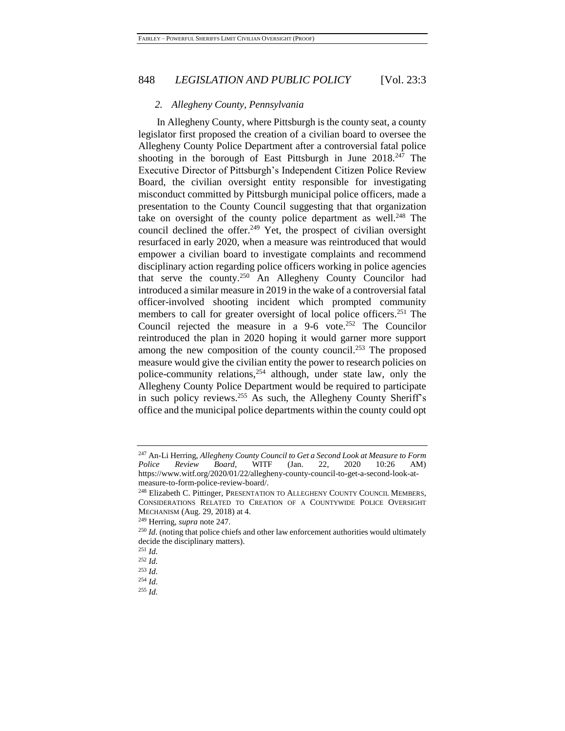#### <span id="page-41-0"></span>*2. Allegheny County, Pennsylvania*

In Allegheny County, where Pittsburgh is the county seat, a county legislator first proposed the creation of a civilian board to oversee the Allegheny County Police Department after a controversial fatal police shooting in the borough of East Pittsburgh in June  $2018^{247}$  The Executive Director of Pittsburgh's Independent Citizen Police Review Board, the civilian oversight entity responsible for investigating misconduct committed by Pittsburgh municipal police officers, made a presentation to the County Council suggesting that that organization take on oversight of the county police department as well.<sup>248</sup> The council declined the offer.<sup>249</sup> Yet, the prospect of civilian oversight resurfaced in early 2020, when a measure was reintroduced that would empower a civilian board to investigate complaints and recommend disciplinary action regarding police officers working in police agencies that serve the county.<sup>250</sup> An Allegheny County Councilor had introduced a similar measure in 2019 in the wake of a controversial fatal officer-involved shooting incident which prompted community members to call for greater oversight of local police officers.<sup>251</sup> The Council rejected the measure in a  $9-6$  vote.<sup>252</sup> The Councilor reintroduced the plan in 2020 hoping it would garner more support among the new composition of the county council.<sup>253</sup> The proposed measure would give the civilian entity the power to research policies on police-community relations,  $254$  although, under state law, only the Allegheny County Police Department would be required to participate in such policy reviews.<sup>255</sup> As such, the Allegheny County Sheriff's office and the municipal police departments within the county could opt

<sup>247</sup> An-Li Herring, *Allegheny County Council to Get a Second Look at Measure to Form Police Review Board*, WITF (Jan. 22, 2020 10:26 AM) https://www.witf.org/2020/01/22/allegheny-county-council-to-get-a-second-look-atmeasure-to-form-police-review-board/.

<sup>248</sup> Elizabeth C. Pittinger, PRESENTATION TO ALLEGHENY COUNTY COUNCIL MEMBERS, CONSIDERATIONS RELATED TO CREATION OF A COUNTYWIDE POLICE OVERSIGHT MECHANISM (Aug. 29, 2018) at 4.

<sup>249</sup> Herring, *supra* note [247.](#page-41-0)

<sup>&</sup>lt;sup>250</sup> *Id.* (noting that police chiefs and other law enforcement authorities would ultimately decide the disciplinary matters).

<sup>251</sup> *Id.*

<sup>252</sup> *Id.*

<sup>253</sup> *Id.*

<sup>254</sup> *Id.*

<sup>255</sup> *Id.*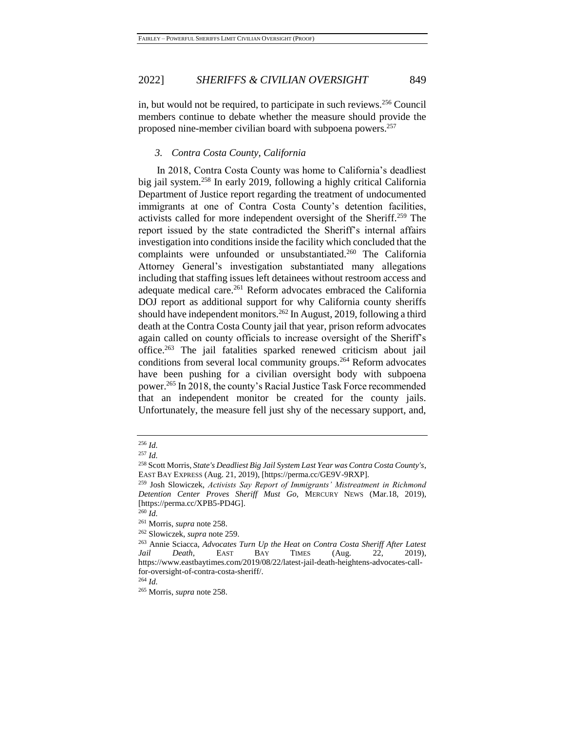in, but would not be required, to participate in such reviews.<sup>256</sup> Council members continue to debate whether the measure should provide the proposed nine-member civilian board with subpoena powers.<sup>257</sup>

# <span id="page-42-1"></span><span id="page-42-0"></span>*3. Contra Costa County, California*

In 2018, Contra Costa County was home to California's deadliest big jail system.<sup>258</sup> In early 2019, following a highly critical California Department of Justice report regarding the treatment of undocumented immigrants at one of Contra Costa County's detention facilities, activists called for more independent oversight of the Sheriff.<sup>259</sup> The report issued by the state contradicted the Sheriff's internal affairs investigation into conditions inside the facility which concluded that the complaints were unfounded or unsubstantiated.<sup>260</sup> The California Attorney General's investigation substantiated many allegations including that staffing issues left detainees without restroom access and adequate medical care.<sup>261</sup> Reform advocates embraced the California DOJ report as additional support for why California county sheriffs should have independent monitors.<sup>262</sup> In August, 2019, following a third death at the Contra Costa County jail that year, prison reform advocates again called on county officials to increase oversight of the Sheriff's office.<sup>263</sup> The jail fatalities sparked renewed criticism about jail conditions from several local community groups.<sup>264</sup> Reform advocates have been pushing for a civilian oversight body with subpoena power.<sup>265</sup> In 2018, the county's Racial Justice Task Force recommended that an independent monitor be created for the county jails. Unfortunately, the measure fell just shy of the necessary support, and,

<sup>264</sup> *Id.*

<sup>265</sup> Morris, *supra* note [258.](#page-42-0)

<sup>256</sup> *Id.*

<sup>257</sup> *Id.*

<sup>258</sup> Scott Morris, *State's Deadliest Big Jail System Last Year was Contra Costa County's*, EAST BAY EXPRESS (Aug. 21, 2019), [https://perma.cc/GE9V-9RXP].

<sup>259</sup> Josh Slowiczek, *Activists Say Report of Immigrants' Mistreatment in Richmond Detention Center Proves Sheriff Must Go*, MERCURY NEWS (Mar.18, 2019), [https://perma.cc/XPB5-PD4G].

<sup>260</sup> *Id.*

<sup>261</sup> Morris, *supra* note [258.](#page-42-0)

<sup>262</sup> Slowiczek, *supra* note [259.](#page-42-1)

<sup>263</sup> Annie Sciacca, *Advocates Turn Up the Heat on Contra Costa Sheriff After Latest Jail Death*, EAST BAY TIMES (Aug. 22, 2019), https://www.eastbaytimes.com/2019/08/22/latest-jail-death-heightens-advocates-callfor-oversight-of-contra-costa-sheriff/.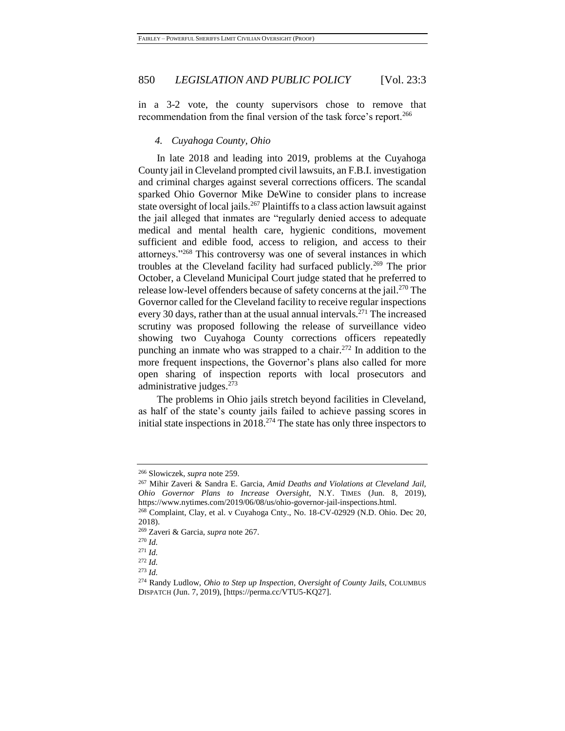in a 3-2 vote, the county supervisors chose to remove that recommendation from the final version of the task force's report.<sup>266</sup>

#### <span id="page-43-0"></span>*4. Cuyahoga County, Ohio*

In late 2018 and leading into 2019, problems at the Cuyahoga County jail in Cleveland prompted civil lawsuits, an F.B.I. investigation and criminal charges against several corrections officers. The scandal sparked Ohio Governor Mike DeWine to consider plans to increase state oversight of local jails.<sup>267</sup> Plaintiffs to a class action lawsuit against the jail alleged that inmates are "regularly denied access to adequate medical and mental health care, hygienic conditions, movement sufficient and edible food, access to religion, and access to their attorneys."<sup>268</sup> This controversy was one of several instances in which troubles at the Cleveland facility had surfaced publicly.<sup>269</sup> The prior October, a Cleveland Municipal Court judge stated that he preferred to release low-level offenders because of safety concerns at the jail.<sup>270</sup> The Governor called for the Cleveland facility to receive regular inspections every 30 days, rather than at the usual annual intervals.<sup>271</sup> The increased scrutiny was proposed following the release of surveillance video showing two Cuyahoga County corrections officers repeatedly punching an inmate who was strapped to a chair.<sup>272</sup> In addition to the more frequent inspections, the Governor's plans also called for more open sharing of inspection reports with local prosecutors and administrative judges.<sup>273</sup>

The problems in Ohio jails stretch beyond facilities in Cleveland, as half of the state's county jails failed to achieve passing scores in initial state inspections in 2018.<sup>274</sup> The state has only three inspectors to

<sup>266</sup> Slowiczek, *supra* note [259.](#page-42-1)

<sup>267</sup> Mihir Zaveri & Sandra E. Garcia, *Amid Deaths and Violations at Cleveland Jail, Ohio Governor Plans to Increase Oversight*, N.Y. TIMES (Jun. 8, 2019), https://www.nytimes.com/2019/06/08/us/ohio-governor-jail-inspections.html.

<sup>268</sup> Complaint, Clay, et al. v Cuyahoga Cnty., No. 18-CV-02929 (N.D. Ohio. Dec 20, 2018).

<sup>269</sup> Zaveri & Garcia, *supra* note [267.](#page-43-0)

<sup>270</sup> *Id.*

<sup>271</sup> *Id.*

<sup>272</sup> *Id.*

<sup>273</sup> *Id.*

<sup>274</sup> Randy Ludlow, *Ohio to Step up Inspection, Oversight of County Jails*, COLUMBUS DISPATCH (Jun. 7, 2019), [https://perma.cc/VTU5-KQ27].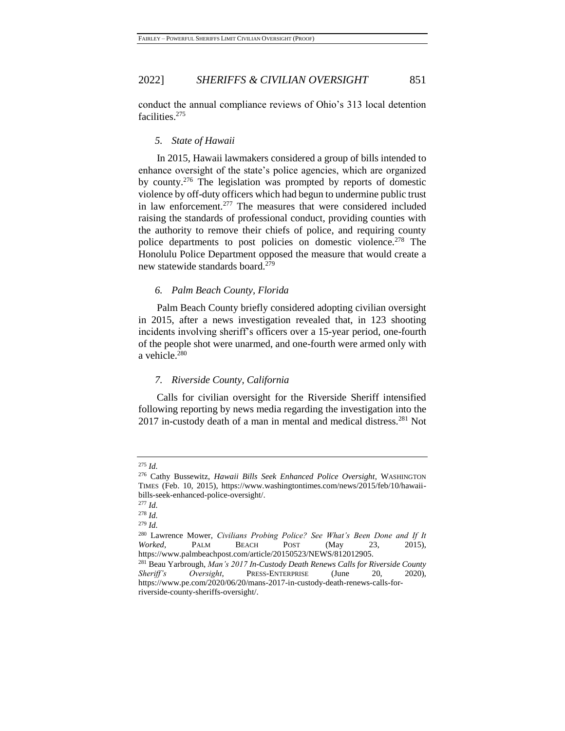conduct the annual compliance reviews of Ohio's 313 local detention facilities.<sup>275</sup>

#### *5. State of Hawaii*

In 2015, Hawaii lawmakers considered a group of bills intended to enhance oversight of the state's police agencies, which are organized by county.<sup>276</sup> The legislation was prompted by reports of domestic violence by off-duty officers which had begun to undermine public trust in law enforcement.<sup>277</sup> The measures that were considered included raising the standards of professional conduct, providing counties with the authority to remove their chiefs of police, and requiring county police departments to post policies on domestic violence.<sup>278</sup> The Honolulu Police Department opposed the measure that would create a new statewide standards board.<sup>279</sup>

# *6. Palm Beach County, Florida*

Palm Beach County briefly considered adopting civilian oversight in 2015, after a news investigation revealed that, in 123 shooting incidents involving sheriff's officers over a 15-year period, one-fourth of the people shot were unarmed, and one-fourth were armed only with a vehicle.<sup>280</sup>

# *7. Riverside County, California*

Calls for civilian oversight for the Riverside Sheriff intensified following reporting by news media regarding the investigation into the 2017 in-custody death of a man in mental and medical distress.<sup>281</sup> Not

<sup>275</sup> *Id.*

<sup>276</sup> Cathy Bussewitz, *Hawaii Bills Seek Enhanced Police Oversight*, WASHINGTON TIMES (Feb. 10, 2015), https://www.washingtontimes.com/news/2015/feb/10/hawaiibills-seek-enhanced-police-oversight/.

<sup>277</sup> *Id.*

<sup>278</sup> *Id.*

<sup>279</sup> *Id.*

<sup>280</sup> Lawrence Mower, *Civilians Probing Police? See What's Been Done and If It Worked*, PALM BEACH POST (May 23, 2015), https://www.palmbeachpost.com/article/20150523/NEWS/812012905.

<sup>281</sup> Beau Yarbrough, *Man's 2017 In-Custody Death Renews Calls for Riverside County Sheriff's Oversight*, PRESS-ENTERPRISE (June 20, 2020), https://www.pe.com/2020/06/20/mans-2017-in-custody-death-renews-calls-forriverside-county-sheriffs-oversight/.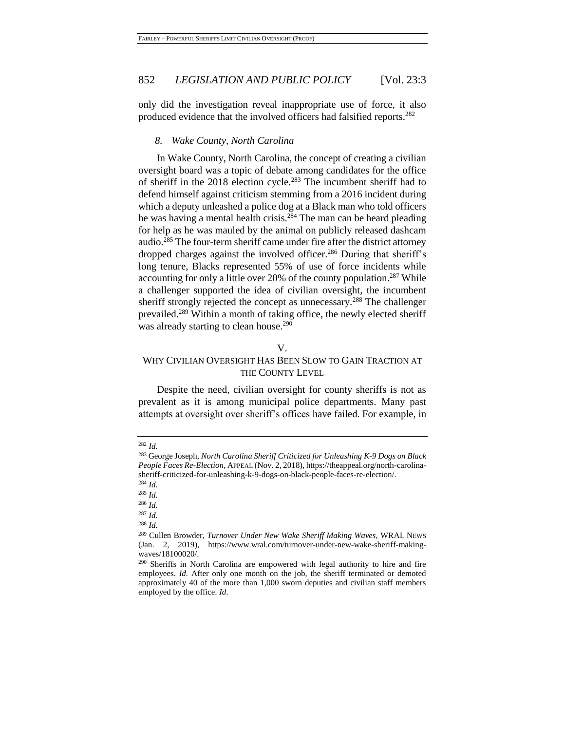only did the investigation reveal inappropriate use of force, it also produced evidence that the involved officers had falsified reports.<sup>282</sup>

#### *8. Wake County, North Carolina*

In Wake County, North Carolina, the concept of creating a civilian oversight board was a topic of debate among candidates for the office of sheriff in the 2018 election cycle.<sup>283</sup> The incumbent sheriff had to defend himself against criticism stemming from a 2016 incident during which a deputy unleashed a police dog at a Black man who told officers he was having a mental health crisis.<sup>284</sup> The man can be heard pleading for help as he was mauled by the animal on publicly released dashcam audio.<sup>285</sup> The four-term sheriff came under fire after the district attorney dropped charges against the involved officer.<sup>286</sup> During that sheriff's long tenure, Blacks represented 55% of use of force incidents while accounting for only a little over 20% of the county population.<sup>287</sup> While a challenger supported the idea of civilian oversight, the incumbent sheriff strongly rejected the concept as unnecessary.<sup>288</sup> The challenger prevailed.<sup>289</sup> Within a month of taking office, the newly elected sheriff was already starting to clean house.<sup>290</sup>

#### V.

# WHY CIVILIAN OVERSIGHT HAS BEEN SLOW TO GAIN TRACTION AT THE COUNTY LEVEL

Despite the need, civilian oversight for county sheriffs is not as prevalent as it is among municipal police departments. Many past attempts at oversight over sheriff's offices have failed. For example, in

<sup>287</sup> *Id.*

<sup>282</sup> *Id.*

<sup>283</sup> George Joseph, *North Carolina Sheriff Criticized for Unleashing K-9 Dogs on Black People Faces Re-Election*, APPEAL (Nov. 2, 2018), https://theappeal.org/north-carolinasheriff-criticized-for-unleashing-k-9-dogs-on-black-people-faces-re-election/. <sup>284</sup> *Id.*

<sup>285</sup> *Id.*

<sup>286</sup> *Id.*

<sup>288</sup> *Id.*

<sup>289</sup> Cullen Browder, *Turnover Under New Wake Sheriff Making Waves*, WRAL NEWS (Jan. 2, 2019), https://www.wral.com/turnover-under-new-wake-sheriff-makingwaves/18100020/.

<sup>290</sup> Sheriffs in North Carolina are empowered with legal authority to hire and fire employees. *Id.* After only one month on the job, the sheriff terminated or demoted approximately 40 of the more than 1,000 sworn deputies and civilian staff members employed by the office. *Id.*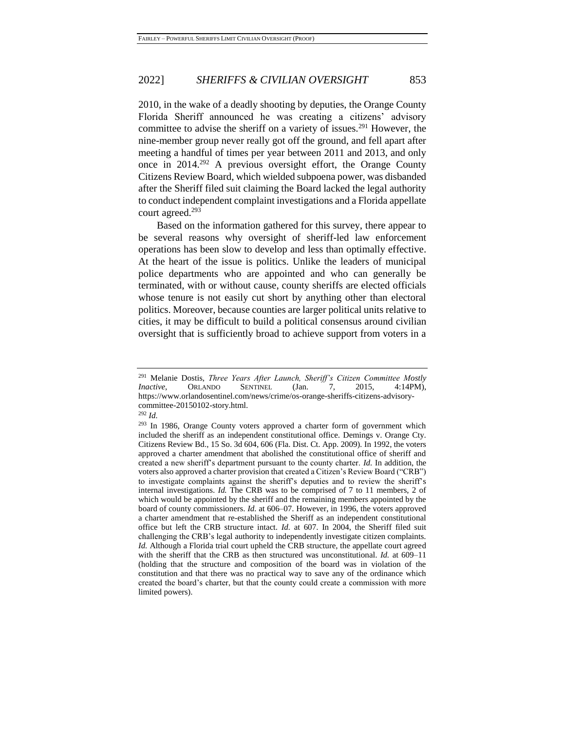2010, in the wake of a deadly shooting by deputies, the Orange County Florida Sheriff announced he was creating a citizens' advisory committee to advise the sheriff on a variety of issues.<sup>291</sup> However, the nine-member group never really got off the ground, and fell apart after meeting a handful of times per year between 2011 and 2013, and only once in 2014.<sup>292</sup> A previous oversight effort, the Orange County Citizens Review Board, which wielded subpoena power, was disbanded after the Sheriff filed suit claiming the Board lacked the legal authority to conduct independent complaint investigations and a Florida appellate court agreed.<sup>293</sup>

Based on the information gathered for this survey, there appear to be several reasons why oversight of sheriff-led law enforcement operations has been slow to develop and less than optimally effective. At the heart of the issue is politics. Unlike the leaders of municipal police departments who are appointed and who can generally be terminated, with or without cause, county sheriffs are elected officials whose tenure is not easily cut short by anything other than electoral politics. Moreover, because counties are larger political units relative to cities, it may be difficult to build a political consensus around civilian oversight that is sufficiently broad to achieve support from voters in a

<sup>291</sup> Melanie Dostis, *Three Years After Launch, Sheriff's Citizen Committee Mostly Inactive*, ORLANDO SENTINEL (Jan. 7, 2015, 4:14PM), https://www.orlandosentinel.com/news/crime/os-orange-sheriffs-citizens-advisorycommittee-20150102-story.html.

<sup>292</sup> *Id.*

<sup>&</sup>lt;sup>293</sup> In 1986, Orange County voters approved a charter form of government which included the sheriff as an independent constitutional office. Demings v. Orange Cty. Citizens Review Bd., 15 So. 3d 604, 606 (Fla. Dist. Ct. App. 2009). In 1992, the voters approved a charter amendment that abolished the constitutional office of sheriff and created a new sheriff's department pursuant to the county charter. *Id.* In addition, the voters also approved a charter provision that created a Citizen's Review Board ("CRB") to investigate complaints against the sheriff's deputies and to review the sheriff's internal investigations. *Id.* The CRB was to be comprised of 7 to 11 members, 2 of which would be appointed by the sheriff and the remaining members appointed by the board of county commissioners. *Id.* at 606–07. However, in 1996, the voters approved a charter amendment that re-established the Sheriff as an independent constitutional office but left the CRB structure intact. *Id.* at 607. In 2004, the Sheriff filed suit challenging the CRB's legal authority to independently investigate citizen complaints. *Id.* Although a Florida trial court upheld the CRB structure, the appellate court agreed with the sheriff that the CRB as then structured was unconstitutional. *Id.* at 609–11 (holding that the structure and composition of the board was in violation of the constitution and that there was no practical way to save any of the ordinance which created the board's charter, but that the county could create a commission with more limited powers).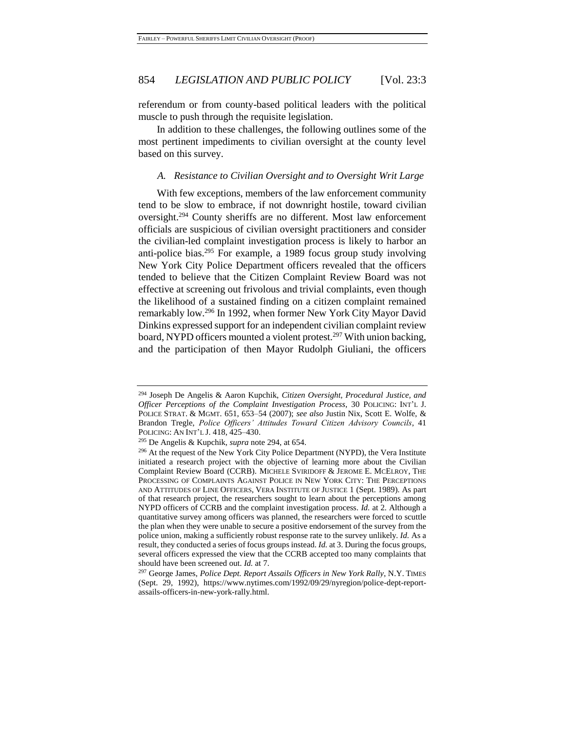referendum or from county-based political leaders with the political muscle to push through the requisite legislation.

In addition to these challenges, the following outlines some of the most pertinent impediments to civilian oversight at the county level based on this survey.

#### <span id="page-47-0"></span>*A. Resistance to Civilian Oversight and to Oversight Writ Large*

With few exceptions, members of the law enforcement community tend to be slow to embrace, if not downright hostile, toward civilian oversight.<sup>294</sup> County sheriffs are no different. Most law enforcement officials are suspicious of civilian oversight practitioners and consider the civilian-led complaint investigation process is likely to harbor an anti-police bias.<sup>295</sup> For example, a 1989 focus group study involving New York City Police Department officers revealed that the officers tended to believe that the Citizen Complaint Review Board was not effective at screening out frivolous and trivial complaints, even though the likelihood of a sustained finding on a citizen complaint remained remarkably low.<sup>296</sup> In 1992, when former New York City Mayor David Dinkins expressed support for an independent civilian complaint review board, NYPD officers mounted a violent protest.<sup>297</sup> With union backing, and the participation of then Mayor Rudolph Giuliani, the officers

<sup>294</sup> Joseph De Angelis & Aaron Kupchik, *Citizen Oversight, Procedural Justice, and Officer Perceptions of the Complaint Investigation Process*, 30 POLICING: INT'L J. POLICE STRAT. & MGMT. 651, 653–54 (2007); *see also* Justin Nix, Scott E. Wolfe, & Brandon Tregle, *Police Officers' Attitudes Toward Citizen Advisory Councils*, 41 POLICING: AN INT'L J. 418, 425–430.

<sup>295</sup> De Angelis & Kupchik, *supra* not[e 294,](#page-47-0) at 654.

<sup>&</sup>lt;sup>296</sup> At the request of the New York City Police Department (NYPD), the Vera Institute initiated a research project with the objective of learning more about the Civilian Complaint Review Board (CCRB). MICHELE SVIRIDOFF & JEROME E. MCELROY, THE PROCESSING OF COMPLAINTS AGAINST POLICE IN NEW YORK CITY: THE PERCEPTIONS AND ATTITUDES OF LINE OFFICERS, VERA INSTITUTE OF JUSTICE 1 (Sept. 1989). As part of that research project, the researchers sought to learn about the perceptions among NYPD officers of CCRB and the complaint investigation process. *Id.* at 2. Although a quantitative survey among officers was planned, the researchers were forced to scuttle the plan when they were unable to secure a positive endorsement of the survey from the police union, making a sufficiently robust response rate to the survey unlikely. *Id.* As a result, they conducted a series of focus groups instead. *Id.* at 3. During the focus groups, several officers expressed the view that the CCRB accepted too many complaints that should have been screened out. *Id.* at 7.

<sup>297</sup> George James, *Police Dept. Report Assails Officers in New York Rally*, N.Y. TIMES (Sept. 29, 1992), https://www.nytimes.com/1992/09/29/nyregion/police-dept-reportassails-officers-in-new-york-rally.html.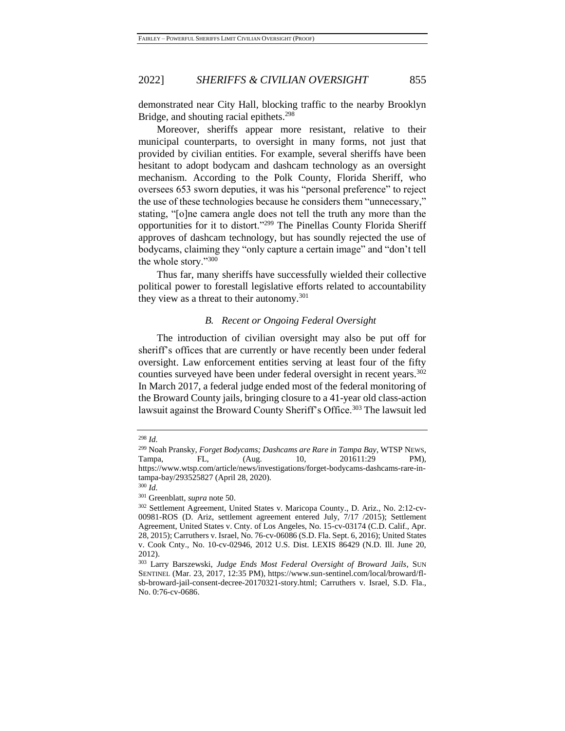demonstrated near City Hall, blocking traffic to the nearby Brooklyn Bridge, and shouting racial epithets.<sup>298</sup>

Moreover, sheriffs appear more resistant, relative to their municipal counterparts, to oversight in many forms, not just that provided by civilian entities. For example, several sheriffs have been hesitant to adopt bodycam and dashcam technology as an oversight mechanism. According to the Polk County, Florida Sheriff, who oversees 653 sworn deputies, it was his "personal preference" to reject the use of these technologies because he considers them "unnecessary," stating, "[o]ne camera angle does not tell the truth any more than the opportunities for it to distort."<sup>299</sup> The Pinellas County Florida Sheriff approves of dashcam technology, but has soundly rejected the use of bodycams, claiming they "only capture a certain image" and "don't tell the whole story."<sup>300</sup>

Thus far, many sheriffs have successfully wielded their collective political power to forestall legislative efforts related to accountability they view as a threat to their autonomy.<sup>301</sup>

#### <span id="page-48-0"></span>*B. Recent or Ongoing Federal Oversight*

The introduction of civilian oversight may also be put off for sheriff's offices that are currently or have recently been under federal oversight. Law enforcement entities serving at least four of the fifty counties surveyed have been under federal oversight in recent years.<sup>302</sup> In March 2017, a federal judge ended most of the federal monitoring of the Broward County jails, bringing closure to a 41-year old class-action lawsuit against the Broward County Sheriff's Office.<sup>303</sup> The lawsuit led

<sup>298</sup> *Id.*

<sup>299</sup> Noah Pransky, *Forget Bodycams; Dashcams are Rare in Tampa Bay*, WTSP NEWS, Tampa, FL, (Aug. 10, 201611:29 PM), https://www.wtsp.com/article/news/investigations/forget-bodycams-dashcams-rare-intampa-bay/293525827 (April 28, 2020).

<sup>300</sup> *Id.*

<sup>301</sup> Greenblatt, *supra* not[e 50.](#page-11-0)

<sup>302</sup> Settlement Agreement, United States v. Maricopa County., D. Ariz., No. 2:12-cv-00981-ROS (D. Ariz, settlement agreement entered July, 7/17 /2015); Settlement Agreement, United States v. Cnty. of Los Angeles, No. 15-cv-03174 (C.D. Calif., Apr. 28, 2015); Carruthers v. Israel, No. 76-cv-06086 (S.D. Fla. Sept. 6, 2016); United States v. Cook Cnty., No. 10-cv-02946, 2012 U.S. Dist. LEXIS 86429 (N.D. Ill. June 20, 2012).

<sup>303</sup> Larry Barszewski, *Judge Ends Most Federal Oversight of Broward Jails*, SUN SENTINEL (Mar. 23, 2017, 12:35 PM), https://www.sun-sentinel.com/local/broward/flsb-broward-jail-consent-decree-20170321-story.html; Carruthers v. Israel, S.D. Fla., No. 0:76-cv-0686.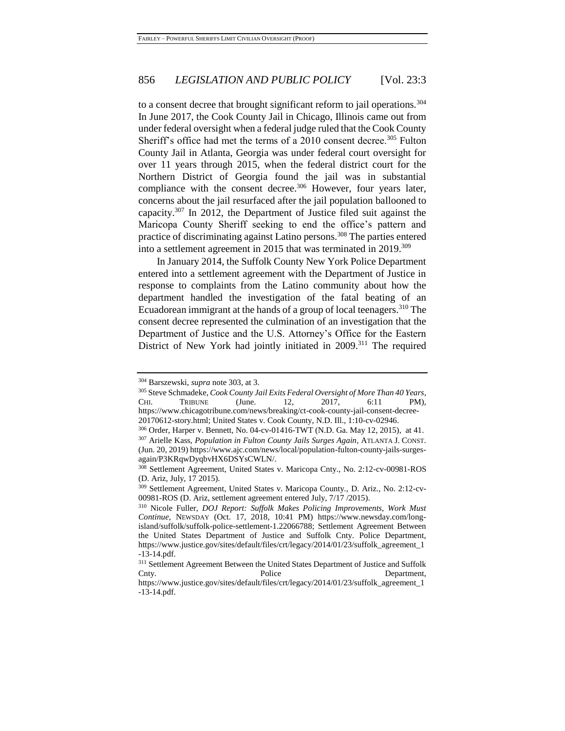to a consent decree that brought significant reform to jail operations.<sup>304</sup> In June 2017, the Cook County Jail in Chicago, Illinois came out from under federal oversight when a federal judge ruled that the Cook County Sheriff's office had met the terms of a  $2010$  consent decree.<sup>305</sup> Fulton County Jail in Atlanta, Georgia was under federal court oversight for over 11 years through 2015, when the federal district court for the Northern District of Georgia found the jail was in substantial compliance with the consent decree. $306$  However, four years later, concerns about the jail resurfaced after the jail population ballooned to capacity.<sup>307</sup> In 2012, the Department of Justice filed suit against the Maricopa County Sheriff seeking to end the office's pattern and practice of discriminating against Latino persons.<sup>308</sup> The parties entered into a settlement agreement in 2015 that was terminated in 2019.<sup>309</sup>

<span id="page-49-0"></span>In January 2014, the Suffolk County New York Police Department entered into a settlement agreement with the Department of Justice in response to complaints from the Latino community about how the department handled the investigation of the fatal beating of an Ecuadorean immigrant at the hands of a group of local teenagers.<sup>310</sup> The consent decree represented the culmination of an investigation that the Department of Justice and the U.S. Attorney's Office for the Eastern District of New York had jointly initiated in 2009.<sup>311</sup> The required

<sup>304</sup> Barszewski, *supra* note [303,](#page-48-0) at 3.

<sup>305</sup> Steve Schmadeke, *Cook County Jail Exits Federal Oversight of More Than 40 Years*, CHI. TRIBUNE (June. 12, 2017, 6:11 PM), https://www.chicagotribune.com/news/breaking/ct-cook-county-jail-consent-decree-20170612-story.html; United States v. Cook County, N.D. Ill., 1:10-cv-02946.

<sup>306</sup> Order, Harper v. Bennett, No. 04-cv-01416-TWT (N.D. Ga. May 12, 2015), at 41.

<sup>307</sup> Arielle Kass, *Population in Fulton County Jails Surges Again*, ATLANTA J. CONST. (Jun. 20, 2019) https://www.ajc.com/news/local/population-fulton-county-jails-surgesagain/P3KRqwDyqbvHX6DSYsCWLN/.

<sup>308</sup> Settlement Agreement, United States v. Maricopa Cnty., No. 2:12-cv-00981-ROS (D. Ariz, July, 17 2015).

<sup>309</sup> Settlement Agreement, United States v. Maricopa County., D. Ariz., No. 2:12-cv-00981-ROS (D. Ariz, settlement agreement entered July, 7/17 /2015).

<sup>310</sup> Nicole Fuller, *DOJ Report: Suffolk Makes Policing Improvements, Work Must Continue*, NEWSDAY (Oct. 17, 2018, 10:41 PM) https://www.newsday.com/longisland/suffolk/suffolk-police-settlement-1.22066788; Settlement Agreement Between the United States Department of Justice and Suffolk Cnty. Police Department, https://www.justice.gov/sites/default/files/crt/legacy/2014/01/23/suffolk\_agreement\_1 -13-14.pdf.

<sup>311</sup> Settlement Agreement Between the United States Department of Justice and Suffolk Cnty. Police Department,

https://www.justice.gov/sites/default/files/crt/legacy/2014/01/23/suffolk\_agreement\_1 -13-14.pdf.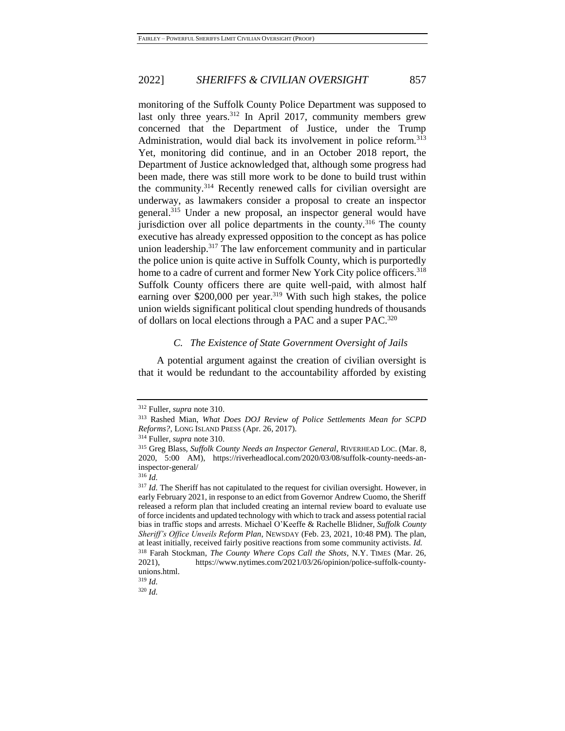monitoring of the Suffolk County Police Department was supposed to last only three years.<sup>312</sup> In April 2017, community members grew concerned that the Department of Justice, under the Trump Administration, would dial back its involvement in police reform.<sup>313</sup> Yet, monitoring did continue, and in an October 2018 report, the Department of Justice acknowledged that, although some progress had been made, there was still more work to be done to build trust within the community.<sup>314</sup> Recently renewed calls for civilian oversight are underway, as lawmakers consider a proposal to create an inspector general.<sup>315</sup> Under a new proposal, an inspector general would have jurisdiction over all police departments in the county.<sup>316</sup> The county executive has already expressed opposition to the concept as has police union leadership.<sup>317</sup> The law enforcement community and in particular the police union is quite active in Suffolk County, which is purportedly home to a cadre of current and former New York City police officers.<sup>318</sup> Suffolk County officers there are quite well-paid, with almost half earning over  $$200,000$  per year.<sup>319</sup> With such high stakes, the police union wields significant political clout spending hundreds of thousands of dollars on local elections through a PAC and a super PAC.<sup>320</sup>

#### *C. The Existence of State Government Oversight of Jails*

A potential argument against the creation of civilian oversight is that it would be redundant to the accountability afforded by existing

<sup>312</sup> Fuller, *supra* note [310.](#page-49-0)

<sup>313</sup> Rashed Mian, *What Does DOJ Review of Police Settlements Mean for SCPD Reforms?*, LONG ISLAND PRESS (Apr. 26, 2017).

<sup>314</sup> Fuller, *supra* note [310.](#page-49-0)

<sup>315</sup> Greg Blass, *Suffolk County Needs an Inspector General*, RIVERHEAD LOC. (Mar. 8, 2020, 5:00 AM), https://riverheadlocal.com/2020/03/08/suffolk-county-needs-aninspector-general/

<sup>316</sup> *Id.*

<sup>&</sup>lt;sup>317</sup> *Id.* The Sheriff has not capitulated to the request for civilian oversight. However, in early February 2021, in response to an edict from Governor Andrew Cuomo, the Sheriff released a reform plan that included creating an internal review board to evaluate use of force incidents and updated technology with which to track and assess potential racial bias in traffic stops and arrests. Michael O'Keeffe & Rachelle Blidner, *Suffolk County Sheriff's Office Unveils Reform Plan*, NEWSDAY (Feb. 23, 2021, 10:48 PM). The plan, at least initially, received fairly positive reactions from some community activists. *Id.* <sup>318</sup> Farah Stockman, *The County Where Cops Call the Shots*, N.Y. TIMES (Mar. 26,

<sup>2021),</sup> https://www.nytimes.com/2021/03/26/opinion/police-suffolk-countyunions.html.

<sup>319</sup> *Id.*

<sup>320</sup> *Id.*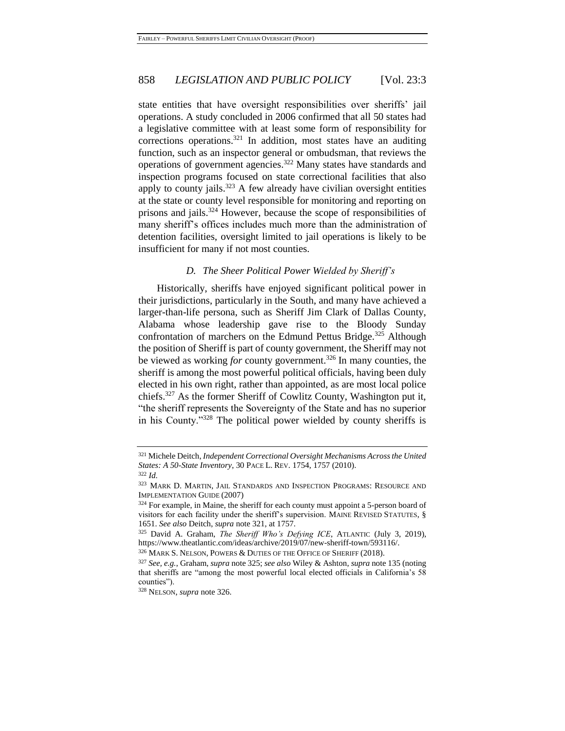<span id="page-51-0"></span>state entities that have oversight responsibilities over sheriffs' jail operations. A study concluded in 2006 confirmed that all 50 states had a legislative committee with at least some form of responsibility for corrections operations.<sup>321</sup> In addition, most states have an auditing function, such as an inspector general or ombudsman, that reviews the operations of government agencies.<sup>322</sup> Many states have standards and inspection programs focused on state correctional facilities that also apply to county jails. $323$  A few already have civilian oversight entities at the state or county level responsible for monitoring and reporting on prisons and jails.<sup>324</sup> However, because the scope of responsibilities of many sheriff's offices includes much more than the administration of detention facilities, oversight limited to jail operations is likely to be insufficient for many if not most counties.

#### <span id="page-51-2"></span><span id="page-51-1"></span>*D. The Sheer Political Power Wielded by Sheriff's*

Historically, sheriffs have enjoyed significant political power in their jurisdictions, particularly in the South, and many have achieved a larger-than-life persona, such as Sheriff Jim Clark of Dallas County, Alabama whose leadership gave rise to the Bloody Sunday confrontation of marchers on the Edmund Pettus Bridge.<sup>325</sup> Although the position of Sheriff is part of county government, the Sheriff may not be viewed as working *for* county government.<sup>326</sup> In many counties, the sheriff is among the most powerful political officials, having been duly elected in his own right, rather than appointed, as are most local police chiefs.<sup>327</sup> As the former Sheriff of Cowlitz County, Washington put it, "the sheriff represents the Sovereignty of the State and has no superior in his County."<sup>328</sup> The political power wielded by county sheriffs is

<sup>321</sup> Michele Deitch, *Independent Correctional Oversight Mechanisms Across the United States: A 50-State Inventory*, 30 PACE L. REV. 1754, 1757 (2010). <sup>322</sup> *Id.*

<sup>323</sup> MARK D. MARTIN, JAIL STANDARDS AND INSPECTION PROGRAMS: RESOURCE AND IMPLEMENTATION GUIDE (2007)

<sup>&</sup>lt;sup>324</sup> For example, in Maine, the sheriff for each county must appoint a 5-person board of visitors for each facility under the sheriff's supervision. MAINE REVISED STATUTES, § 1651. *See also* Deitch, *supra* note [321,](#page-51-0) at 1757.

<sup>325</sup> David A. Graham, *The Sheriff Who's Defying ICE*, ATLANTIC (July 3, 2019), https://www.theatlantic.com/ideas/archive/2019/07/new-sheriff-town/593116/.

<sup>326</sup> MARK S. NELSON, POWERS & DUTIES OF THE OFFICE OF SHERIFF (2018).

<sup>327</sup> *See, e.g.*, Graham, *supra* note [325;](#page-51-1) *see also* Wiley & Ashton, *supra* not[e 135](#page-27-0) (noting that sheriffs are "among the most powerful local elected officials in California's 58 counties").

<sup>328</sup> NELSON, *supra* not[e 326.](#page-51-2)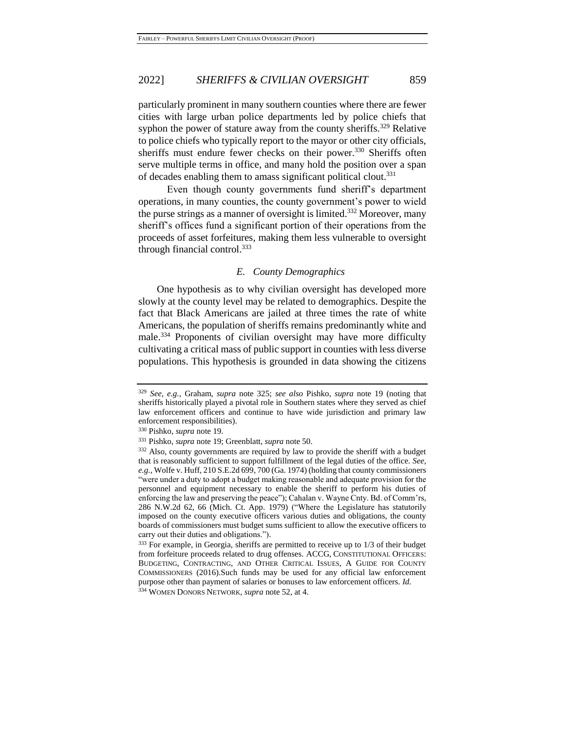particularly prominent in many southern counties where there are fewer cities with large urban police departments led by police chiefs that syphon the power of stature away from the county sheriffs.<sup>329</sup> Relative to police chiefs who typically report to the mayor or other city officials, sheriffs must endure fewer checks on their power.<sup>330</sup> Sheriffs often serve multiple terms in office, and many hold the position over a span of decades enabling them to amass significant political clout.<sup>331</sup>

Even though county governments fund sheriff's department operations, in many counties, the county government's power to wield the purse strings as a manner of oversight is limited.<sup>332</sup> Moreover, many sheriff's offices fund a significant portion of their operations from the proceeds of asset forfeitures, making them less vulnerable to oversight through financial control. 333

#### *E. County Demographics*

One hypothesis as to why civilian oversight has developed more slowly at the county level may be related to demographics. Despite the fact that Black Americans are jailed at three times the rate of white Americans, the population of sheriffs remains predominantly white and male.<sup>334</sup> Proponents of civilian oversight may have more difficulty cultivating a critical mass of public support in counties with less diverse populations. This hypothesis is grounded in data showing the citizens

<sup>329</sup> *See, e.g.*, Graham, *supra* note [325;](#page-51-1) *see also* Pishko, *supra* note [19](#page-6-0) (noting that sheriffs historically played a pivotal role in Southern states where they served as chief law enforcement officers and continue to have wide jurisdiction and primary law enforcement responsibilities).

<sup>330</sup> Pishko, *supra* note [19.](#page-6-0)

<sup>331</sup> Pishko, *supra* note [19;](#page-6-0) Greenblatt, *supra* not[e 50.](#page-11-0)

<sup>332</sup> Also, county governments are required by law to provide the sheriff with a budget that is reasonably sufficient to support fulfillment of the legal duties of the office*. See, e.g.*, Wolfe v. Huff, 210 S.E.2d 699, 700 (Ga. 1974) (holding that county commissioners "were under a duty to adopt a budget making reasonable and adequate provision for the personnel and equipment necessary to enable the sheriff to perform his duties of enforcing the law and preserving the peace"); Cahalan v. Wayne Cnty. Bd. of Comm'rs, 286 N.W.2d 62, 66 (Mich. Ct. App. 1979) ("Where the Legislature has statutorily imposed on the county executive officers various duties and obligations, the county boards of commissioners must budget sums sufficient to allow the executive officers to carry out their duties and obligations.").

<sup>&</sup>lt;sup>333</sup> For example, in Georgia, sheriffs are permitted to receive up to 1/3 of their budget from forfeiture proceeds related to drug offenses. ACCG, CONSTITUTIONAL OFFICERS: BUDGETING, CONTRACTING, AND OTHER CRITICAL ISSUES, A GUIDE FOR COUNTY COMMISSIONERS (2016).Such funds may be used for any official law enforcement purpose other than payment of salaries or bonuses to law enforcement officers. *Id.*

<sup>334</sup> WOMEN DONORS NETWORK, *supra* note [52,](#page-11-1) at 4.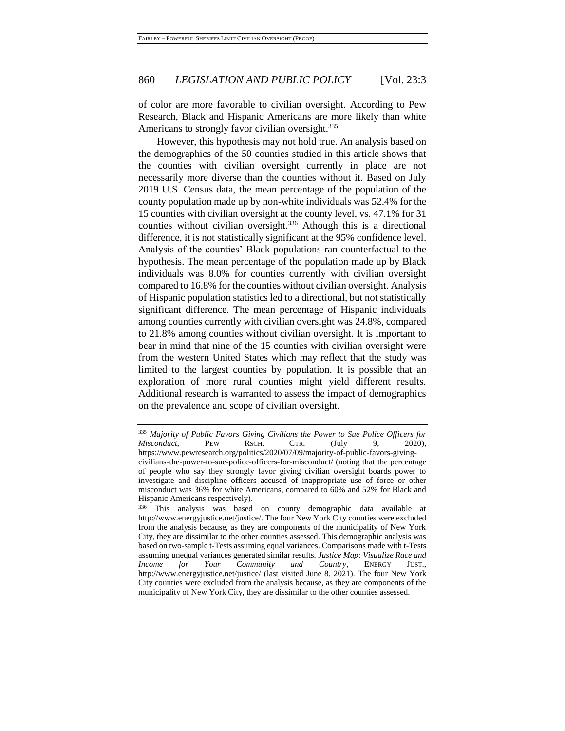of color are more favorable to civilian oversight. According to Pew Research, Black and Hispanic Americans are more likely than white Americans to strongly favor civilian oversight.<sup>335</sup>

However, this hypothesis may not hold true. An analysis based on the demographics of the 50 counties studied in this article shows that the counties with civilian oversight currently in place are not necessarily more diverse than the counties without it. Based on July 2019 U.S. Census data, the mean percentage of the population of the county population made up by non-white individuals was 52.4% for the 15 counties with civilian oversight at the county level, vs. 47.1% for 31 counties without civilian oversight.<sup>336</sup> Athough this is a directional difference, it is not statistically significant at the 95% confidence level. Analysis of the counties' Black populations ran counterfactual to the hypothesis. The mean percentage of the population made up by Black individuals was 8.0% for counties currently with civilian oversight compared to 16.8% for the counties without civilian oversight. Analysis of Hispanic population statistics led to a directional, but not statistically significant difference. The mean percentage of Hispanic individuals among counties currently with civilian oversight was 24.8%, compared to 21.8% among counties without civilian oversight. It is important to bear in mind that nine of the 15 counties with civilian oversight were from the western United States which may reflect that the study was limited to the largest counties by population. It is possible that an exploration of more rural counties might yield different results. Additional research is warranted to assess the impact of demographics on the prevalence and scope of civilian oversight.

<sup>335</sup> *Majority of Public Favors Giving Civilians the Power to Sue Police Officers for Misconduct*, PEW RSCH. CTR. (July 9, 2020), https://www.pewresearch.org/politics/2020/07/09/majority-of-public-favors-givingcivilians-the-power-to-sue-police-officers-for-misconduct/ (noting that the percentage of people who say they strongly favor giving civilian oversight boards power to investigate and discipline officers accused of inappropriate use of force or other misconduct was 36% for white Americans, compared to 60% and 52% for Black and Hispanic Americans respectively).

<sup>336</sup> This analysis was based on county demographic data available at http://www.energyjustice.net/justice/. The four New York City counties were excluded from the analysis because, as they are components of the municipality of New York City, they are dissimilar to the other counties assessed. This demographic analysis was based on two-sample t-Tests assuming equal variances. Comparisons made with t-Tests assuming unequal variances generated similar results. *Justice Map: Visualize Race and Income for Your Community and Country*, ENERGY JUST., http://www.energyjustice.net/justice/ (last visited June 8, 2021). The four New York City counties were excluded from the analysis because, as they are components of the municipality of New York City, they are dissimilar to the other counties assessed.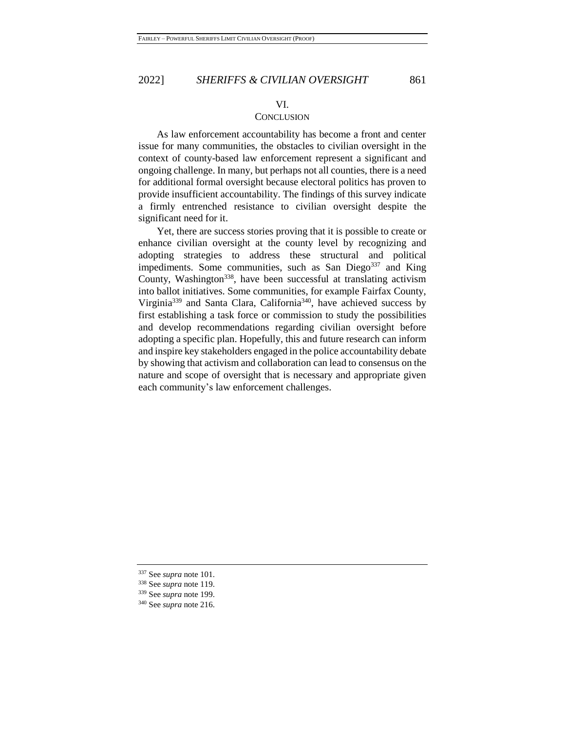#### VI.

# **CONCLUSION**

As law enforcement accountability has become a front and center issue for many communities, the obstacles to civilian oversight in the context of county-based law enforcement represent a significant and ongoing challenge. In many, but perhaps not all counties, there is a need for additional formal oversight because electoral politics has proven to provide insufficient accountability. The findings of this survey indicate a firmly entrenched resistance to civilian oversight despite the significant need for it.

Yet, there are success stories proving that it is possible to create or enhance civilian oversight at the county level by recognizing and adopting strategies to address these structural and political impediments. Some communities, such as San Diego $337$  and King County, Washington<sup>338</sup>, have been successful at translating activism into ballot initiatives. Some communities, for example Fairfax County, Virginia<sup>339</sup> and Santa Clara, California<sup>340</sup>, have achieved success by first establishing a task force or commission to study the possibilities and develop recommendations regarding civilian oversight before adopting a specific plan. Hopefully, this and future research can inform and inspire key stakeholders engaged in the police accountability debate by showing that activism and collaboration can lead to consensus on the nature and scope of oversight that is necessary and appropriate given each community's law enforcement challenges.

<sup>337</sup> See *supra* note [101.](#page-23-0)

<sup>338</sup> See *supra* note [119.](#page-25-0)

<sup>339</sup> See *supra* note [199.](#page-34-0)

<sup>340</sup> See *supra* note [216.](#page-37-1)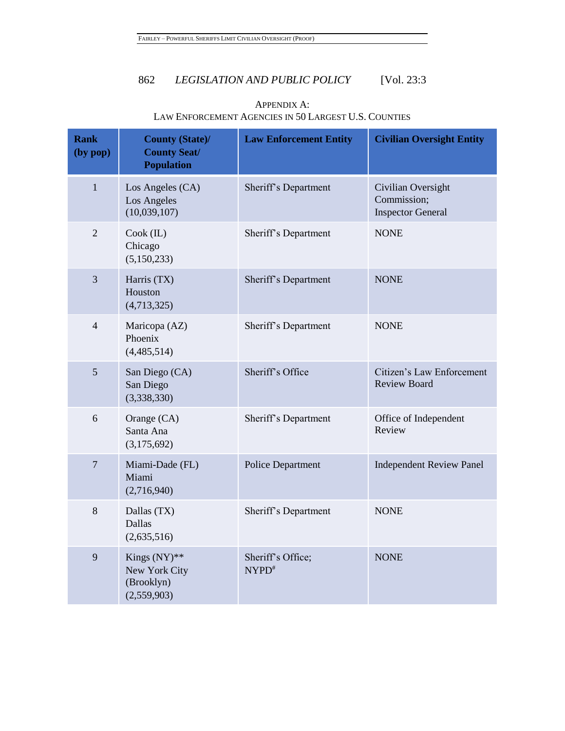| <b>Rank</b><br>(by pop) | <b>County (State)/</b><br><b>County Seat/</b><br><b>Population</b> | <b>Law Enforcement Entity</b> | <b>Civilian Oversight Entity</b>                              |
|-------------------------|--------------------------------------------------------------------|-------------------------------|---------------------------------------------------------------|
| $\mathbf{1}$            | Los Angeles (CA)<br>Los Angeles<br>(10,039,107)                    | Sheriff's Department          | Civilian Oversight<br>Commission;<br><b>Inspector General</b> |
| $\overline{2}$          | $Cook$ (IL)<br>Chicago<br>(5,150,233)                              | Sheriff's Department          | <b>NONE</b>                                                   |
| 3                       | Harris (TX)<br>Houston<br>(4,713,325)                              | Sheriff's Department          | <b>NONE</b>                                                   |
| $\overline{4}$          | Maricopa (AZ)<br>Phoenix<br>(4,485,514)                            | Sheriff's Department          | <b>NONE</b>                                                   |
| 5                       | San Diego (CA)<br>San Diego<br>(3,338,330)                         | Sheriff's Office              | Citizen's Law Enforcement<br><b>Review Board</b>              |
| 6                       | Orange (CA)<br>Santa Ana<br>(3,175,692)                            | Sheriff's Department          | Office of Independent<br>Review                               |
| $\overline{7}$          | Miami-Dade (FL)<br>Miami<br>(2,716,940)                            | Police Department             | <b>Independent Review Panel</b>                               |
| 8                       | Dallas (TX)<br><b>Dallas</b><br>(2,635,516)                        | Sheriff's Department          | <b>NONE</b>                                                   |
| 9                       | Kings $(NY)$ **<br>New York City<br>(Brooklyn)<br>(2,559,903)      | Sheriff's Office;<br>$NYPD^*$ | <b>NONE</b>                                                   |

# APPENDIX A: LAW ENFORCEMENT AGENCIES IN 50 LARGEST U.S. COUNTIES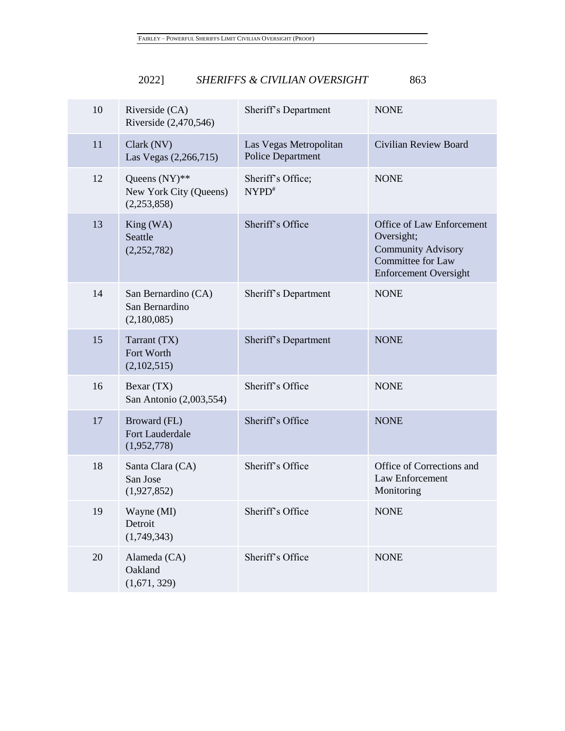| 10 | Riverside (CA)<br>Riverside (2,470,546)                   | Sheriff's Department                               | <b>NONE</b>                                                                                                               |
|----|-----------------------------------------------------------|----------------------------------------------------|---------------------------------------------------------------------------------------------------------------------------|
| 11 | Clark (NV)<br>Las Vegas (2,266,715)                       | Las Vegas Metropolitan<br><b>Police Department</b> | Civilian Review Board                                                                                                     |
| 12 | Queens $(NY)$ **<br>New York City (Queens)<br>(2,253,858) | Sheriff's Office;<br>$NYPD^*$                      | <b>NONE</b>                                                                                                               |
| 13 | King(WA)<br>Seattle<br>(2,252,782)                        | Sheriff's Office                                   | Office of Law Enforcement<br>Oversight;<br><b>Community Advisory</b><br>Committee for Law<br><b>Enforcement Oversight</b> |
| 14 | San Bernardino (CA)<br>San Bernardino<br>(2,180,085)      | Sheriff's Department                               | <b>NONE</b>                                                                                                               |
| 15 | Tarrant (TX)<br>Fort Worth<br>(2,102,515)                 | Sheriff's Department                               | <b>NONE</b>                                                                                                               |
| 16 | Bexar (TX)<br>San Antonio (2,003,554)                     | Sheriff's Office                                   | <b>NONE</b>                                                                                                               |
| 17 | Broward (FL)<br>Fort Lauderdale<br>(1,952,778)            | Sheriff's Office                                   | <b>NONE</b>                                                                                                               |
| 18 | Santa Clara (CA)<br>San Jose<br>(1,927,852)               | Sheriff's Office                                   | Office of Corrections and<br>Law Enforcement<br>Monitoring                                                                |
| 19 | Wayne (MI)<br>Detroit<br>(1,749,343)                      | Sheriff's Office                                   | <b>NONE</b>                                                                                                               |
| 20 | Alameda (CA)<br>Oakland<br>(1,671, 329)                   | Sheriff's Office                                   | <b>NONE</b>                                                                                                               |
|    |                                                           |                                                    |                                                                                                                           |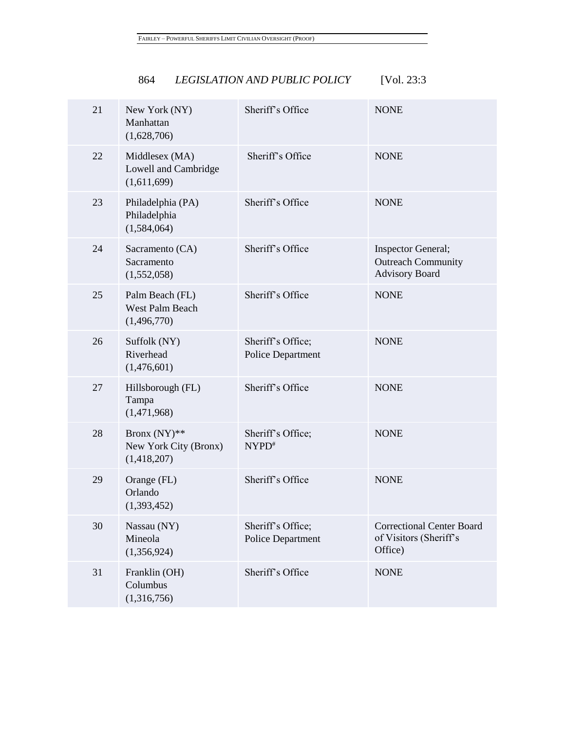| 21 | New York (NY)<br>Manhattan<br>(1,628,706)             | Sheriff's Office | <b>NONE</b> |
|----|-------------------------------------------------------|------------------|-------------|
| 22 | Middlesex (MA)<br>Lowell and Cambridge<br>(1,611,699) | Sheriff's Office | <b>NONE</b> |
| 23 | Philadelphia (PA)<br>Philadelphia<br>(1,584,064)      | Sheriff's Office | <b>NONE</b> |
|    |                                                       |                  |             |

| 23 | Philadelphia (PA)<br>Philadelphia<br>(1,584,064)         | Sheriff's Office                              | <b>NONE</b>                                                                     |
|----|----------------------------------------------------------|-----------------------------------------------|---------------------------------------------------------------------------------|
| 24 | Sacramento (CA)<br>Sacramento<br>(1,552,058)             | Sheriff's Office                              | <b>Inspector General;</b><br><b>Outreach Community</b><br><b>Advisory Board</b> |
| 25 | Palm Beach (FL)<br><b>West Palm Beach</b><br>(1,496,770) | Sheriff's Office                              | <b>NONE</b>                                                                     |
| 26 | Suffolk (NY)<br>Riverhead<br>(1,476,601)                 | Sheriff's Office;<br>Police Department        | <b>NONE</b>                                                                     |
| 27 | Hillsborough (FL)<br>Tampa<br>(1,471,968)                | Sheriff's Office                              | <b>NONE</b>                                                                     |
| 28 | Bronx $(NY)$ **<br>New York City (Bronx)<br>(1,418,207)  | Sheriff's Office;<br>$NYPD^*$                 | <b>NONE</b>                                                                     |
| 29 | Orange (FL)<br>Orlando<br>(1,393,452)                    | Sheriff's Office                              | <b>NONE</b>                                                                     |
| 30 | Nassau (NY)<br>Mineola<br>(1,356,924)                    | Sheriff's Office;<br><b>Police Department</b> | <b>Correctional Center Board</b><br>of Visitors (Sheriff's<br>Office)           |
| 31 | Franklin (OH)<br>Columbus<br>(1,316,756)                 | Sheriff's Office                              | <b>NONE</b>                                                                     |
|    |                                                          |                                               |                                                                                 |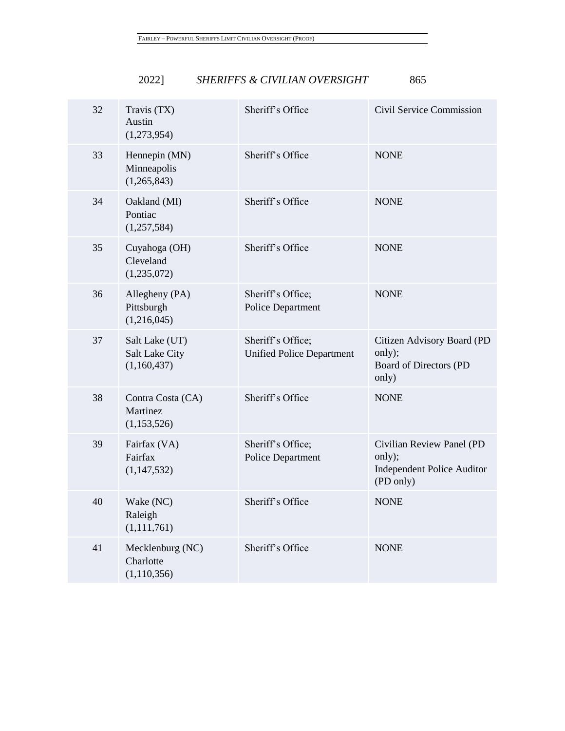| 32 | Travis (TX)<br>Austin<br>(1,273,954)            | Sheriff's Office                                      | Civil Service Commission                                                              |
|----|-------------------------------------------------|-------------------------------------------------------|---------------------------------------------------------------------------------------|
| 33 | Hennepin (MN)<br>Minneapolis<br>(1,265,843)     | Sheriff's Office                                      | <b>NONE</b>                                                                           |
| 34 | Oakland (MI)<br>Pontiac<br>(1,257,584)          | Sheriff's Office                                      | <b>NONE</b>                                                                           |
| 35 | Cuyahoga (OH)<br>Cleveland<br>(1,235,072)       | Sheriff's Office                                      | <b>NONE</b>                                                                           |
| 36 | Allegheny (PA)<br>Pittsburgh<br>(1,216,045)     | Sheriff's Office;<br><b>Police Department</b>         | <b>NONE</b>                                                                           |
| 37 | Salt Lake (UT)<br>Salt Lake City<br>(1,160,437) | Sheriff's Office;<br><b>Unified Police Department</b> | Citizen Advisory Board (PD<br>only);<br>Board of Directors (PD<br>only)               |
| 38 | Contra Costa (CA)<br>Martinez<br>(1,153,526)    | Sheriff's Office                                      | <b>NONE</b>                                                                           |
| 39 | Fairfax (VA)<br>Fairfax<br>(1,147,532)          | Sheriff's Office;<br><b>Police Department</b>         | Civilian Review Panel (PD<br>only);<br><b>Independent Police Auditor</b><br>(PD only) |
| 40 | Wake (NC)<br>Raleigh<br>(1, 111, 761)           | Sheriff's Office                                      | <b>NONE</b>                                                                           |
| 41 | Mecklenburg (NC)<br>Charlotte<br>(1, 110, 356)  | Sheriff's Office                                      | <b>NONE</b>                                                                           |
|    |                                                 |                                                       |                                                                                       |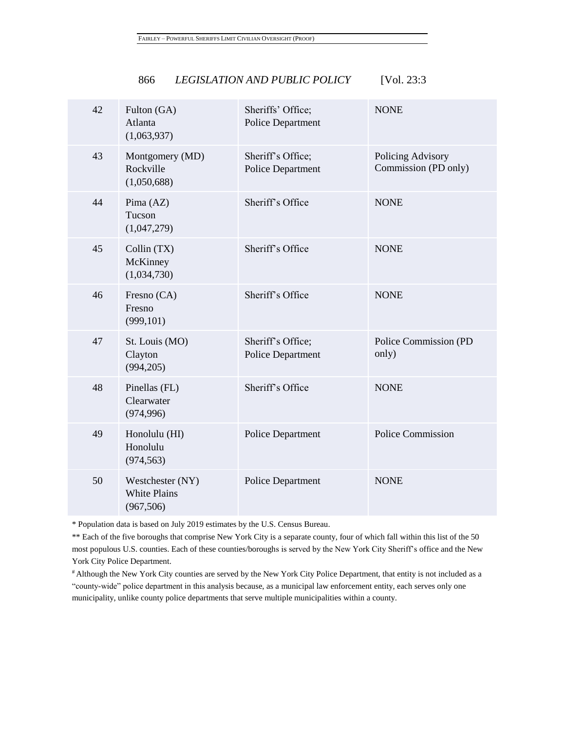| LEGISLATION AND PUBLIC POLICY<br>866 | [Vol. $23:3$ |
|--------------------------------------|--------------|
|--------------------------------------|--------------|

| 42 | Fulton (GA)<br>Atlanta<br>(1,063,937)                 | Sheriffs' Office;<br><b>Police Department</b> | <b>NONE</b>                               |
|----|-------------------------------------------------------|-----------------------------------------------|-------------------------------------------|
| 43 | Montgomery (MD)<br>Rockville<br>(1,050,688)           | Sheriff's Office;<br>Police Department        | Policing Advisory<br>Commission (PD only) |
| 44 | Pima (AZ)<br>Tucson<br>(1,047,279)                    | Sheriff's Office                              | <b>NONE</b>                               |
| 45 | Collin (TX)<br>McKinney<br>(1,034,730)                | Sheriff's Office                              | <b>NONE</b>                               |
| 46 | Fresno (CA)<br>Fresno<br>(999, 101)                   | Sheriff's Office                              | <b>NONE</b>                               |
| 47 | St. Louis (MO)<br>Clayton<br>(994, 205)               | Sheriff's Office;<br><b>Police Department</b> | Police Commission (PD<br>only)            |
| 48 | Pinellas (FL)<br>Clearwater<br>(974, 996)             | Sheriff's Office                              | <b>NONE</b>                               |
| 49 | Honolulu (HI)<br>Honolulu<br>(974, 563)               | <b>Police Department</b>                      | <b>Police Commission</b>                  |
| 50 | Westchester (NY)<br><b>White Plains</b><br>(967, 506) | <b>Police Department</b>                      | <b>NONE</b>                               |
|    |                                                       |                                               |                                           |

\* Population data is based on July 2019 estimates by the U.S. Census Bureau.

\*\* Each of the five boroughs that comprise New York City is a separate county, four of which fall within this list of the 50 most populous U.S. counties. Each of these counties/boroughs is served by the New York City Sheriff's office and the New York City Police Department.

# Although the New York City counties are served by the New York City Police Department, that entity is not included as a "county-wide" police department in this analysis because, as a municipal law enforcement entity, each serves only one municipality, unlike county police departments that serve multiple municipalities within a county.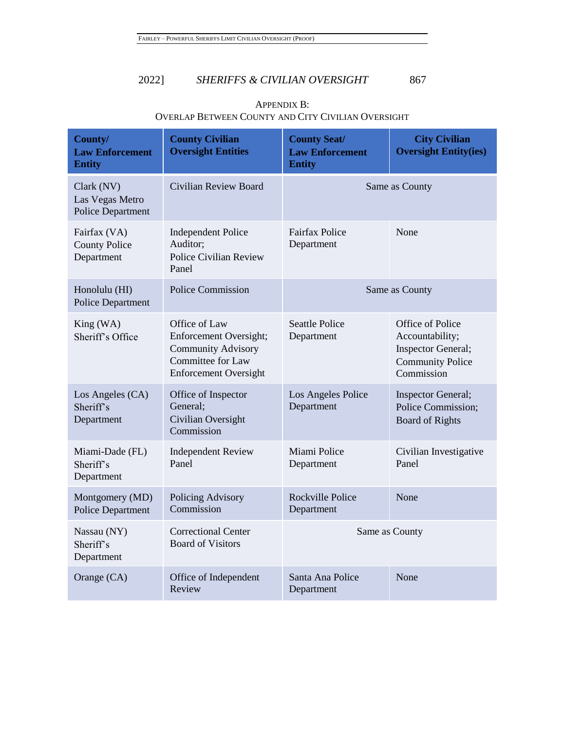| County/<br><b>Law Enforcement</b><br><b>Entity</b>        | <b>County Civilian</b><br><b>Oversight Entities</b>                                                                       | <b>County Seat/</b><br><b>Law Enforcement</b><br><b>Entity</b> | <b>City Civilian</b><br><b>Oversight Entity(ies)</b>                                                      |
|-----------------------------------------------------------|---------------------------------------------------------------------------------------------------------------------------|----------------------------------------------------------------|-----------------------------------------------------------------------------------------------------------|
| Clark (NV)<br>Las Vegas Metro<br><b>Police Department</b> | <b>Civilian Review Board</b>                                                                                              |                                                                | Same as County                                                                                            |
| Fairfax (VA)<br><b>County Police</b><br>Department        | <b>Independent Police</b><br>Auditor:<br>Police Civilian Review<br>Panel                                                  | <b>Fairfax Police</b><br>Department                            | None                                                                                                      |
| Honolulu (HI)<br><b>Police Department</b>                 | <b>Police Commission</b>                                                                                                  |                                                                | Same as County                                                                                            |
| King (WA)<br>Sheriff's Office                             | Office of Law<br>Enforcement Oversight;<br><b>Community Advisory</b><br>Committee for Law<br><b>Enforcement Oversight</b> | <b>Seattle Police</b><br>Department                            | Office of Police<br>Accountability;<br><b>Inspector General;</b><br><b>Community Police</b><br>Commission |
| Los Angeles (CA)<br>Sheriff's<br>Department               | Office of Inspector<br>General:<br>Civilian Oversight<br>Commission                                                       | Los Angeles Police<br>Department                               | Inspector General;<br>Police Commission;<br><b>Board of Rights</b>                                        |
| Miami-Dade (FL)<br>Sheriff's<br>Department                | <b>Independent Review</b><br>Panel                                                                                        | Miami Police<br>Department                                     | Civilian Investigative<br>Panel                                                                           |
| Montgomery (MD)<br>Police Department                      | Policing Advisory<br>Commission                                                                                           | <b>Rockville Police</b><br>Department                          | None                                                                                                      |
| Nassau (NY)<br>Sheriff's<br>Department                    | <b>Correctional Center</b><br><b>Board of Visitors</b>                                                                    | Same as County                                                 |                                                                                                           |
| Orange (CA)                                               | Office of Independent<br>Review                                                                                           | Santa Ana Police<br>Department                                 | None                                                                                                      |

# APPENDIX B: OVERLAP BETWEEN COUNTY AND CITY CIVILIAN OVERSIGHT